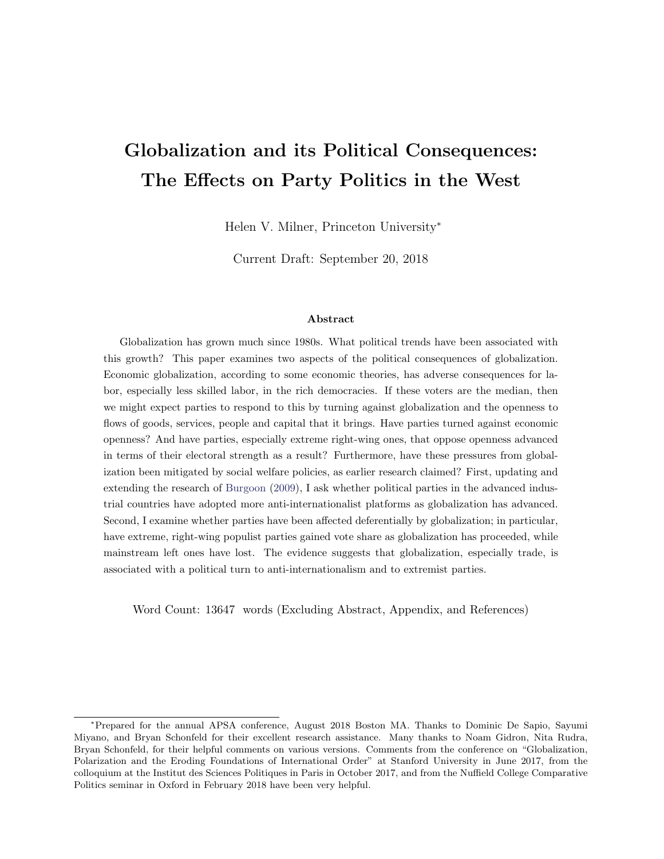# Globalization and its Political Consequences: The Effects on Party Politics in the West

Helen V. Milner, Princeton University<sup>∗</sup>

Current Draft: September 20, 2018

#### Abstract

Globalization has grown much since 1980s. What political trends have been associated with this growth? This paper examines two aspects of the political consequences of globalization. Economic globalization, according to some economic theories, has adverse consequences for labor, especially less skilled labor, in the rich democracies. If these voters are the median, then we might expect parties to respond to this by turning against globalization and the openness to flows of goods, services, people and capital that it brings. Have parties turned against economic openness? And have parties, especially extreme right-wing ones, that oppose openness advanced in terms of their electoral strength as a result? Furthermore, have these pressures from globalization been mitigated by social welfare policies, as earlier research claimed? First, updating and extending the research of [Burgoon](#page-43-0) [\(2009\)](#page-43-0), I ask whether political parties in the advanced industrial countries have adopted more anti-internationalist platforms as globalization has advanced. Second, I examine whether parties have been affected deferentially by globalization; in particular, have extreme, right-wing populist parties gained vote share as globalization has proceeded, while mainstream left ones have lost. The evidence suggests that globalization, especially trade, is associated with a political turn to anti-internationalism and to extremist parties.

Word Count: 13647 words (Excluding Abstract, Appendix, and References)

<sup>∗</sup>Prepared for the annual APSA conference, August 2018 Boston MA. Thanks to Dominic De Sapio, Sayumi Miyano, and Bryan Schonfeld for their excellent research assistance. Many thanks to Noam Gidron, Nita Rudra, Bryan Schonfeld, for their helpful comments on various versions. Comments from the conference on "Globalization, Polarization and the Eroding Foundations of International Order" at Stanford University in June 2017, from the colloquium at the Institut des Sciences Politiques in Paris in October 2017, and from the Nuffield College Comparative Politics seminar in Oxford in February 2018 have been very helpful.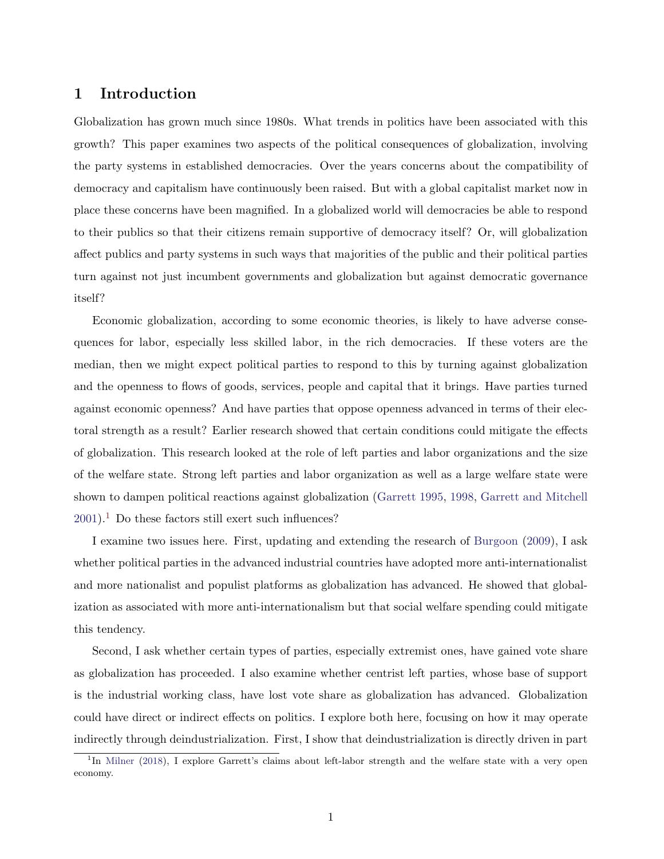#### 1 Introduction

Globalization has grown much since 1980s. What trends in politics have been associated with this growth? This paper examines two aspects of the political consequences of globalization, involving the party systems in established democracies. Over the years concerns about the compatibility of democracy and capitalism have continuously been raised. But with a global capitalist market now in place these concerns have been magnified. In a globalized world will democracies be able to respond to their publics so that their citizens remain supportive of democracy itself? Or, will globalization affect publics and party systems in such ways that majorities of the public and their political parties turn against not just incumbent governments and globalization but against democratic governance itself?

Economic globalization, according to some economic theories, is likely to have adverse consequences for labor, especially less skilled labor, in the rich democracies. If these voters are the median, then we might expect political parties to respond to this by turning against globalization and the openness to flows of goods, services, people and capital that it brings. Have parties turned against economic openness? And have parties that oppose openness advanced in terms of their electoral strength as a result? Earlier research showed that certain conditions could mitigate the effects of globalization. This research looked at the role of left parties and labor organizations and the size of the welfare state. Strong left parties and labor organization as well as a large welfare state were shown to dampen political reactions against globalization [\(Garrett](#page-45-0) [1995,](#page-45-0) [1998,](#page-45-1) [Garrett and Mitchell](#page-45-2)  $2001$  $2001$ .<sup>1</sup> Do these factors still exert such influences?

I examine two issues here. First, updating and extending the research of [Burgoon](#page-43-0) [\(2009\)](#page-43-0), I ask whether political parties in the advanced industrial countries have adopted more anti-internationalist and more nationalist and populist platforms as globalization has advanced. He showed that globalization as associated with more anti-internationalism but that social welfare spending could mitigate this tendency.

Second, I ask whether certain types of parties, especially extremist ones, have gained vote share as globalization has proceeded. I also examine whether centrist left parties, whose base of support is the industrial working class, have lost vote share as globalization has advanced. Globalization could have direct or indirect effects on politics. I explore both here, focusing on how it may operate indirectly through deindustrialization. First, I show that deindustrialization is directly driven in part

<span id="page-1-0"></span><sup>&</sup>lt;sup>1</sup>In [Milner](#page-47-0) [\(2018\)](#page-47-0), I explore Garrett's claims about left-labor strength and the welfare state with a very open economy.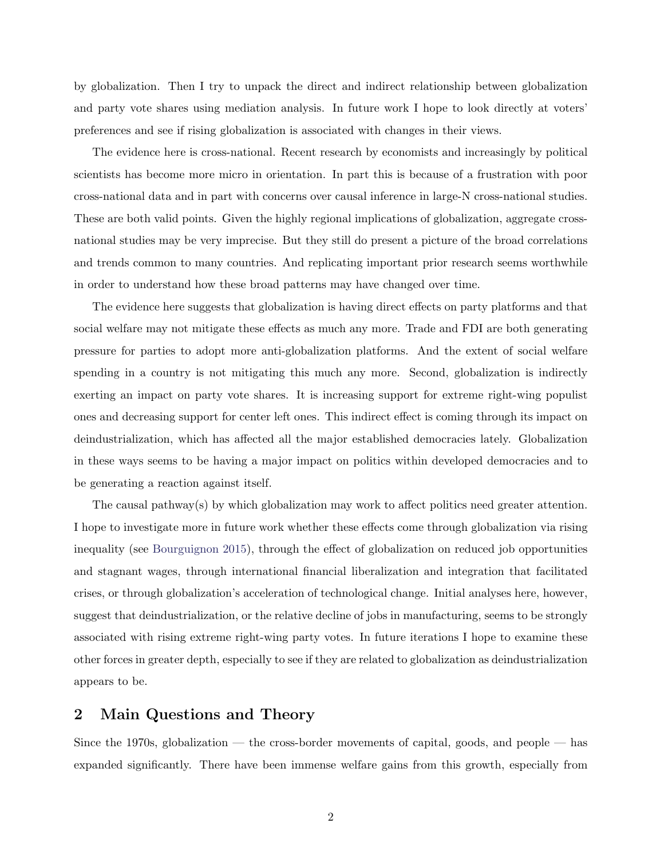by globalization. Then I try to unpack the direct and indirect relationship between globalization and party vote shares using mediation analysis. In future work I hope to look directly at voters' preferences and see if rising globalization is associated with changes in their views.

The evidence here is cross-national. Recent research by economists and increasingly by political scientists has become more micro in orientation. In part this is because of a frustration with poor cross-national data and in part with concerns over causal inference in large-N cross-national studies. These are both valid points. Given the highly regional implications of globalization, aggregate crossnational studies may be very imprecise. But they still do present a picture of the broad correlations and trends common to many countries. And replicating important prior research seems worthwhile in order to understand how these broad patterns may have changed over time.

The evidence here suggests that globalization is having direct effects on party platforms and that social welfare may not mitigate these effects as much any more. Trade and FDI are both generating pressure for parties to adopt more anti-globalization platforms. And the extent of social welfare spending in a country is not mitigating this much any more. Second, globalization is indirectly exerting an impact on party vote shares. It is increasing support for extreme right-wing populist ones and decreasing support for center left ones. This indirect effect is coming through its impact on deindustrialization, which has affected all the major established democracies lately. Globalization in these ways seems to be having a major impact on politics within developed democracies and to be generating a reaction against itself.

The causal pathway(s) by which globalization may work to affect politics need greater attention. I hope to investigate more in future work whether these effects come through globalization via rising inequality (see [Bourguignon](#page-43-1) [2015\)](#page-43-1), through the effect of globalization on reduced job opportunities and stagnant wages, through international financial liberalization and integration that facilitated crises, or through globalization's acceleration of technological change. Initial analyses here, however, suggest that deindustrialization, or the relative decline of jobs in manufacturing, seems to be strongly associated with rising extreme right-wing party votes. In future iterations I hope to examine these other forces in greater depth, especially to see if they are related to globalization as deindustrialization appears to be.

#### 2 Main Questions and Theory

Since the 1970s, globalization — the cross-border movements of capital, goods, and people — has expanded significantly. There have been immense welfare gains from this growth, especially from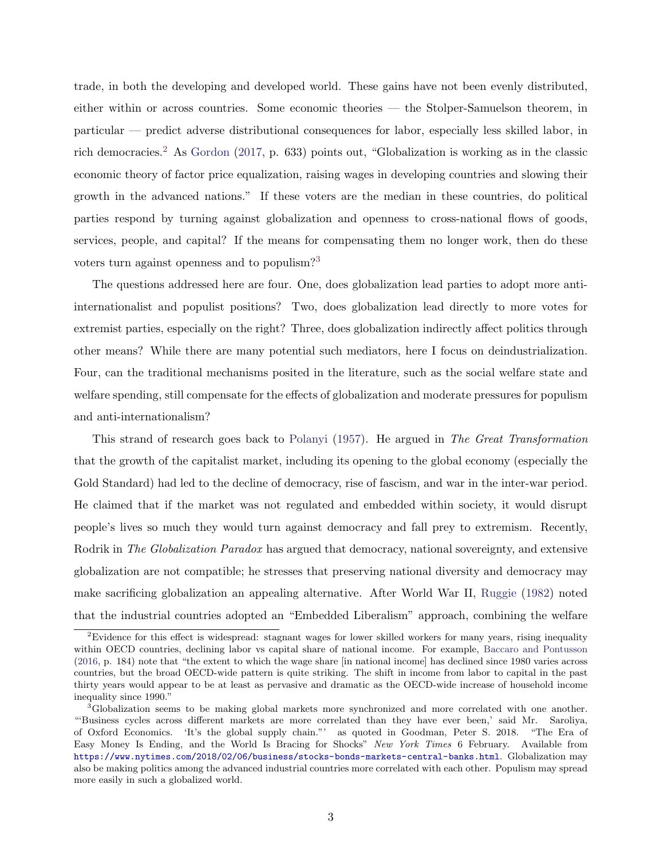trade, in both the developing and developed world. These gains have not been evenly distributed, either within or across countries. Some economic theories — the Stolper-Samuelson theorem, in particular — predict adverse distributional consequences for labor, especially less skilled labor, in rich democracies.<sup>[2](#page-3-0)</sup> As [Gordon](#page-45-3) [\(2017,](#page-45-3) p. 633) points out, "Globalization is working as in the classic economic theory of factor price equalization, raising wages in developing countries and slowing their growth in the advanced nations." If these voters are the median in these countries, do political parties respond by turning against globalization and openness to cross-national flows of goods, services, people, and capital? If the means for compensating them no longer work, then do these voters turn against openness and to populism?[3](#page-3-1)

The questions addressed here are four. One, does globalization lead parties to adopt more antiinternationalist and populist positions? Two, does globalization lead directly to more votes for extremist parties, especially on the right? Three, does globalization indirectly affect politics through other means? While there are many potential such mediators, here I focus on deindustrialization. Four, can the traditional mechanisms posited in the literature, such as the social welfare state and welfare spending, still compensate for the effects of globalization and moderate pressures for populism and anti-internationalism?

This strand of research goes back to [Polanyi](#page-47-1) [\(1957\)](#page-47-1). He argued in The Great Transformation that the growth of the capitalist market, including its opening to the global economy (especially the Gold Standard) had led to the decline of democracy, rise of fascism, and war in the inter-war period. He claimed that if the market was not regulated and embedded within society, it would disrupt people's lives so much they would turn against democracy and fall prey to extremism. Recently, Rodrik in *The Globalization Paradox* has argued that democracy, national sovereignty, and extensive globalization are not compatible; he stresses that preserving national diversity and democracy may make sacrificing globalization an appealing alternative. After World War II, [Ruggie](#page-47-2) [\(1982\)](#page-47-2) noted that the industrial countries adopted an "Embedded Liberalism" approach, combining the welfare

<span id="page-3-0"></span><sup>&</sup>lt;sup>2</sup>Evidence for this effect is widespread: stagnant wages for lower skilled workers for many years, rising inequality within OECD countries, declining labor vs capital share of national income. For example, [Baccaro and Pontusson](#page-43-2) [\(2016,](#page-43-2) p. 184) note that "the extent to which the wage share [in national income] has declined since 1980 varies across countries, but the broad OECD-wide pattern is quite striking. The shift in income from labor to capital in the past thirty years would appear to be at least as pervasive and dramatic as the OECD-wide increase of household income inequality since 1990."

<span id="page-3-1"></span><sup>&</sup>lt;sup>3</sup>Globalization seems to be making global markets more synchronized and more correlated with one another. "'Business cycles across different markets are more correlated than they have ever been,' said Mr. Saroliya, of Oxford Economics. 'It's the global supply chain."' as quoted in Goodman, Peter S. 2018. "The Era of Easy Money Is Ending, and the World Is Bracing for Shocks" New York Times 6 February. Available from <https://www.nytimes.com/2018/02/06/business/stocks-bonds-markets-central-banks.html>. Globalization may also be making politics among the advanced industrial countries more correlated with each other. Populism may spread more easily in such a globalized world.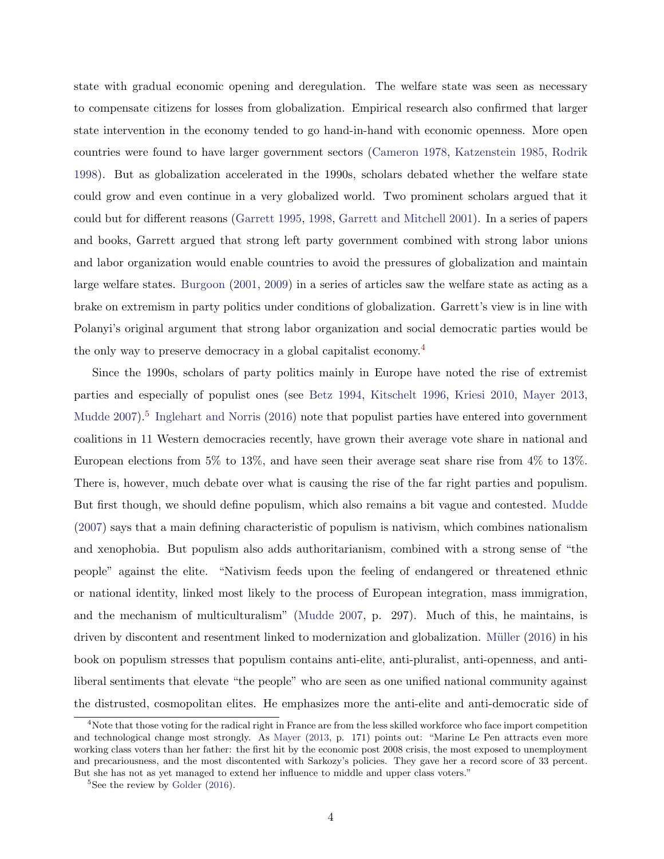state with gradual economic opening and deregulation. The welfare state was seen as necessary to compensate citizens for losses from globalization. Empirical research also confirmed that larger state intervention in the economy tended to go hand-in-hand with economic openness. More open countries were found to have larger government sectors [\(Cameron](#page-44-0) [1978,](#page-44-0) [Katzenstein](#page-45-4) [1985,](#page-45-4) [Rodrik](#page-47-3) [1998\)](#page-47-3). But as globalization accelerated in the 1990s, scholars debated whether the welfare state could grow and even continue in a very globalized world. Two prominent scholars argued that it could but for different reasons [\(Garrett](#page-45-0) [1995,](#page-45-0) [1998,](#page-45-1) [Garrett and Mitchell](#page-45-2) [2001\)](#page-45-2). In a series of papers and books, Garrett argued that strong left party government combined with strong labor unions and labor organization would enable countries to avoid the pressures of globalization and maintain large welfare states. [Burgoon](#page-43-3) [\(2001,](#page-43-3) [2009\)](#page-43-0) in a series of articles saw the welfare state as acting as a brake on extremism in party politics under conditions of globalization. Garrett's view is in line with Polanyi's original argument that strong labor organization and social democratic parties would be the only way to preserve democracy in a global capitalist economy.[4](#page-4-0)

Since the 1990s, scholars of party politics mainly in Europe have noted the rise of extremist parties and especially of populist ones (see [Betz](#page-43-4) [1994,](#page-43-4) [Kitschelt](#page-46-0) [1996,](#page-46-0) [Kriesi](#page-46-1) [2010,](#page-46-1) [Mayer](#page-46-2) [2013,](#page-46-2) [Mudde](#page-47-4) [2007\)](#page-47-4).<sup>[5](#page-4-1)</sup> [Inglehart and Norris](#page-45-5) [\(2016\)](#page-45-5) note that populist parties have entered into government coalitions in 11 Western democracies recently, have grown their average vote share in national and European elections from 5% to 13%, and have seen their average seat share rise from 4% to 13%. There is, however, much debate over what is causing the rise of the far right parties and populism. But first though, we should define populism, which also remains a bit vague and contested. [Mudde](#page-47-4) [\(2007\)](#page-47-4) says that a main defining characteristic of populism is nativism, which combines nationalism and xenophobia. But populism also adds authoritarianism, combined with a strong sense of "the people" against the elite. "Nativism feeds upon the feeling of endangered or threatened ethnic or national identity, linked most likely to the process of European integration, mass immigration, and the mechanism of multiculturalism" [\(Mudde](#page-47-4) [2007,](#page-47-4) p. 297). Much of this, he maintains, is driven by discontent and resentment linked to modernization and globalization. Müller [\(2016\)](#page-47-5) in his book on populism stresses that populism contains anti-elite, anti-pluralist, anti-openness, and antiliberal sentiments that elevate "the people" who are seen as one unified national community against the distrusted, cosmopolitan elites. He emphasizes more the anti-elite and anti-democratic side of

<span id="page-4-0"></span><sup>&</sup>lt;sup>4</sup>Note that those voting for the radical right in France are from the less skilled workforce who face import competition and technological change most strongly. As [Mayer](#page-46-2) [\(2013,](#page-46-2) p. 171) points out: "Marine Le Pen attracts even more working class voters than her father: the first hit by the economic post 2008 crisis, the most exposed to unemployment and precariousness, and the most discontented with Sarkozy's policies. They gave her a record score of 33 percent. But she has not as yet managed to extend her influence to middle and upper class voters."

<span id="page-4-1"></span> ${}^{5}$ See the review by [Golder](#page-45-6) [\(2016\)](#page-45-6).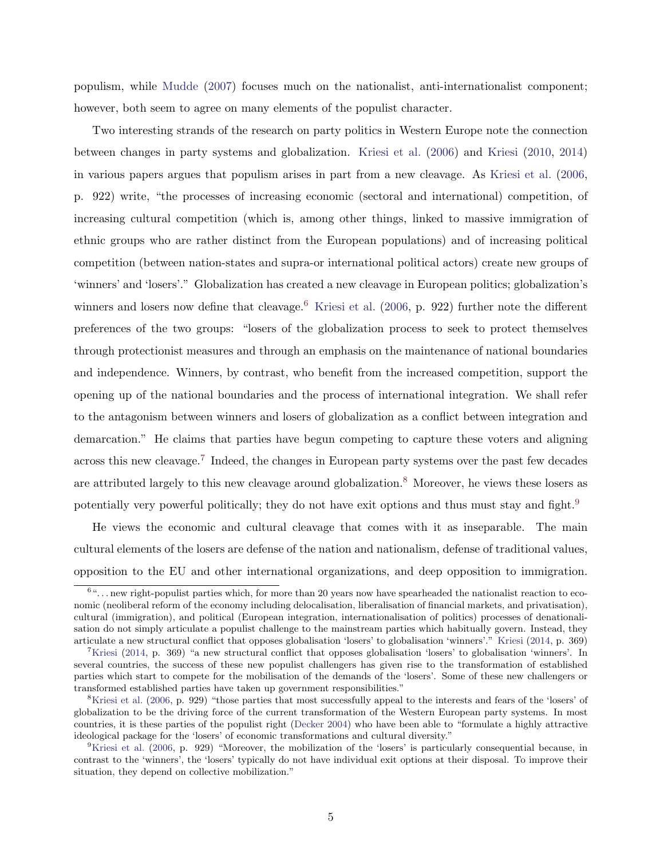populism, while [Mudde](#page-47-4) [\(2007\)](#page-47-4) focuses much on the nationalist, anti-internationalist component; however, both seem to agree on many elements of the populist character.

Two interesting strands of the research on party politics in Western Europe note the connection between changes in party systems and globalization. [Kriesi et al.](#page-46-3) [\(2006\)](#page-46-3) and [Kriesi](#page-46-1) [\(2010,](#page-46-1) [2014\)](#page-46-4) in various papers argues that populism arises in part from a new cleavage. As [Kriesi et al.](#page-46-3) [\(2006,](#page-46-3) p. 922) write, "the processes of increasing economic (sectoral and international) competition, of increasing cultural competition (which is, among other things, linked to massive immigration of ethnic groups who are rather distinct from the European populations) and of increasing political competition (between nation-states and supra-or international political actors) create new groups of 'winners' and 'losers'." Globalization has created a new cleavage in European politics; globalization's winners and losers now define that cleavage.<sup>[6](#page-5-0)</sup> [Kriesi et al.](#page-46-3) [\(2006,](#page-46-3) p. 922) further note the different preferences of the two groups: "losers of the globalization process to seek to protect themselves through protectionist measures and through an emphasis on the maintenance of national boundaries and independence. Winners, by contrast, who benefit from the increased competition, support the opening up of the national boundaries and the process of international integration. We shall refer to the antagonism between winners and losers of globalization as a conflict between integration and demarcation." He claims that parties have begun competing to capture these voters and aligning across this new cleavage.<sup>[7](#page-5-1)</sup> Indeed, the changes in European party systems over the past few decades are attributed largely to this new cleavage around globalization.<sup>[8](#page-5-2)</sup> Moreover, he views these losers as potentially very powerful politically; they do not have exit options and thus must stay and fight.<sup>[9](#page-5-3)</sup>

He views the economic and cultural cleavage that comes with it as inseparable. The main cultural elements of the losers are defense of the nation and nationalism, defense of traditional values, opposition to the EU and other international organizations, and deep opposition to immigration.

<span id="page-5-0"></span> $6\ldots$  new right-populist parties which, for more than 20 years now have spearheaded the nationalist reaction to economic (neoliberal reform of the economy including delocalisation, liberalisation of financial markets, and privatisation), cultural (immigration), and political (European integration, internationalisation of politics) processes of denationalisation do not simply articulate a populist challenge to the mainstream parties which habitually govern. Instead, they articulate a new structural conflict that opposes globalisation 'losers' to globalisation 'winners'." [Kriesi](#page-46-4) [\(2014,](#page-46-4) p. 369)

<span id="page-5-1"></span><sup>&</sup>lt;sup>7</sup>[Kriesi](#page-46-4) [\(2014,](#page-46-4) p. 369) "a new structural conflict that opposes globalisation 'losers' to globalisation 'winners'. In several countries, the success of these new populist challengers has given rise to the transformation of established parties which start to compete for the mobilisation of the demands of the 'losers'. Some of these new challengers or transformed established parties have taken up government responsibilities."

<span id="page-5-2"></span><sup>&</sup>lt;sup>8</sup>[Kriesi et al.](#page-46-3) [\(2006,](#page-46-3) p. 929) "those parties that most successfully appeal to the interests and fears of the 'losers' of globalization to be the driving force of the current transformation of the Western European party systems. In most countries, it is these parties of the populist right [\(Decker](#page-44-1) [2004\)](#page-44-1) who have been able to "formulate a highly attractive ideological package for the 'losers' of economic transformations and cultural diversity."

<span id="page-5-3"></span><sup>&</sup>lt;sup>9</sup>[Kriesi et al.](#page-46-3) [\(2006,](#page-46-3) p. 929) "Moreover, the mobilization of the 'losers' is particularly consequential because, in contrast to the 'winners', the 'losers' typically do not have individual exit options at their disposal. To improve their situation, they depend on collective mobilization."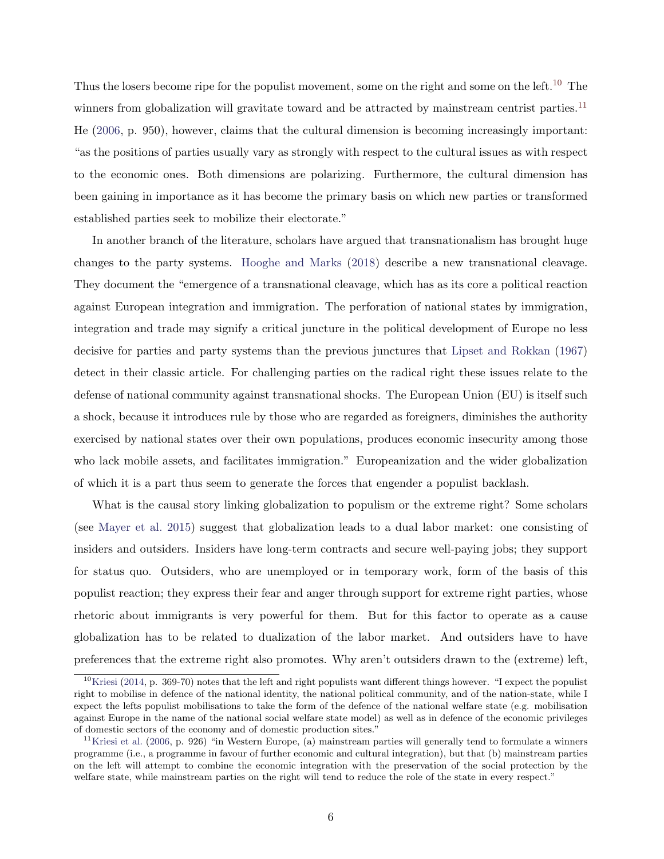Thus the losers become ripe for the populist movement, some on the right and some on the left.<sup>[10](#page-6-0)</sup> The winners from globalization will gravitate toward and be attracted by mainstream centrist parties.<sup>[11](#page-6-1)</sup> He [\(2006,](#page-46-3) p. 950), however, claims that the cultural dimension is becoming increasingly important: "as the positions of parties usually vary as strongly with respect to the cultural issues as with respect to the economic ones. Both dimensions are polarizing. Furthermore, the cultural dimension has been gaining in importance as it has become the primary basis on which new parties or transformed established parties seek to mobilize their electorate."

In another branch of the literature, scholars have argued that transnationalism has brought huge changes to the party systems. [Hooghe and Marks](#page-45-7) [\(2018\)](#page-45-7) describe a new transnational cleavage. They document the "emergence of a transnational cleavage, which has as its core a political reaction against European integration and immigration. The perforation of national states by immigration, integration and trade may signify a critical juncture in the political development of Europe no less decisive for parties and party systems than the previous junctures that [Lipset and Rokkan](#page-46-5) [\(1967\)](#page-46-5) detect in their classic article. For challenging parties on the radical right these issues relate to the defense of national community against transnational shocks. The European Union (EU) is itself such a shock, because it introduces rule by those who are regarded as foreigners, diminishes the authority exercised by national states over their own populations, produces economic insecurity among those who lack mobile assets, and facilitates immigration." Europeanization and the wider globalization of which it is a part thus seem to generate the forces that engender a populist backlash.

What is the causal story linking globalization to populism or the extreme right? Some scholars (see [Mayer et al.](#page-46-6) [2015\)](#page-46-6) suggest that globalization leads to a dual labor market: one consisting of insiders and outsiders. Insiders have long-term contracts and secure well-paying jobs; they support for status quo. Outsiders, who are unemployed or in temporary work, form of the basis of this populist reaction; they express their fear and anger through support for extreme right parties, whose rhetoric about immigrants is very powerful for them. But for this factor to operate as a cause globalization has to be related to dualization of the labor market. And outsiders have to have preferences that the extreme right also promotes. Why aren't outsiders drawn to the (extreme) left,

<span id="page-6-0"></span> $10$ [Kriesi](#page-46-4) [\(2014,](#page-46-4) p. 369-70) notes that the left and right populists want different things however. "I expect the populist right to mobilise in defence of the national identity, the national political community, and of the nation-state, while I expect the lefts populist mobilisations to take the form of the defence of the national welfare state (e.g. mobilisation against Europe in the name of the national social welfare state model) as well as in defence of the economic privileges of domestic sectors of the economy and of domestic production sites."

<span id="page-6-1"></span><sup>&</sup>lt;sup>11</sup>[Kriesi et al.](#page-46-3) [\(2006,](#page-46-3) p. 926) "in Western Europe, (a) mainstream parties will generally tend to formulate a winners programme (i.e., a programme in favour of further economic and cultural integration), but that (b) mainstream parties on the left will attempt to combine the economic integration with the preservation of the social protection by the welfare state, while mainstream parties on the right will tend to reduce the role of the state in every respect."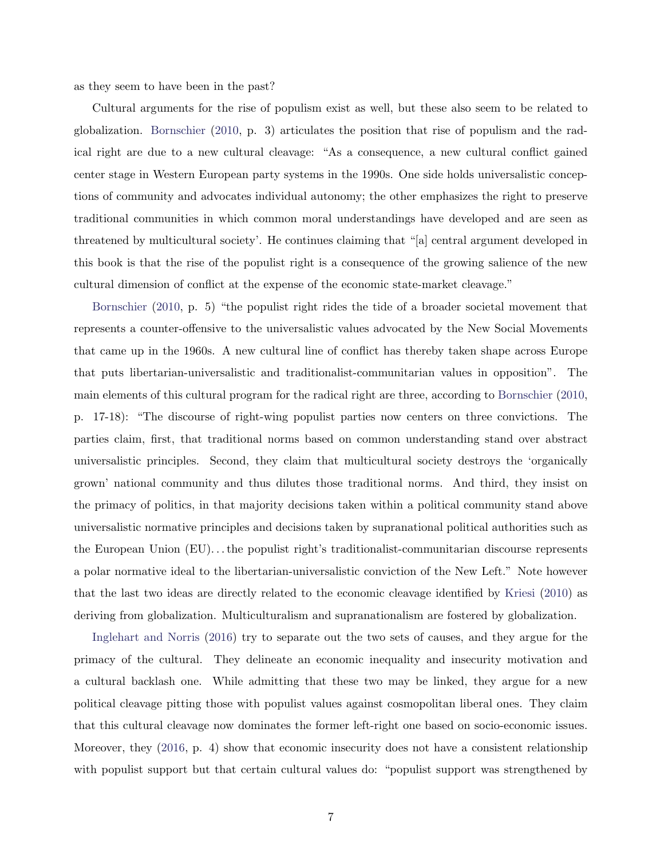as they seem to have been in the past?

Cultural arguments for the rise of populism exist as well, but these also seem to be related to globalization. [Bornschier](#page-43-5) [\(2010,](#page-43-5) p. 3) articulates the position that rise of populism and the radical right are due to a new cultural cleavage: "As a consequence, a new cultural conflict gained center stage in Western European party systems in the 1990s. One side holds universalistic conceptions of community and advocates individual autonomy; the other emphasizes the right to preserve traditional communities in which common moral understandings have developed and are seen as threatened by multicultural society'. He continues claiming that "[a] central argument developed in this book is that the rise of the populist right is a consequence of the growing salience of the new cultural dimension of conflict at the expense of the economic state-market cleavage."

[Bornschier](#page-43-5) [\(2010,](#page-43-5) p. 5) "the populist right rides the tide of a broader societal movement that represents a counter-offensive to the universalistic values advocated by the New Social Movements that came up in the 1960s. A new cultural line of conflict has thereby taken shape across Europe that puts libertarian-universalistic and traditionalist-communitarian values in opposition". The main elements of this cultural program for the radical right are three, according to [Bornschier](#page-43-5) [\(2010,](#page-43-5) p. 17-18): "The discourse of right-wing populist parties now centers on three convictions. The parties claim, first, that traditional norms based on common understanding stand over abstract universalistic principles. Second, they claim that multicultural society destroys the 'organically grown' national community and thus dilutes those traditional norms. And third, they insist on the primacy of politics, in that majority decisions taken within a political community stand above universalistic normative principles and decisions taken by supranational political authorities such as the European Union (EU). . . the populist right's traditionalist-communitarian discourse represents a polar normative ideal to the libertarian-universalistic conviction of the New Left." Note however that the last two ideas are directly related to the economic cleavage identified by [Kriesi](#page-46-1) [\(2010\)](#page-46-1) as deriving from globalization. Multiculturalism and supranationalism are fostered by globalization.

[Inglehart and Norris](#page-45-5) [\(2016\)](#page-45-5) try to separate out the two sets of causes, and they argue for the primacy of the cultural. They delineate an economic inequality and insecurity motivation and a cultural backlash one. While admitting that these two may be linked, they argue for a new political cleavage pitting those with populist values against cosmopolitan liberal ones. They claim that this cultural cleavage now dominates the former left-right one based on socio-economic issues. Moreover, they [\(2016,](#page-45-5) p. 4) show that economic insecurity does not have a consistent relationship with populist support but that certain cultural values do: "populist support was strengthened by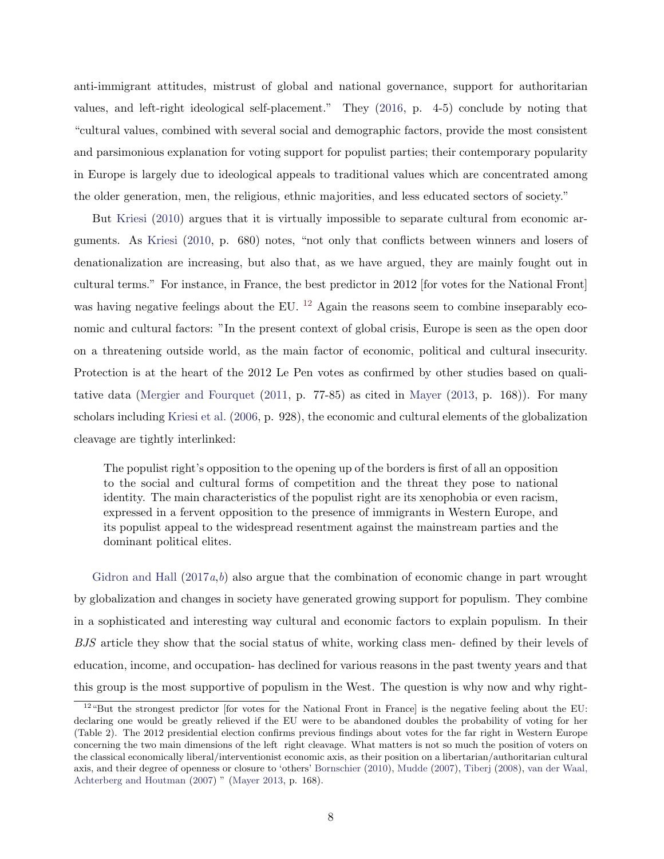anti-immigrant attitudes, mistrust of global and national governance, support for authoritarian values, and left-right ideological self-placement." They [\(2016,](#page-45-5) p. 4-5) conclude by noting that "cultural values, combined with several social and demographic factors, provide the most consistent and parsimonious explanation for voting support for populist parties; their contemporary popularity in Europe is largely due to ideological appeals to traditional values which are concentrated among the older generation, men, the religious, ethnic majorities, and less educated sectors of society."

But [Kriesi](#page-46-1) [\(2010\)](#page-46-1) argues that it is virtually impossible to separate cultural from economic arguments. As [Kriesi](#page-46-1) [\(2010,](#page-46-1) p. 680) notes, "not only that conflicts between winners and losers of denationalization are increasing, but also that, as we have argued, they are mainly fought out in cultural terms." For instance, in France, the best predictor in 2012 [for votes for the National Front] was having negative feelings about the EU.  $^{12}$  $^{12}$  $^{12}$  Again the reasons seem to combine inseparably economic and cultural factors: "In the present context of global crisis, Europe is seen as the open door on a threatening outside world, as the main factor of economic, political and cultural insecurity. Protection is at the heart of the 2012 Le Pen votes as confirmed by other studies based on qualitative data [\(Mergier and Fourquet](#page-46-7) [\(2011,](#page-46-7) p. 77-85) as cited in [Mayer](#page-46-2) [\(2013,](#page-46-2) p. 168)). For many scholars including [Kriesi et al.](#page-46-3) [\(2006,](#page-46-3) p. 928), the economic and cultural elements of the globalization cleavage are tightly interlinked:

The populist right's opposition to the opening up of the borders is first of all an opposition to the social and cultural forms of competition and the threat they pose to national identity. The main characteristics of the populist right are its xenophobia or even racism, expressed in a fervent opposition to the presence of immigrants in Western Europe, and its populist appeal to the widespread resentment against the mainstream parties and the dominant political elites.

[Gidron and Hall](#page-45-8)  $(2017a,b)$  $(2017a,b)$  $(2017a,b)$  $(2017a,b)$  also argue that the combination of economic change in part wrought by globalization and changes in society have generated growing support for populism. They combine in a sophisticated and interesting way cultural and economic factors to explain populism. In their BJS article they show that the social status of white, working class men- defined by their levels of education, income, and occupation- has declined for various reasons in the past twenty years and that this group is the most supportive of populism in the West. The question is why now and why right-

<span id="page-8-0"></span> $12\text{ }^{\prime\prime}$ But the strongest predictor [for votes for the National Front in France] is the negative feeling about the EU: declaring one would be greatly relieved if the EU were to be abandoned doubles the probability of voting for her (Table 2). The 2012 presidential election confirms previous findings about votes for the far right in Western Europe concerning the two main dimensions of the left right cleavage. What matters is not so much the position of voters on the classical economically liberal/interventionist economic axis, as their position on a libertarian/authoritarian cultural axis, and their degree of openness or closure to 'others' [Bornschier](#page-43-5) [\(2010\)](#page-43-5), [Mudde](#page-47-4) [\(2007\)](#page-47-4), [Tiberj](#page-48-0) [\(2008\)](#page-48-0), [van der Waal,](#page-48-1) [Achterberg and Houtman](#page-48-1) [\(2007\)](#page-48-1) " [\(Mayer](#page-46-2) [2013,](#page-46-2) p. 168).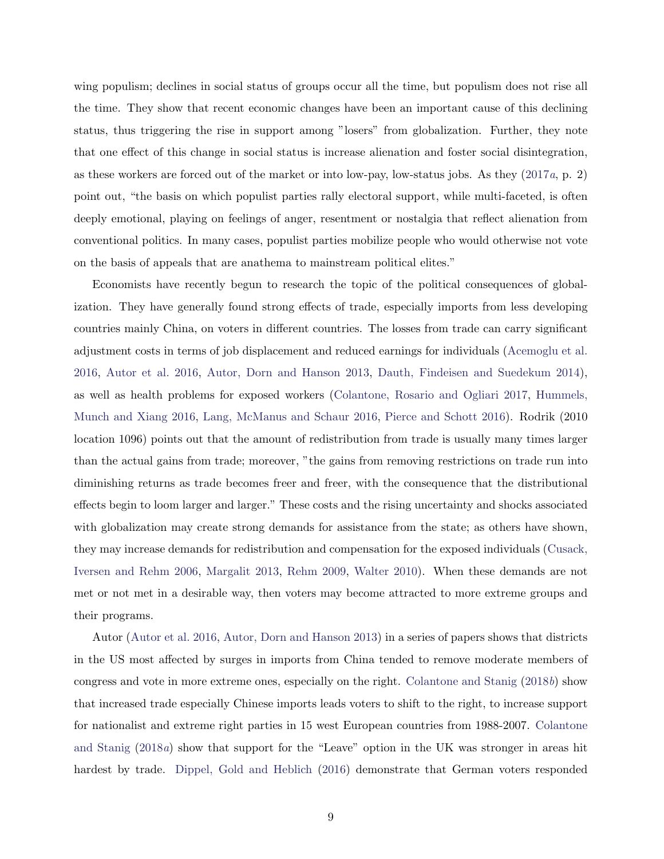wing populism; declines in social status of groups occur all the time, but populism does not rise all the time. They show that recent economic changes have been an important cause of this declining status, thus triggering the rise in support among "losers" from globalization. Further, they note that one effect of this change in social status is increase alienation and foster social disintegration, as these workers are forced out of the market or into low-pay, low-status jobs. As they [\(2017](#page-45-8)a, p. 2) point out, "the basis on which populist parties rally electoral support, while multi-faceted, is often deeply emotional, playing on feelings of anger, resentment or nostalgia that reflect alienation from conventional politics. In many cases, populist parties mobilize people who would otherwise not vote on the basis of appeals that are anathema to mainstream political elites."

Economists have recently begun to research the topic of the political consequences of globalization. They have generally found strong effects of trade, especially imports from less developing countries mainly China, on voters in different countries. The losses from trade can carry significant adjustment costs in terms of job displacement and reduced earnings for individuals [\(Acemoglu et al.](#page-43-6) [2016,](#page-43-6) [Autor et al.](#page-43-7) [2016,](#page-43-7) [Autor, Dorn and Hanson](#page-43-8) [2013,](#page-43-8) [Dauth, Findeisen and Suedekum](#page-44-2) [2014\)](#page-44-2), as well as health problems for exposed workers [\(Colantone, Rosario and Ogliari](#page-44-3) [2017,](#page-44-3) [Hummels,](#page-45-10) [Munch and Xiang](#page-45-10) [2016,](#page-45-10) [Lang, McManus and Schaur](#page-46-8) [2016,](#page-46-8) [Pierce and Schott](#page-47-6) [2016\)](#page-47-6). Rodrik (2010 location 1096) points out that the amount of redistribution from trade is usually many times larger than the actual gains from trade; moreover, "the gains from removing restrictions on trade run into diminishing returns as trade becomes freer and freer, with the consequence that the distributional effects begin to loom larger and larger." These costs and the rising uncertainty and shocks associated with globalization may create strong demands for assistance from the state; as others have shown, they may increase demands for redistribution and compensation for the exposed individuals [\(Cusack,](#page-44-4) [Iversen and Rehm](#page-44-4) [2006,](#page-44-4) [Margalit](#page-46-9) [2013,](#page-46-9) [Rehm](#page-47-7) [2009,](#page-47-7) [Walter](#page-48-2) [2010\)](#page-48-2). When these demands are not met or not met in a desirable way, then voters may become attracted to more extreme groups and their programs.

Autor [\(Autor et al.](#page-43-7) [2016,](#page-43-7) [Autor, Dorn and Hanson](#page-43-8) [2013\)](#page-43-8) in a series of papers shows that districts in the US most affected by surges in imports from China tended to remove moderate members of congress and vote in more extreme ones, especially on the right. [Colantone and Stanig](#page-44-5) [\(2018](#page-44-5)b) show that increased trade especially Chinese imports leads voters to shift to the right, to increase support for nationalist and extreme right parties in 15 west European countries from 1988-2007. [Colantone](#page-44-6) [and Stanig](#page-44-6) [\(2018](#page-44-6)a) show that support for the "Leave" option in the UK was stronger in areas hit hardest by trade. [Dippel, Gold and Heblich](#page-44-7) [\(2016\)](#page-44-7) demonstrate that German voters responded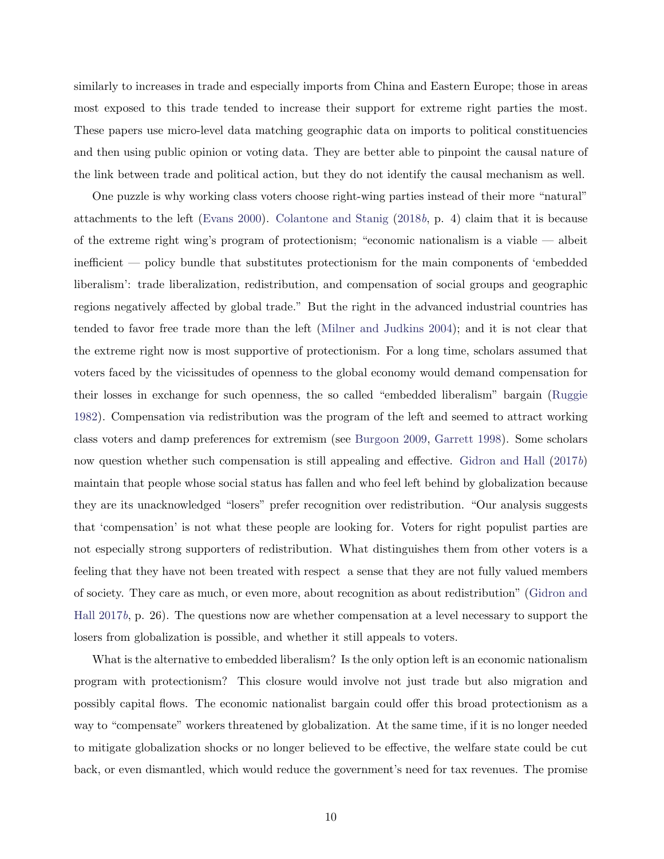similarly to increases in trade and especially imports from China and Eastern Europe; those in areas most exposed to this trade tended to increase their support for extreme right parties the most. These papers use micro-level data matching geographic data on imports to political constituencies and then using public opinion or voting data. They are better able to pinpoint the causal nature of the link between trade and political action, but they do not identify the causal mechanism as well.

One puzzle is why working class voters choose right-wing parties instead of their more "natural" attachments to the left [\(Evans](#page-44-8) [2000\)](#page-44-8). [Colantone and Stanig](#page-44-5)  $(2018b, p. 4)$  $(2018b, p. 4)$  claim that it is because of the extreme right wing's program of protectionism; "economic nationalism is a viable — albeit inefficient — policy bundle that substitutes protectionism for the main components of 'embedded liberalism': trade liberalization, redistribution, and compensation of social groups and geographic regions negatively affected by global trade." But the right in the advanced industrial countries has tended to favor free trade more than the left [\(Milner and Judkins](#page-47-8) [2004\)](#page-47-8); and it is not clear that the extreme right now is most supportive of protectionism. For a long time, scholars assumed that voters faced by the vicissitudes of openness to the global economy would demand compensation for their losses in exchange for such openness, the so called "embedded liberalism" bargain [\(Ruggie](#page-47-2) [1982\)](#page-47-2). Compensation via redistribution was the program of the left and seemed to attract working class voters and damp preferences for extremism (see [Burgoon](#page-43-0) [2009,](#page-43-0) [Garrett](#page-45-1) [1998\)](#page-45-1). Some scholars now question whether such compensation is still appealing and effective. [Gidron and Hall](#page-45-9) [\(2017](#page-45-9)b) maintain that people whose social status has fallen and who feel left behind by globalization because they are its unacknowledged "losers" prefer recognition over redistribution. "Our analysis suggests that 'compensation' is not what these people are looking for. Voters for right populist parties are not especially strong supporters of redistribution. What distinguishes them from other voters is a feeling that they have not been treated with respect a sense that they are not fully valued members of society. They care as much, or even more, about recognition as about redistribution" [\(Gidron and](#page-45-9) [Hall](#page-45-9) [2017](#page-45-9)b, p. 26). The questions now are whether compensation at a level necessary to support the losers from globalization is possible, and whether it still appeals to voters.

What is the alternative to embedded liberalism? Is the only option left is an economic nationalism program with protectionism? This closure would involve not just trade but also migration and possibly capital flows. The economic nationalist bargain could offer this broad protectionism as a way to "compensate" workers threatened by globalization. At the same time, if it is no longer needed to mitigate globalization shocks or no longer believed to be effective, the welfare state could be cut back, or even dismantled, which would reduce the government's need for tax revenues. The promise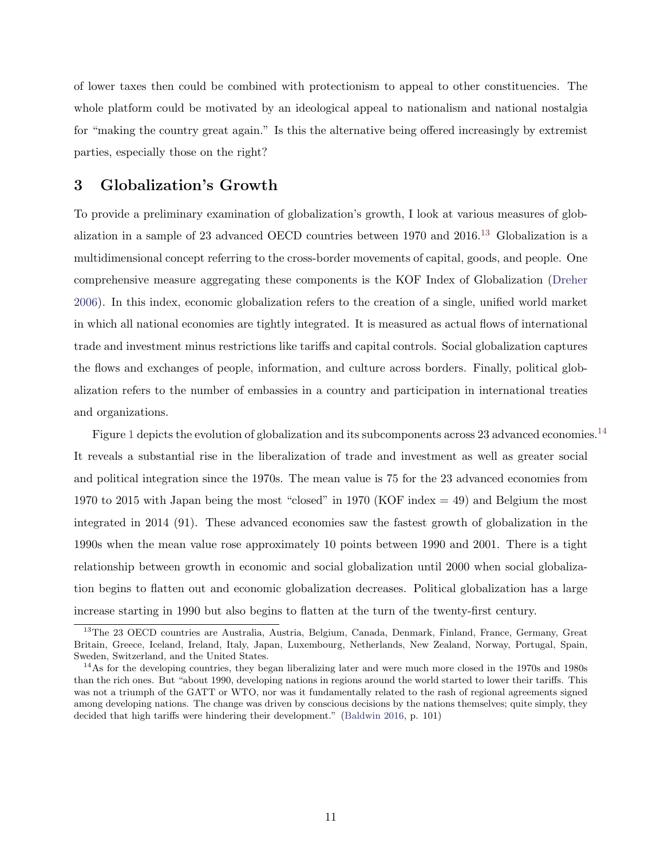of lower taxes then could be combined with protectionism to appeal to other constituencies. The whole platform could be motivated by an ideological appeal to nationalism and national nostalgia for "making the country great again." Is this the alternative being offered increasingly by extremist parties, especially those on the right?

### 3 Globalization's Growth

To provide a preliminary examination of globalization's growth, I look at various measures of globalization in a sample of 23 advanced OECD countries between 1970 and 2016.[13](#page-11-0) Globalization is a multidimensional concept referring to the cross-border movements of capital, goods, and people. One comprehensive measure aggregating these components is the KOF Index of Globalization [\(Dreher](#page-44-9) [2006\)](#page-44-9). In this index, economic globalization refers to the creation of a single, unified world market in which all national economies are tightly integrated. It is measured as actual flows of international trade and investment minus restrictions like tariffs and capital controls. Social globalization captures the flows and exchanges of people, information, and culture across borders. Finally, political globalization refers to the number of embassies in a country and participation in international treaties and organizations.

Figure [1](#page-12-0) depicts the evolution of globalization and its subcomponents across 23 advanced economies.[14](#page-11-1) It reveals a substantial rise in the liberalization of trade and investment as well as greater social and political integration since the 1970s. The mean value is 75 for the 23 advanced economies from 1970 to 2015 with Japan being the most "closed" in 1970 (KOF index = 49) and Belgium the most integrated in 2014 (91). These advanced economies saw the fastest growth of globalization in the 1990s when the mean value rose approximately 10 points between 1990 and 2001. There is a tight relationship between growth in economic and social globalization until 2000 when social globalization begins to flatten out and economic globalization decreases. Political globalization has a large increase starting in 1990 but also begins to flatten at the turn of the twenty-first century.

<span id="page-11-0"></span><sup>&</sup>lt;sup>13</sup>The 23 OECD countries are Australia, Austria, Belgium, Canada, Denmark, Finland, France, Germany, Great Britain, Greece, Iceland, Ireland, Italy, Japan, Luxembourg, Netherlands, New Zealand, Norway, Portugal, Spain, Sweden, Switzerland, and the United States.

<span id="page-11-1"></span><sup>&</sup>lt;sup>14</sup>As for the developing countries, they began liberalizing later and were much more closed in the 1970s and 1980s than the rich ones. But "about 1990, developing nations in regions around the world started to lower their tariffs. This was not a triumph of the GATT or WTO, nor was it fundamentally related to the rash of regional agreements signed among developing nations. The change was driven by conscious decisions by the nations themselves; quite simply, they decided that high tariffs were hindering their development." [\(Baldwin](#page-43-9) [2016,](#page-43-9) p. 101)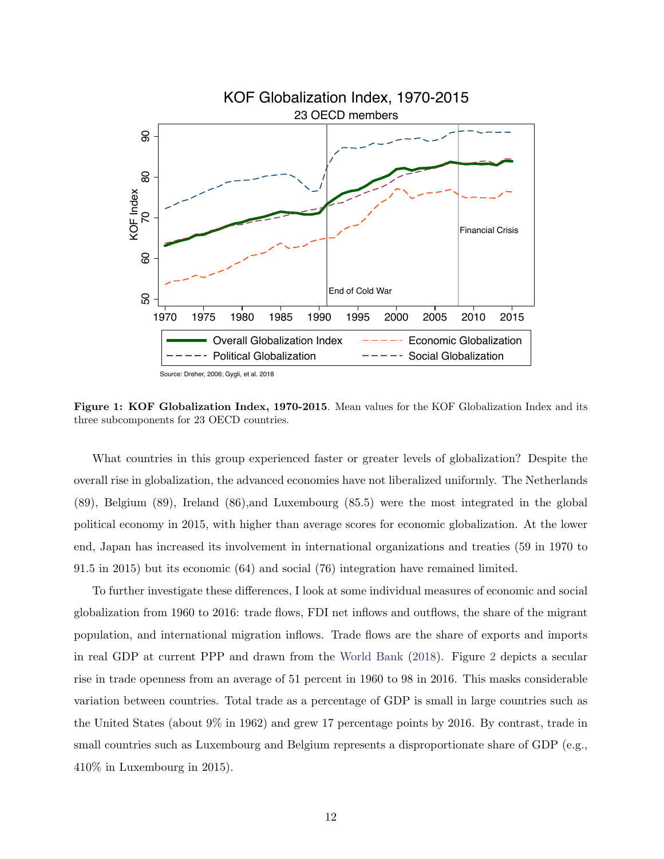<span id="page-12-0"></span>

Source: Dreher, 2006; Gygli, et al. 2018

Figure 1: KOF Globalization Index, 1970-2015. Mean values for the KOF Globalization Index and its three subcomponents for 23 OECD countries.

What countries in this group experienced faster or greater levels of globalization? Despite the overall rise in globalization, the advanced economies have not liberalized uniformly. The Netherlands (89), Belgium (89), Ireland (86),and Luxembourg (85.5) were the most integrated in the global political economy in 2015, with higher than average scores for economic globalization. At the lower end, Japan has increased its involvement in international organizations and treaties (59 in 1970 to 91.5 in 2015) but its economic (64) and social (76) integration have remained limited.

To further investigate these differences, I look at some individual measures of economic and social globalization from 1960 to 2016: trade flows, FDI net inflows and outflows, the share of the migrant population, and international migration inflows. Trade flows are the share of exports and imports in real GDP at current PPP and drawn from the [World Bank](#page-49-0) [\(2018\)](#page-49-0). Figure [2](#page-14-0) depicts a secular rise in trade openness from an average of 51 percent in 1960 to 98 in 2016. This masks considerable variation between countries. Total trade as a percentage of GDP is small in large countries such as the United States (about 9% in 1962) and grew 17 percentage points by 2016. By contrast, trade in small countries such as Luxembourg and Belgium represents a disproportionate share of GDP (e.g., 410% in Luxembourg in 2015).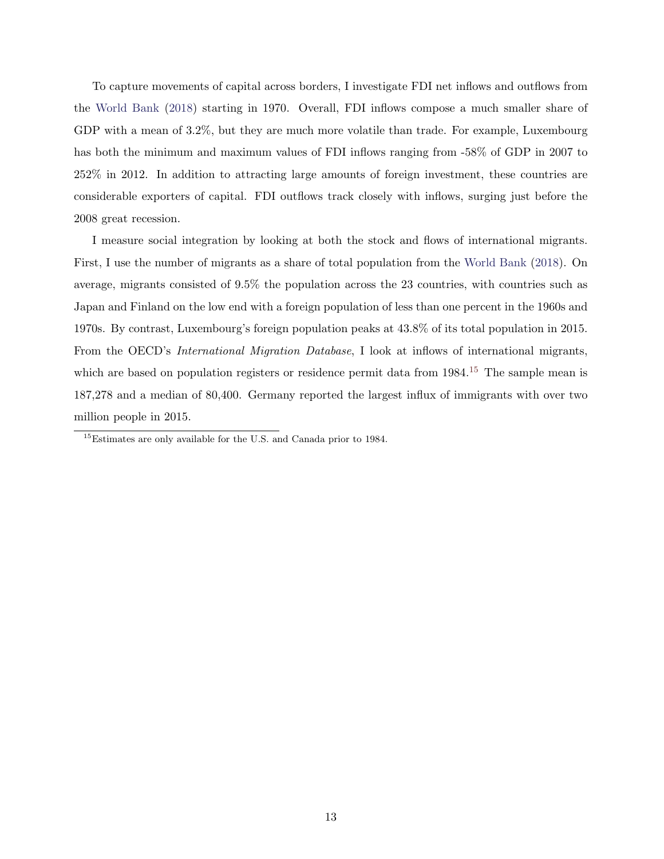To capture movements of capital across borders, I investigate FDI net inflows and outflows from the [World Bank](#page-49-0) [\(2018\)](#page-49-0) starting in 1970. Overall, FDI inflows compose a much smaller share of GDP with a mean of 3.2%, but they are much more volatile than trade. For example, Luxembourg has both the minimum and maximum values of FDI inflows ranging from -58% of GDP in 2007 to 252% in 2012. In addition to attracting large amounts of foreign investment, these countries are considerable exporters of capital. FDI outflows track closely with inflows, surging just before the 2008 great recession.

I measure social integration by looking at both the stock and flows of international migrants. First, I use the number of migrants as a share of total population from the [World Bank](#page-49-0) [\(2018\)](#page-49-0). On average, migrants consisted of 9.5% the population across the 23 countries, with countries such as Japan and Finland on the low end with a foreign population of less than one percent in the 1960s and 1970s. By contrast, Luxembourg's foreign population peaks at 43.8% of its total population in 2015. From the OECD's International Migration Database, I look at inflows of international migrants, which are based on population registers or residence permit data from 1984.<sup>[15](#page-13-0)</sup> The sample mean is 187,278 and a median of 80,400. Germany reported the largest influx of immigrants with over two million people in 2015.

<span id="page-13-0"></span><sup>15</sup>Estimates are only available for the U.S. and Canada prior to 1984.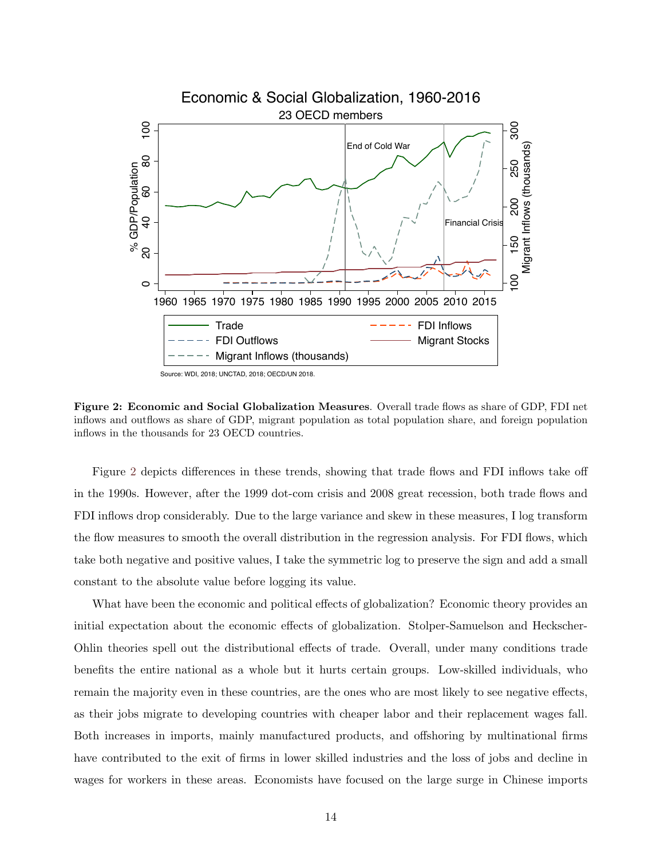<span id="page-14-0"></span>

Figure 2: Economic and Social Globalization Measures. Overall trade flows as share of GDP, FDI net inflows and outflows as share of GDP, migrant population as total population share, and foreign population inflows in the thousands for 23 OECD countries.

Figure [2](#page-14-0) depicts differences in these trends, showing that trade flows and FDI inflows take off in the 1990s. However, after the 1999 dot-com crisis and 2008 great recession, both trade flows and FDI inflows drop considerably. Due to the large variance and skew in these measures, I log transform the flow measures to smooth the overall distribution in the regression analysis. For FDI flows, which take both negative and positive values, I take the symmetric log to preserve the sign and add a small constant to the absolute value before logging its value.

What have been the economic and political effects of globalization? Economic theory provides an initial expectation about the economic effects of globalization. Stolper-Samuelson and Heckscher-Ohlin theories spell out the distributional effects of trade. Overall, under many conditions trade benefits the entire national as a whole but it hurts certain groups. Low-skilled individuals, who remain the majority even in these countries, are the ones who are most likely to see negative effects, as their jobs migrate to developing countries with cheaper labor and their replacement wages fall. Both increases in imports, mainly manufactured products, and offshoring by multinational firms have contributed to the exit of firms in lower skilled industries and the loss of jobs and decline in wages for workers in these areas. Economists have focused on the large surge in Chinese imports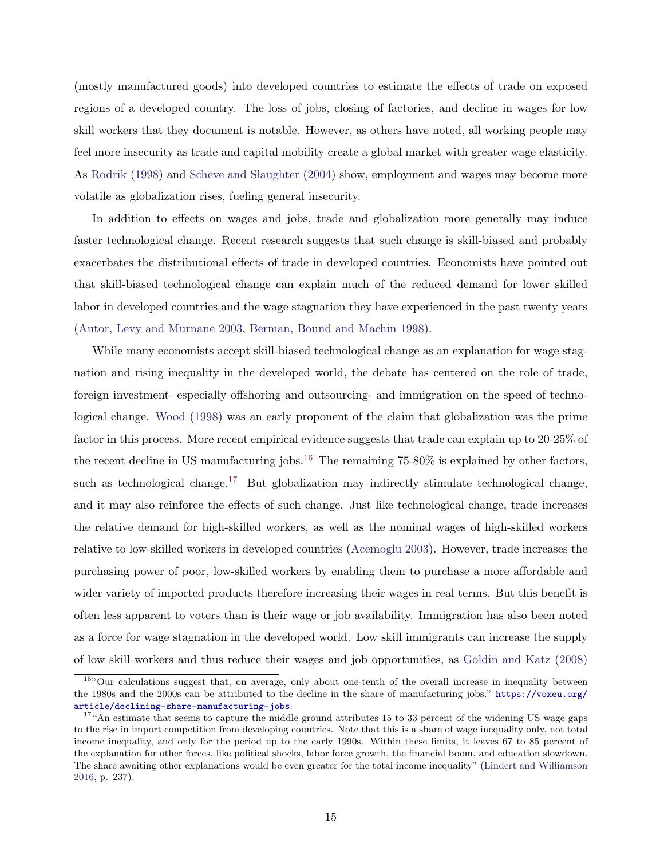(mostly manufactured goods) into developed countries to estimate the effects of trade on exposed regions of a developed country. The loss of jobs, closing of factories, and decline in wages for low skill workers that they document is notable. However, as others have noted, all working people may feel more insecurity as trade and capital mobility create a global market with greater wage elasticity. As [Rodrik](#page-47-3) [\(1998\)](#page-47-3) and [Scheve and Slaughter](#page-48-3) [\(2004\)](#page-48-3) show, employment and wages may become more volatile as globalization rises, fueling general insecurity.

In addition to effects on wages and jobs, trade and globalization more generally may induce faster technological change. Recent research suggests that such change is skill-biased and probably exacerbates the distributional effects of trade in developed countries. Economists have pointed out that skill-biased technological change can explain much of the reduced demand for lower skilled labor in developed countries and the wage stagnation they have experienced in the past twenty years [\(Autor, Levy and Murnane](#page-43-10) [2003,](#page-43-10) [Berman, Bound and Machin](#page-43-11) [1998\)](#page-43-11).

While many economists accept skill-biased technological change as an explanation for wage stagnation and rising inequality in the developed world, the debate has centered on the role of trade, foreign investment- especially offshoring and outsourcing- and immigration on the speed of technological change. [Wood](#page-49-1) [\(1998\)](#page-49-1) was an early proponent of the claim that globalization was the prime factor in this process. More recent empirical evidence suggests that trade can explain up to 20-25% of the recent decline in US manufacturing jobs.<sup>[16](#page-15-0)</sup> The remaining  $75{\text -}80\%$  is explained by other factors, such as technological change.<sup>[17](#page-15-1)</sup> But globalization may indirectly stimulate technological change, and it may also reinforce the effects of such change. Just like technological change, trade increases the relative demand for high-skilled workers, as well as the nominal wages of high-skilled workers relative to low-skilled workers in developed countries [\(Acemoglu](#page-43-12) [2003\)](#page-43-12). However, trade increases the purchasing power of poor, low-skilled workers by enabling them to purchase a more affordable and wider variety of imported products therefore increasing their wages in real terms. But this benefit is often less apparent to voters than is their wage or job availability. Immigration has also been noted as a force for wage stagnation in the developed world. Low skill immigrants can increase the supply of low skill workers and thus reduce their wages and job opportunities, as [Goldin and Katz](#page-45-11) [\(2008\)](#page-45-11)

<span id="page-15-0"></span><sup>&</sup>lt;sup>16</sup>"Our calculations suggest that, on average, only about one-tenth of the overall increase in inequality between the 1980s and the 2000s can be attributed to the decline in the share of manufacturing jobs." [https://voxeu.org/](https://voxeu.org/article/declining-share-manufacturing-jobs) [article/declining-share-manufacturing-jobs](https://voxeu.org/article/declining-share-manufacturing-jobs).

<span id="page-15-1"></span><sup>&</sup>lt;sup>17</sup>"An estimate that seems to capture the middle ground attributes 15 to 33 percent of the widening US wage gaps to the rise in import competition from developing countries. Note that this is a share of wage inequality only, not total income inequality, and only for the period up to the early 1990s. Within these limits, it leaves 67 to 85 percent of the explanation for other forces, like political shocks, labor force growth, the financial boom, and education slowdown. The share awaiting other explanations would be even greater for the total income inequality" [\(Lindert and Williamson](#page-46-10) [2016,](#page-46-10) p. 237).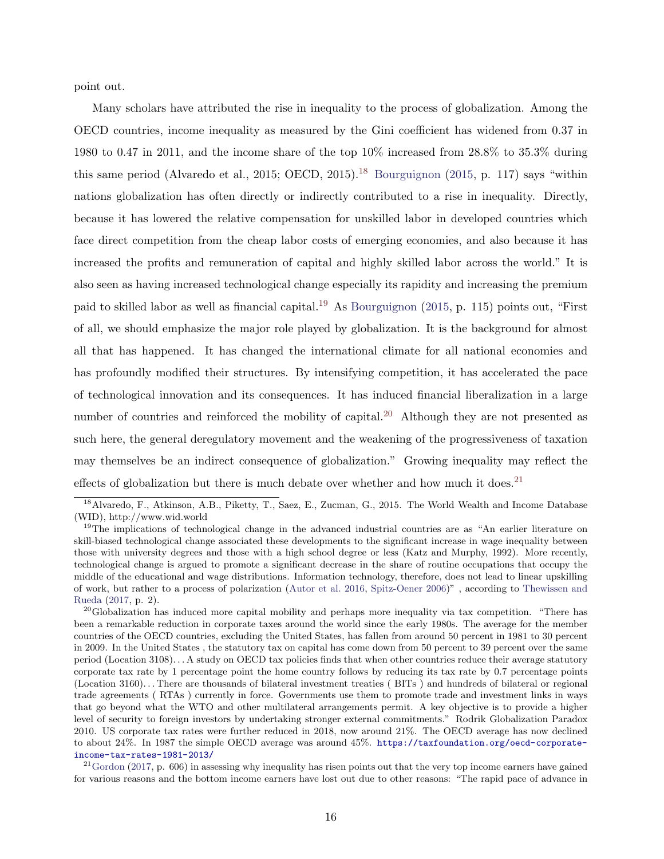point out.

Many scholars have attributed the rise in inequality to the process of globalization. Among the OECD countries, income inequality as measured by the Gini coefficient has widened from 0.37 in 1980 to 0.47 in 2011, and the income share of the top 10% increased from 28.8% to 35.3% during this same period (Alvaredo et al., 2015; OECD, 2015).<sup>[18](#page-16-0)</sup> [Bourguignon](#page-43-1) [\(2015,](#page-43-1) p. 117) says "within nations globalization has often directly or indirectly contributed to a rise in inequality. Directly, because it has lowered the relative compensation for unskilled labor in developed countries which face direct competition from the cheap labor costs of emerging economies, and also because it has increased the profits and remuneration of capital and highly skilled labor across the world." It is also seen as having increased technological change especially its rapidity and increasing the premium paid to skilled labor as well as financial capital.[19](#page-16-1) As [Bourguignon](#page-43-1) [\(2015,](#page-43-1) p. 115) points out, "First of all, we should emphasize the major role played by globalization. It is the background for almost all that has happened. It has changed the international climate for all national economies and has profoundly modified their structures. By intensifying competition, it has accelerated the pace of technological innovation and its consequences. It has induced financial liberalization in a large number of countries and reinforced the mobility of capital.<sup>[20](#page-16-2)</sup> Although they are not presented as such here, the general deregulatory movement and the weakening of the progressiveness of taxation may themselves be an indirect consequence of globalization." Growing inequality may reflect the effects of globalization but there is much debate over whether and how much it does.<sup>[21](#page-16-3)</sup>

<span id="page-16-0"></span><sup>18</sup>Alvaredo, F., Atkinson, A.B., Piketty, T., Saez, E., Zucman, G., 2015. The World Wealth and Income Database (WID), http://www.wid.world

<span id="page-16-1"></span><sup>&</sup>lt;sup>19</sup>The implications of technological change in the advanced industrial countries are as "An earlier literature on skill-biased technological change associated these developments to the significant increase in wage inequality between those with university degrees and those with a high school degree or less (Katz and Murphy, 1992). More recently, technological change is argued to promote a significant decrease in the share of routine occupations that occupy the middle of the educational and wage distributions. Information technology, therefore, does not lead to linear upskilling of work, but rather to a process of polarization [\(Autor et al.](#page-43-7) [2016,](#page-43-7) [Spitz-Oener](#page-48-4) [2006\)](#page-48-4)" , according to [Thewissen and](#page-48-5) [Rueda](#page-48-5) [\(2017,](#page-48-5) p. 2).

<span id="page-16-2"></span> $^{20}$ Globalization has induced more capital mobility and perhaps more inequality via tax competition. "There has been a remarkable reduction in corporate taxes around the world since the early 1980s. The average for the member countries of the OECD countries, excluding the United States, has fallen from around 50 percent in 1981 to 30 percent in 2009. In the United States , the statutory tax on capital has come down from 50 percent to 39 percent over the same period (Location 3108). . . A study on OECD tax policies finds that when other countries reduce their average statutory corporate tax rate by 1 percentage point the home country follows by reducing its tax rate by 0.7 percentage points (Location 3160). . . There are thousands of bilateral investment treaties ( BITs ) and hundreds of bilateral or regional trade agreements ( RTAs ) currently in force. Governments use them to promote trade and investment links in ways that go beyond what the WTO and other multilateral arrangements permit. A key objective is to provide a higher level of security to foreign investors by undertaking stronger external commitments." Rodrik Globalization Paradox 2010. US corporate tax rates were further reduced in 2018, now around 21%. The OECD average has now declined to about 24%. In 1987 the simple OECD average was around 45%. [https://taxfoundation.org/oecd-corporate](https://taxfoundation.org/oecd-corporate-income-tax-rates-1981-2013/)[income-tax-rates-1981-2013/](https://taxfoundation.org/oecd-corporate-income-tax-rates-1981-2013/)

<span id="page-16-3"></span> $21$ [Gordon](#page-45-3) [\(2017,](#page-45-3) p. 606) in assessing why inequality has risen points out that the very top income earners have gained for various reasons and the bottom income earners have lost out due to other reasons: "The rapid pace of advance in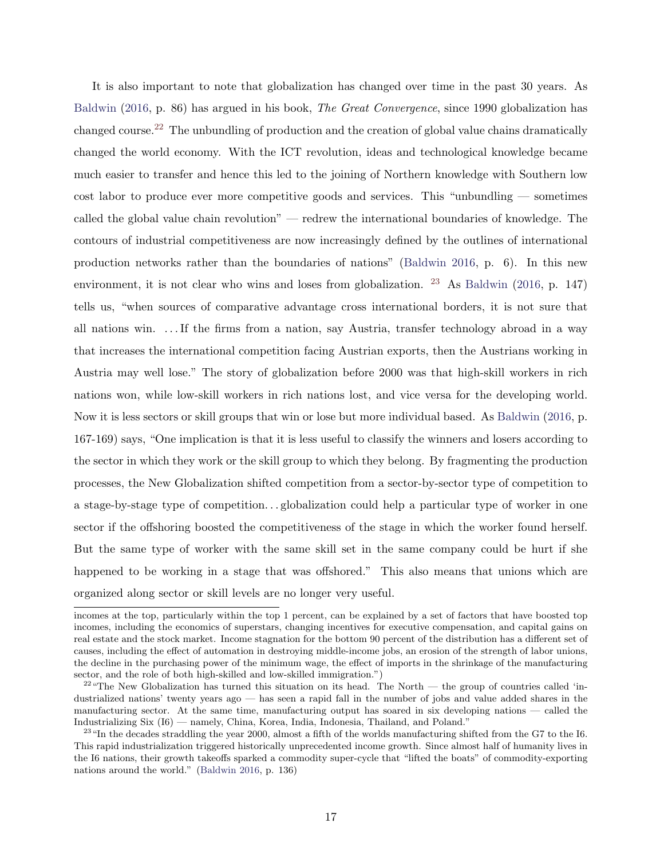It is also important to note that globalization has changed over time in the past 30 years. As [Baldwin](#page-43-9) [\(2016,](#page-43-9) p. 86) has argued in his book, The Great Convergence, since 1990 globalization has changed course.[22](#page-17-0) The unbundling of production and the creation of global value chains dramatically changed the world economy. With the ICT revolution, ideas and technological knowledge became much easier to transfer and hence this led to the joining of Northern knowledge with Southern low cost labor to produce ever more competitive goods and services. This "unbundling — sometimes called the global value chain revolution" — redrew the international boundaries of knowledge. The contours of industrial competitiveness are now increasingly defined by the outlines of international production networks rather than the boundaries of nations" [\(Baldwin](#page-43-9) [2016,](#page-43-9) p. 6). In this new environment, it is not clear who wins and loses from globalization.  $^{23}$  $^{23}$  $^{23}$  As [Baldwin](#page-43-9) [\(2016,](#page-43-9) p. 147) tells us, "when sources of comparative advantage cross international borders, it is not sure that all nations win. . . . If the firms from a nation, say Austria, transfer technology abroad in a way that increases the international competition facing Austrian exports, then the Austrians working in Austria may well lose." The story of globalization before 2000 was that high-skill workers in rich nations won, while low-skill workers in rich nations lost, and vice versa for the developing world. Now it is less sectors or skill groups that win or lose but more individual based. As [Baldwin](#page-43-9) [\(2016,](#page-43-9) p. 167-169) says, "One implication is that it is less useful to classify the winners and losers according to the sector in which they work or the skill group to which they belong. By fragmenting the production processes, the New Globalization shifted competition from a sector-by-sector type of competition to a stage-by-stage type of competition...globalization could help a particular type of worker in one sector if the offshoring boosted the competitiveness of the stage in which the worker found herself. But the same type of worker with the same skill set in the same company could be hurt if she happened to be working in a stage that was offshored." This also means that unions which are organized along sector or skill levels are no longer very useful.

incomes at the top, particularly within the top 1 percent, can be explained by a set of factors that have boosted top incomes, including the economics of superstars, changing incentives for executive compensation, and capital gains on real estate and the stock market. Income stagnation for the bottom 90 percent of the distribution has a different set of causes, including the effect of automation in destroying middle-income jobs, an erosion of the strength of labor unions, the decline in the purchasing power of the minimum wage, the effect of imports in the shrinkage of the manufacturing sector, and the role of both high-skilled and low-skilled immigration.")

<span id="page-17-0"></span> $22\text{ }\text{``The New Globalization has turned this situation on its head. The North — the group of countries called 'in-}$ dustrialized nations' twenty years ago — has seen a rapid fall in the number of jobs and value added shares in the manufacturing sector. At the same time, manufacturing output has soared in six developing nations — called the Industrializing Six (I6) — namely, China, Korea, India, Indonesia, Thailand, and Poland."

<span id="page-17-1"></span> $^{23}$  "In the decades straddling the year 2000, almost a fifth of the worlds manufacturing shifted from the G7 to the I6. This rapid industrialization triggered historically unprecedented income growth. Since almost half of humanity lives in the I6 nations, their growth takeoffs sparked a commodity super-cycle that "lifted the boats" of commodity-exporting nations around the world." [\(Baldwin](#page-43-9) [2016,](#page-43-9) p. 136)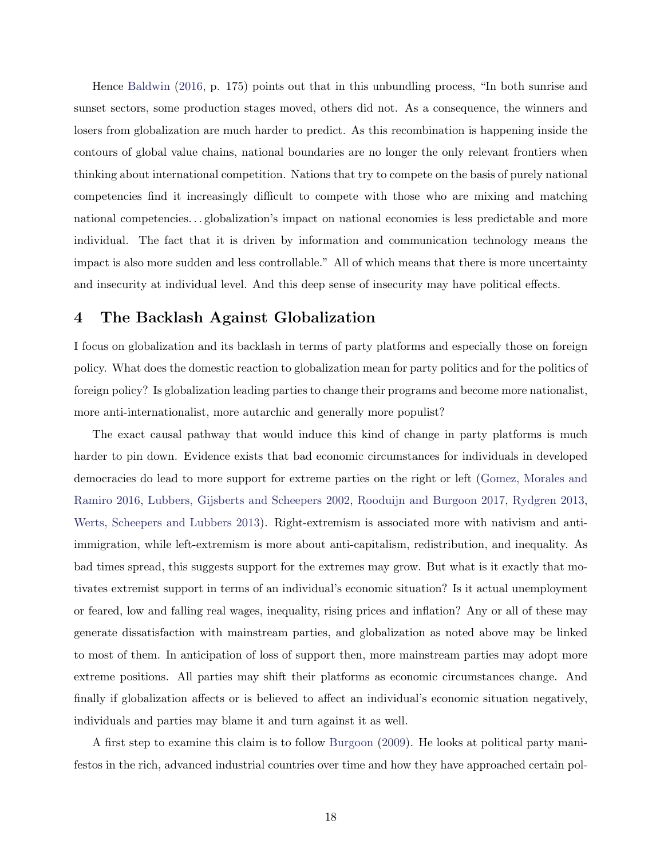Hence [Baldwin](#page-43-9) [\(2016,](#page-43-9) p. 175) points out that in this unbundling process, "In both sunrise and sunset sectors, some production stages moved, others did not. As a consequence, the winners and losers from globalization are much harder to predict. As this recombination is happening inside the contours of global value chains, national boundaries are no longer the only relevant frontiers when thinking about international competition. Nations that try to compete on the basis of purely national competencies find it increasingly difficult to compete with those who are mixing and matching national competencies. . . globalization's impact on national economies is less predictable and more individual. The fact that it is driven by information and communication technology means the impact is also more sudden and less controllable." All of which means that there is more uncertainty and insecurity at individual level. And this deep sense of insecurity may have political effects.

#### 4 The Backlash Against Globalization

I focus on globalization and its backlash in terms of party platforms and especially those on foreign policy. What does the domestic reaction to globalization mean for party politics and for the politics of foreign policy? Is globalization leading parties to change their programs and become more nationalist, more anti-internationalist, more autarchic and generally more populist?

The exact causal pathway that would induce this kind of change in party platforms is much harder to pin down. Evidence exists that bad economic circumstances for individuals in developed democracies do lead to more support for extreme parties on the right or left [\(Gomez, Morales and](#page-45-12) [Ramiro](#page-45-12) [2016,](#page-45-12) [Lubbers, Gijsberts and Scheepers](#page-46-11) [2002,](#page-46-11) [Rooduijn and Burgoon](#page-47-9) [2017,](#page-47-9) [Rydgren](#page-47-10) [2013,](#page-47-10) [Werts, Scheepers and Lubbers](#page-48-6) [2013\)](#page-48-6). Right-extremism is associated more with nativism and antiimmigration, while left-extremism is more about anti-capitalism, redistribution, and inequality. As bad times spread, this suggests support for the extremes may grow. But what is it exactly that motivates extremist support in terms of an individual's economic situation? Is it actual unemployment or feared, low and falling real wages, inequality, rising prices and inflation? Any or all of these may generate dissatisfaction with mainstream parties, and globalization as noted above may be linked to most of them. In anticipation of loss of support then, more mainstream parties may adopt more extreme positions. All parties may shift their platforms as economic circumstances change. And finally if globalization affects or is believed to affect an individual's economic situation negatively, individuals and parties may blame it and turn against it as well.

A first step to examine this claim is to follow [Burgoon](#page-43-0) [\(2009\)](#page-43-0). He looks at political party manifestos in the rich, advanced industrial countries over time and how they have approached certain pol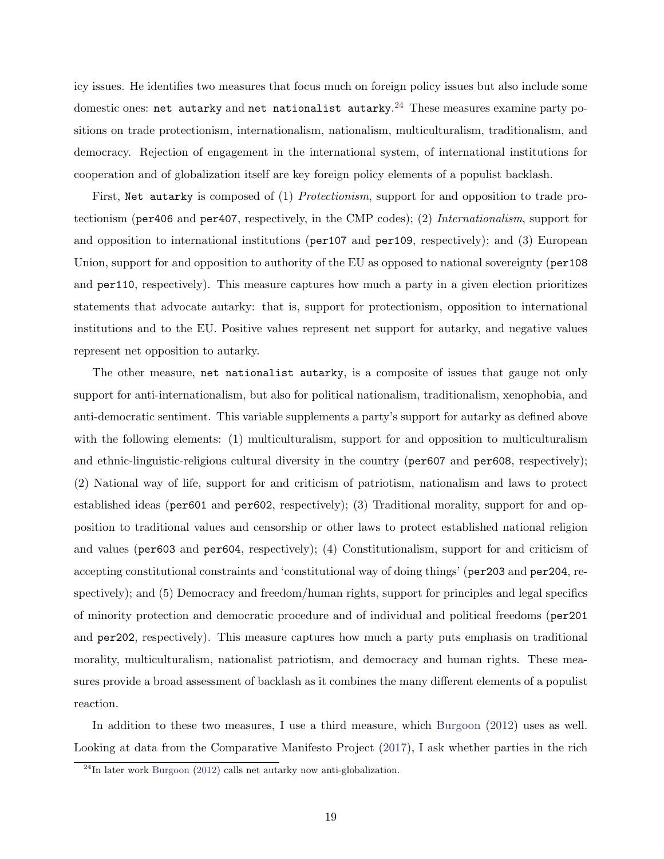icy issues. He identifies two measures that focus much on foreign policy issues but also include some domestic ones: net autarky and net nationalist autarky. $^{24}$  $^{24}$  $^{24}$  These measures examine party positions on trade protectionism, internationalism, nationalism, multiculturalism, traditionalism, and democracy. Rejection of engagement in the international system, of international institutions for cooperation and of globalization itself are key foreign policy elements of a populist backlash.

First, Net autarky is composed of (1) Protectionism, support for and opposition to trade protectionism (per406 and per407, respectively, in the CMP codes); (2) Internationalism, support for and opposition to international institutions (per107 and per109, respectively); and (3) European Union, support for and opposition to authority of the EU as opposed to national sovereignty (per108 and per110, respectively). This measure captures how much a party in a given election prioritizes statements that advocate autarky: that is, support for protectionism, opposition to international institutions and to the EU. Positive values represent net support for autarky, and negative values represent net opposition to autarky.

The other measure, net nationalist autarky, is a composite of issues that gauge not only support for anti-internationalism, but also for political nationalism, traditionalism, xenophobia, and anti-democratic sentiment. This variable supplements a party's support for autarky as defined above with the following elements: (1) multiculturalism, support for and opposition to multiculturalism and ethnic-linguistic-religious cultural diversity in the country ( $per607$  and  $per608$ , respectively); (2) National way of life, support for and criticism of patriotism, nationalism and laws to protect established ideas (per601 and per602, respectively); (3) Traditional morality, support for and opposition to traditional values and censorship or other laws to protect established national religion and values (per603 and per604, respectively); (4) Constitutionalism, support for and criticism of accepting constitutional constraints and 'constitutional way of doing things' (per203 and per204, respectively); and (5) Democracy and freedom/human rights, support for principles and legal specifics of minority protection and democratic procedure and of individual and political freedoms (per201 and per202, respectively). This measure captures how much a party puts emphasis on traditional morality, multiculturalism, nationalist patriotism, and democracy and human rights. These measures provide a broad assessment of backlash as it combines the many different elements of a populist reaction.

In addition to these two measures, I use a third measure, which [Burgoon](#page-43-13) [\(2012\)](#page-43-13) uses as well. Looking at data from the Comparative Manifesto Project [\(2017\)](#page-48-7), I ask whether parties in the rich

<span id="page-19-0"></span> $^{24}$ In later work [Burgoon](#page-43-13) [\(2012\)](#page-43-13) calls net autarky now anti-globalization.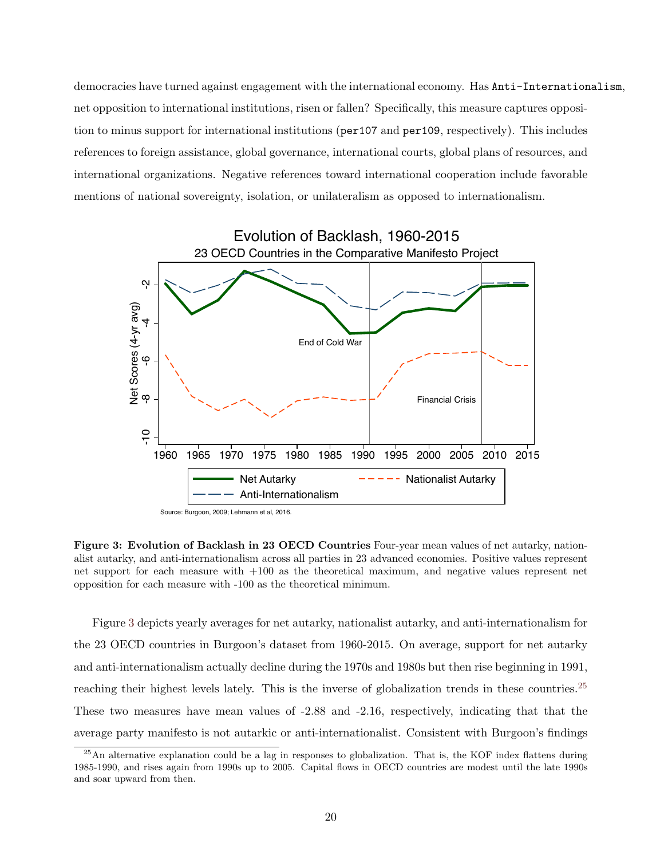democracies have turned against engagement with the international economy. Has Anti-Internationalism, net opposition to international institutions, risen or fallen? Specifically, this measure captures opposition to minus support for international institutions (per107 and per109, respectively). This includes references to foreign assistance, global governance, international courts, global plans of resources, and international organizations. Negative references toward international cooperation include favorable mentions of national sovereignty, isolation, or unilateralism as opposed to internationalism.

<span id="page-20-0"></span>

Source: Burgoon, 2009; Lehmann et al, 2016.

Figure 3: Evolution of Backlash in 23 OECD Countries Four-year mean values of net autarky, nationalist autarky, and anti-internationalism across all parties in 23 advanced economies. Positive values represent net support for each measure with +100 as the theoretical maximum, and negative values represent net opposition for each measure with -100 as the theoretical minimum.

Figure [3](#page-20-0) depicts yearly averages for net autarky, nationalist autarky, and anti-internationalism for the 23 OECD countries in Burgoon's dataset from 1960-2015. On average, support for net autarky and anti-internationalism actually decline during the 1970s and 1980s but then rise beginning in 1991, reaching their highest levels lately. This is the inverse of globalization trends in these countries.<sup>[25](#page-20-1)</sup> These two measures have mean values of -2.88 and -2.16, respectively, indicating that that the average party manifesto is not autarkic or anti-internationalist. Consistent with Burgoon's findings

<span id="page-20-1"></span><sup>&</sup>lt;sup>25</sup>An alternative explanation could be a lag in responses to globalization. That is, the KOF index flattens during 1985-1990, and rises again from 1990s up to 2005. Capital flows in OECD countries are modest until the late 1990s and soar upward from then.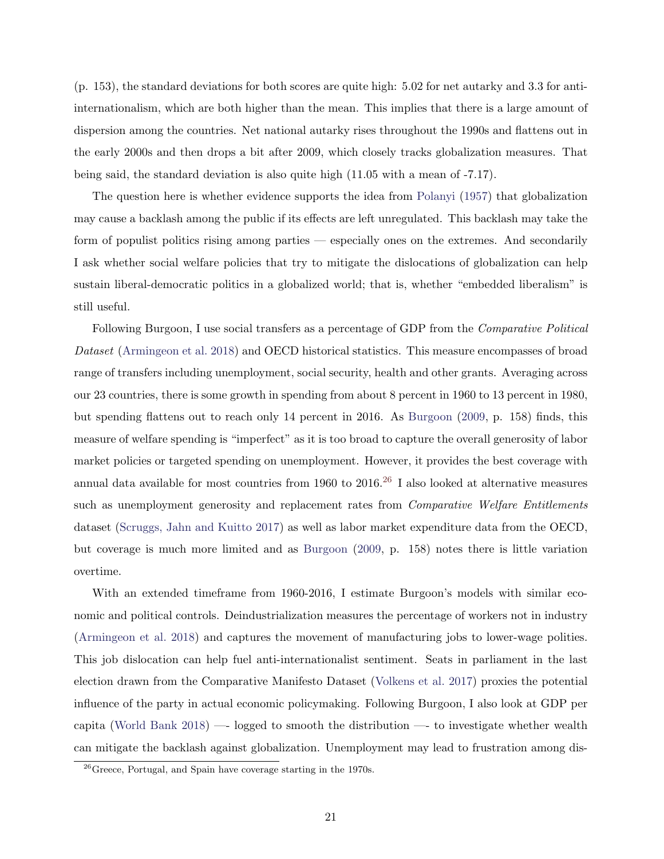(p. 153), the standard deviations for both scores are quite high: 5.02 for net autarky and 3.3 for antiinternationalism, which are both higher than the mean. This implies that there is a large amount of dispersion among the countries. Net national autarky rises throughout the 1990s and flattens out in the early 2000s and then drops a bit after 2009, which closely tracks globalization measures. That being said, the standard deviation is also quite high (11.05 with a mean of -7.17).

The question here is whether evidence supports the idea from [Polanyi](#page-47-1) [\(1957\)](#page-47-1) that globalization may cause a backlash among the public if its effects are left unregulated. This backlash may take the form of populist politics rising among parties — especially ones on the extremes. And secondarily I ask whether social welfare policies that try to mitigate the dislocations of globalization can help sustain liberal-democratic politics in a globalized world; that is, whether "embedded liberalism" is still useful.

Following Burgoon, I use social transfers as a percentage of GDP from the *Comparative Political* Dataset [\(Armingeon et al.](#page-43-14) [2018\)](#page-43-14) and OECD historical statistics. This measure encompasses of broad range of transfers including unemployment, social security, health and other grants. Averaging across our 23 countries, there is some growth in spending from about 8 percent in 1960 to 13 percent in 1980, but spending flattens out to reach only 14 percent in 2016. As [Burgoon](#page-43-0) [\(2009,](#page-43-0) p. 158) finds, this measure of welfare spending is "imperfect" as it is too broad to capture the overall generosity of labor market policies or targeted spending on unemployment. However, it provides the best coverage with annual data available for most countries from 1960 to  $2016<sup>26</sup>$  $2016<sup>26</sup>$  $2016<sup>26</sup>$  I also looked at alternative measures such as unemployment generosity and replacement rates from *Comparative Welfare Entitlements* dataset [\(Scruggs, Jahn and Kuitto](#page-48-8) [2017\)](#page-48-8) as well as labor market expenditure data from the OECD, but coverage is much more limited and as [Burgoon](#page-43-0) [\(2009,](#page-43-0) p. 158) notes there is little variation overtime.

With an extended timeframe from 1960-2016, I estimate Burgoon's models with similar economic and political controls. Deindustrialization measures the percentage of workers not in industry [\(Armingeon et al.](#page-43-14) [2018\)](#page-43-14) and captures the movement of manufacturing jobs to lower-wage polities. This job dislocation can help fuel anti-internationalist sentiment. Seats in parliament in the last election drawn from the Comparative Manifesto Dataset [\(Volkens et al.](#page-48-7) [2017\)](#page-48-7) proxies the potential influence of the party in actual economic policymaking. Following Burgoon, I also look at GDP per capita [\(World Bank](#page-49-0) [2018\)](#page-49-0) —- logged to smooth the distribution —- to investigate whether wealth can mitigate the backlash against globalization. Unemployment may lead to frustration among dis-

<span id="page-21-0"></span> $^{26}\rm{Greeze}$ , Portugal, and Spain have coverage starting in the 1970s.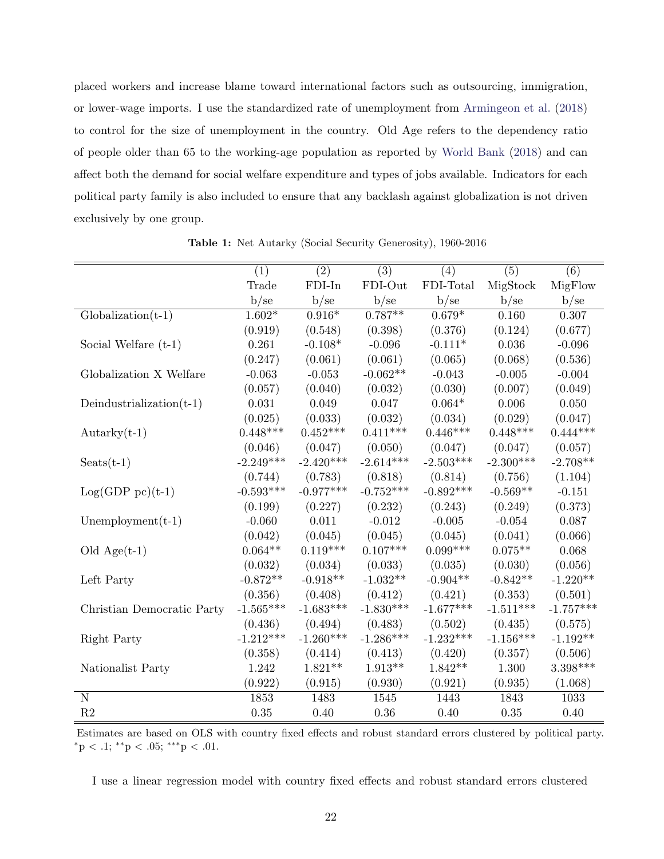placed workers and increase blame toward international factors such as outsourcing, immigration, or lower-wage imports. I use the standardized rate of unemployment from [Armingeon et al.](#page-43-14) [\(2018\)](#page-43-14) to control for the size of unemployment in the country. Old Age refers to the dependency ratio of people older than 65 to the working-age population as reported by [World Bank](#page-49-0) [\(2018\)](#page-49-0) and can affect both the demand for social welfare expenditure and types of jobs available. Indicators for each political party family is also included to ensure that any backlash against globalization is not driven exclusively by one group.

<span id="page-22-0"></span>

|                             | (1)         | (2)         | (3)         | (4)         | (5)         | (6)         |
|-----------------------------|-------------|-------------|-------------|-------------|-------------|-------------|
|                             | Trade       | $FDI-In$    | FDI-Out     | FDI-Total   | MigStock    | MigFlow     |
|                             | b/sec       | b/sec       | b/sec       | b/se        | b/se        | b/sec       |
| $Globalization(t-1)$        | $1.602*$    | $0.916*$    | $0.787**$   | $0.679*$    | 0.160       | 0.307       |
|                             | (0.919)     | (0.548)     | (0.398)     | (0.376)     | (0.124)     | (0.677)     |
| Social Welfare $(t-1)$      | 0.261       | $-0.108*$   | $-0.096$    | $-0.111*$   | $0.036\,$   | $-0.096$    |
|                             | (0.247)     | (0.061)     | (0.061)     | (0.065)     | (0.068)     | (0.536)     |
| Globalization X Welfare     | $-0.063$    | $-0.053$    | $-0.062**$  | $-0.043$    | $-0.005$    | $-0.004$    |
|                             | (0.057)     | (0.040)     | (0.032)     | (0.030)     | (0.007)     | (0.049)     |
| Deindustrialization $(t-1)$ | 0.031       | $0.049\,$   | 0.047       | $0.064*$    | 0.006       | 0.050       |
|                             | (0.025)     | (0.033)     | (0.032)     | (0.034)     | (0.029)     | (0.047)     |
| $Autarky(t-1)$              | $0.448***$  | $0.452***$  | $0.411***$  | $0.446***$  | $0.448***$  | $0.444***$  |
|                             | (0.046)     | (0.047)     | (0.050)     | (0.047)     | (0.047)     | (0.057)     |
| $S\text{eats}(t-1)$         | $-2.249***$ | $-2.420***$ | $-2.614***$ | $-2.503***$ | $-2.300***$ | $-2.708**$  |
|                             | (0.744)     | (0.783)     | (0.818)     | (0.814)     | (0.756)     | (1.104)     |
| $Log(GDP pc)(t-1)$          | $-0.593***$ | $-0.977***$ | $-0.752***$ | $-0.892***$ | $-0.569**$  | $-0.151$    |
|                             | (0.199)     | (0.227)     | (0.232)     | (0.243)     | (0.249)     | (0.373)     |
| Unemployment $(t-1)$        | $-0.060$    | 0.011       | $-0.012$    | $-0.005$    | $-0.054$    | 0.087       |
|                             | (0.042)     | (0.045)     | (0.045)     | (0.045)     | (0.041)     | (0.066)     |
| Old $Age(t-1)$              | $0.064**$   | $0.119***$  | $0.107***$  | $0.099***$  | $0.075**$   | 0.068       |
|                             | (0.032)     | (0.034)     | (0.033)     | (0.035)     | (0.030)     | (0.056)     |
| Left Party                  | $-0.872**$  | $-0.918**$  | $-1.032**$  | $-0.904**$  | $-0.842**$  | $-1.220**$  |
|                             | (0.356)     | (0.408)     | (0.412)     | (0.421)     | (0.353)     | (0.501)     |
| Christian Democratic Party  | $-1.565***$ | $-1.683***$ | $-1.830***$ | $-1.677***$ | $-1.511***$ | $-1.757***$ |
|                             | (0.436)     | (0.494)     | (0.483)     | (0.502)     | (0.435)     | (0.575)     |
| Right Party                 | $-1.212***$ | $-1.260***$ | $-1.286***$ | $-1.232***$ | $-1.156***$ | $-1.192**$  |
|                             | (0.358)     | (0.414)     | (0.413)     | (0.420)     | (0.357)     | (0.506)     |
| Nationalist Party           | 1.242       | $1.821**$   | $1.913**$   | $1.842**$   | 1.300       | $3.398***$  |
|                             | (0.922)     | (0.915)     | (0.930)     | (0.921)     | (0.935)     | (1.068)     |
| $\mathbf N$                 | 1853        | 1483        | 1545        | 1443        | 1843        | 1033        |
| R2                          | 0.35        | 0.40        | $0.36\,$    | 0.40        | 0.35        | 0.40        |

Table 1: Net Autarky (Social Security Generosity), 1960-2016

Estimates are based on OLS with country fixed effects and robust standard errors clustered by political party.  $*$ <sup>p</sup> < .1;  $*$ <sup>\*</sup> $p$  < .05;  $*$ <sup>\*</sup> $*$ <sup>\*</sup> $p$  < .01.

I use a linear regression model with country fixed effects and robust standard errors clustered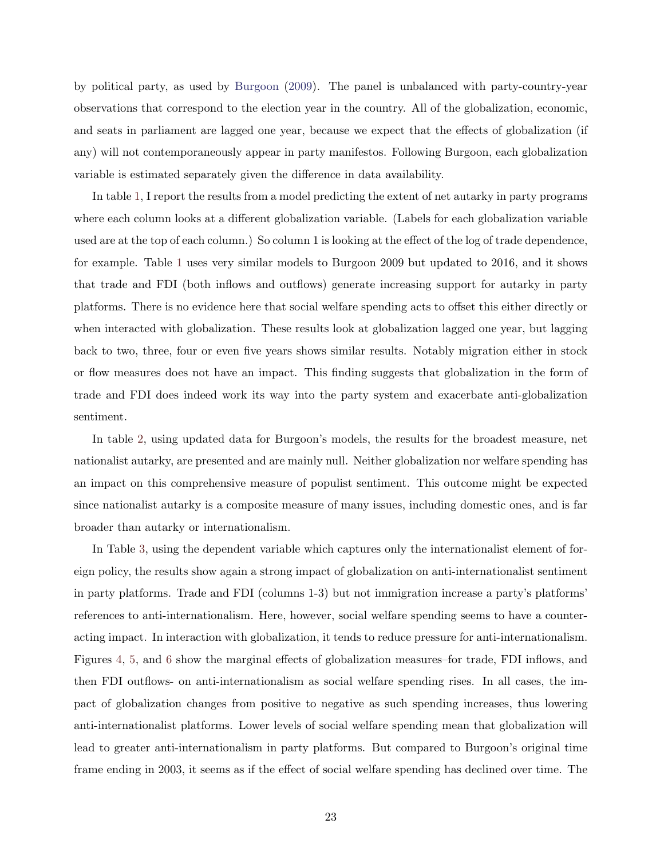by political party, as used by [Burgoon](#page-43-0) [\(2009\)](#page-43-0). The panel is unbalanced with party-country-year observations that correspond to the election year in the country. All of the globalization, economic, and seats in parliament are lagged one year, because we expect that the effects of globalization (if any) will not contemporaneously appear in party manifestos. Following Burgoon, each globalization variable is estimated separately given the difference in data availability.

In table [1,](#page-22-0) I report the results from a model predicting the extent of net autarky in party programs where each column looks at a different globalization variable. (Labels for each globalization variable used are at the top of each column.) So column 1 is looking at the effect of the log of trade dependence, for example. Table [1](#page-22-0) uses very similar models to Burgoon 2009 but updated to 2016, and it shows that trade and FDI (both inflows and outflows) generate increasing support for autarky in party platforms. There is no evidence here that social welfare spending acts to offset this either directly or when interacted with globalization. These results look at globalization lagged one year, but lagging back to two, three, four or even five years shows similar results. Notably migration either in stock or flow measures does not have an impact. This finding suggests that globalization in the form of trade and FDI does indeed work its way into the party system and exacerbate anti-globalization sentiment.

In table [2,](#page-24-0) using updated data for Burgoon's models, the results for the broadest measure, net nationalist autarky, are presented and are mainly null. Neither globalization nor welfare spending has an impact on this comprehensive measure of populist sentiment. This outcome might be expected since nationalist autarky is a composite measure of many issues, including domestic ones, and is far broader than autarky or internationalism.

In Table [3,](#page-25-0) using the dependent variable which captures only the internationalist element of foreign policy, the results show again a strong impact of globalization on anti-internationalist sentiment in party platforms. Trade and FDI (columns 1-3) but not immigration increase a party's platforms' references to anti-internationalism. Here, however, social welfare spending seems to have a counteracting impact. In interaction with globalization, it tends to reduce pressure for anti-internationalism. Figures [4,](#page-26-0) [5,](#page-27-0) and [6](#page-27-1) show the marginal effects of globalization measures–for trade, FDI inflows, and then FDI outflows- on anti-internationalism as social welfare spending rises. In all cases, the impact of globalization changes from positive to negative as such spending increases, thus lowering anti-internationalist platforms. Lower levels of social welfare spending mean that globalization will lead to greater anti-internationalism in party platforms. But compared to Burgoon's original time frame ending in 2003, it seems as if the effect of social welfare spending has declined over time. The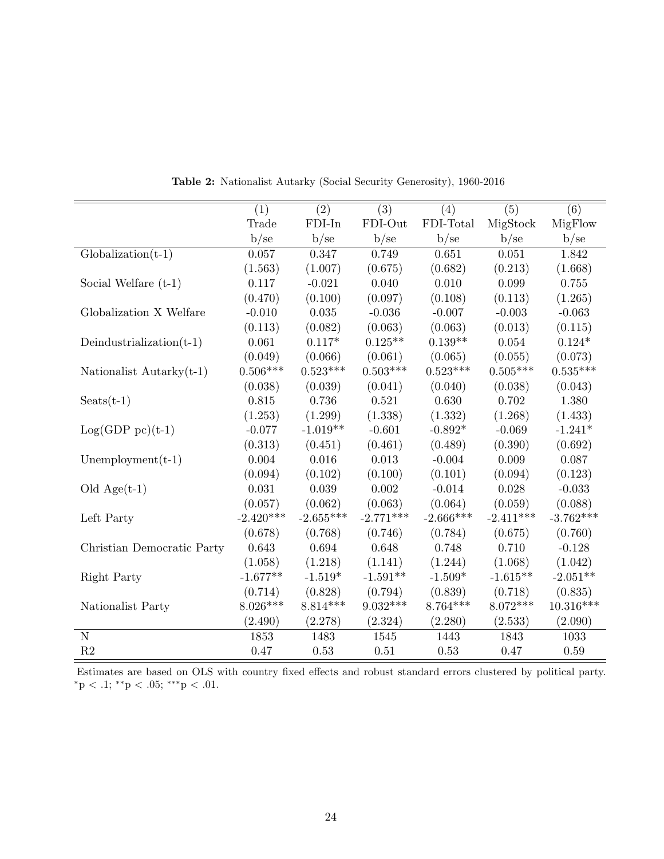<span id="page-24-0"></span>

|                             | (1)         | (2)         | (3)         | (4)         | (5)         | (6)         |
|-----------------------------|-------------|-------------|-------------|-------------|-------------|-------------|
|                             | Trade       | $FDI-In$    | FDI-Out     | FDI-Total   | MigStock    | MigFlow     |
|                             | b/sec       | b/sec       | b/se        | b/sec       | b/se        | b/sec       |
| $Globalization(t-1)$        | 0.057       | 0.347       | 0.749       | 0.651       | 0.051       | 1.842       |
|                             | (1.563)     | (1.007)     | (0.675)     | (0.682)     | (0.213)     | (1.668)     |
| Social Welfare $(t-1)$      | 0.117       | $-0.021$    | 0.040       | 0.010       | 0.099       | 0.755       |
|                             | (0.470)     | (0.100)     | (0.097)     | (0.108)     | (0.113)     | (1.265)     |
| Globalization X Welfare     | $-0.010$    | 0.035       | $-0.036$    | $-0.007$    | $-0.003$    | $-0.063$    |
|                             | (0.113)     | (0.082)     | (0.063)     | (0.063)     | (0.013)     | (0.115)     |
| Deindustrialization $(t-1)$ | 0.061       | $0.117*$    | $0.125**$   | $0.139**$   | 0.054       | $0.124*$    |
|                             | (0.049)     | (0.066)     | (0.061)     | (0.065)     | (0.055)     | (0.073)     |
| Nationalist Autarky $(t-1)$ | $0.506***$  | $0.523***$  | $0.503***$  | $0.523***$  | $0.505***$  | $0.535***$  |
|                             | (0.038)     | (0.039)     | (0.041)     | (0.040)     | (0.038)     | (0.043)     |
| $S\text{eats}(t-1)$         | 0.815       | 0.736       | 0.521       | 0.630       | 0.702       | 1.380       |
|                             | (1.253)     | (1.299)     | (1.338)     | (1.332)     | (1.268)     | (1.433)     |
| $Log(GDP pc)(t-1)$          | $-0.077$    | $-1.019**$  | $-0.601$    | $-0.892*$   | $-0.069$    | $-1.241*$   |
|                             | (0.313)     | (0.451)     | (0.461)     | (0.489)     | (0.390)     | (0.692)     |
| Unemployment $(t-1)$        | 0.004       | 0.016       | 0.013       | $-0.004$    | 0.009       | 0.087       |
|                             | (0.094)     | (0.102)     | (0.100)     | (0.101)     | (0.094)     | (0.123)     |
| Old $Age(t-1)$              | 0.031       | 0.039       | 0.002       | $-0.014$    | 0.028       | $-0.033$    |
|                             | (0.057)     | (0.062)     | (0.063)     | (0.064)     | (0.059)     | (0.088)     |
| Left Party                  | $-2.420***$ | $-2.655***$ | $-2.771***$ | $-2.666***$ | $-2.411***$ | $-3.762***$ |
|                             | (0.678)     | (0.768)     | (0.746)     | (0.784)     | (0.675)     | (0.760)     |
| Christian Democratic Party  | 0.643       | 0.694       | 0.648       | 0.748       | 0.710       | $-0.128$    |
|                             | (1.058)     | (1.218)     | (1.141)     | (1.244)     | (1.068)     | (1.042)     |
| Right Party                 | $-1.677**$  | $-1.519*$   | $-1.591**$  | $-1.509*$   | $-1.615**$  | $-2.051**$  |
|                             | (0.714)     | (0.828)     | (0.794)     | (0.839)     | (0.718)     | (0.835)     |
| Nationalist Party           | $8.026***$  | $8.814***$  | $9.032***$  | $8.764***$  | $8.072***$  | $10.316***$ |
|                             | (2.490)     | (2.278)     | (2.324)     | (2.280)     | (2.533)     | (2.090)     |
| $\overline{\text{N}}$       | 1853        | 1483        | 1545        | 1443        | 1843        | 1033        |
| R2                          | 0.47        | 0.53        | 0.51        | 0.53        | 0.47        | 0.59        |

Table 2: Nationalist Autarky (Social Security Generosity), 1960-2016

Estimates are based on OLS with country fixed effects and robust standard errors clustered by political party.  $^*{\rm p}$   $<$  .1;  $^{**}{\rm p}$   $<$  .05;  $^{***}{\rm p}$   $<$  .01.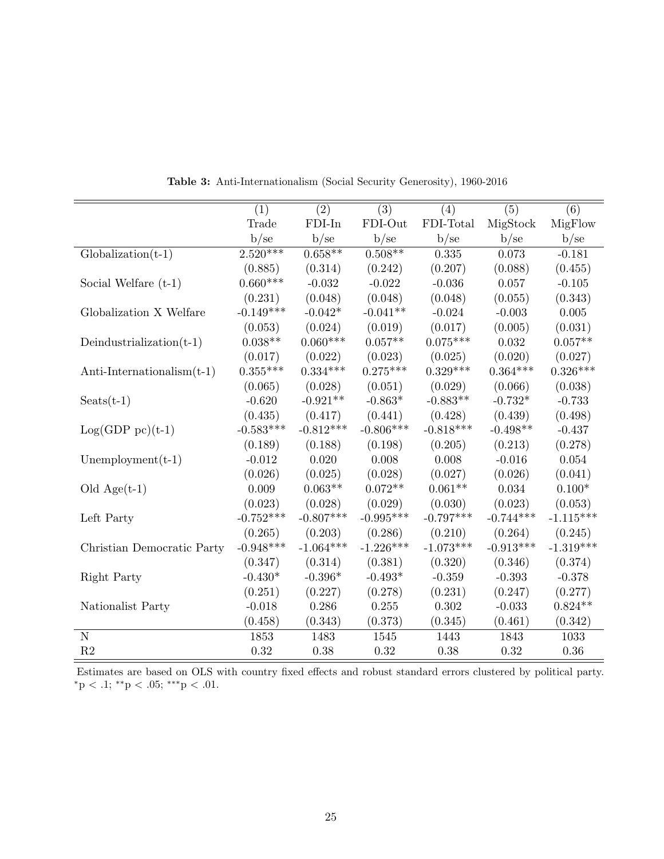<span id="page-25-0"></span>

|                               | (1)         | (2)         | (3)         | (4)         | (5)         | (6)         |
|-------------------------------|-------------|-------------|-------------|-------------|-------------|-------------|
|                               | Trade       | FDI-In      | FDI-Out     | FDI-Total   | MigStock    | MigFlow     |
|                               | b/se        | b/se        | b/sec       | b/se        | b/se        | b/se        |
| $Globalization(t-1)$          | $2.520***$  | $0.658**$   | $0.508**$   | 0.335       | 0.073       | $-0.181$    |
|                               | (0.885)     | (0.314)     | (0.242)     | (0.207)     | (0.088)     | (0.455)     |
| Social Welfare $(t-1)$        | $0.660***$  | $-0.032$    | $-0.022$    | $-0.036$    | 0.057       | $-0.105$    |
|                               | (0.231)     | (0.048)     | (0.048)     | (0.048)     | (0.055)     | (0.343)     |
| Globalization X Welfare       | $-0.149***$ | $-0.042*$   | $-0.041**$  | $-0.024$    | $-0.003$    | 0.005       |
|                               | (0.053)     | (0.024)     | (0.019)     | (0.017)     | (0.005)     | (0.031)     |
| Deindustrialization $(t-1)$   | $0.038**$   | $0.060***$  | $0.057**$   | $0.075***$  | 0.032       | $0.057**$   |
|                               | (0.017)     | (0.022)     | (0.023)     | (0.025)     | (0.020)     | (0.027)     |
| Anti-Internationalism $(t-1)$ | $0.355***$  | $0.334***$  | $0.275***$  | $0.329***$  | $0.364***$  | $0.326***$  |
|                               | (0.065)     | (0.028)     | (0.051)     | (0.029)     | (0.066)     | (0.038)     |
| $S$ eats $(t-1)$              | $-0.620$    | $-0.921**$  | $-0.863*$   | $-0.883**$  | $-0.732*$   | $-0.733$    |
|                               | (0.435)     | (0.417)     | (0.441)     | (0.428)     | (0.439)     | (0.498)     |
| $Log(GDP pc)(t-1)$            | $-0.583***$ | $-0.812***$ | $-0.806***$ | $-0.818***$ | $-0.498**$  | $-0.437$    |
|                               | (0.189)     | (0.188)     | (0.198)     | (0.205)     | (0.213)     | (0.278)     |
| Unemployment $(t-1)$          | $-0.012$    | 0.020       | 0.008       | 0.008       | $-0.016$    | 0.054       |
|                               | (0.026)     | (0.025)     | (0.028)     | (0.027)     | (0.026)     | (0.041)     |
| Old $Age(t-1)$                | 0.009       | $0.063**$   | $0.072**$   | $0.061**$   | 0.034       | $0.100*$    |
|                               | (0.023)     | (0.028)     | (0.029)     | (0.030)     | (0.023)     | (0.053)     |
| Left Party                    | $-0.752***$ | $-0.807***$ | $-0.995***$ | $-0.797***$ | $-0.744***$ | $-1.115***$ |
|                               | (0.265)     | (0.203)     | (0.286)     | (0.210)     | (0.264)     | (0.245)     |
| Christian Democratic Party    | $-0.948***$ | $-1.064***$ | $-1.226***$ | $-1.073***$ | $-0.913***$ | $-1.319***$ |
|                               | (0.347)     | (0.314)     | (0.381)     | (0.320)     | (0.346)     | (0.374)     |
| Right Party                   | $-0.430*$   | $-0.396*$   | $-0.493*$   | $-0.359$    | $-0.393$    | $-0.378$    |
|                               | (0.251)     | (0.227)     | (0.278)     | (0.231)     | (0.247)     | (0.277)     |
| Nationalist Party             | $-0.018$    | 0.286       | 0.255       | 0.302       | $-0.033$    | $0.824**$   |
|                               | (0.458)     | (0.343)     | (0.373)     | (0.345)     | (0.461)     | (0.342)     |
| $\mathbf N$                   | 1853        | 1483        | 1545        | 1443        | 1843        | 1033        |
| R2                            | 0.32        | 0.38        | 0.32        | 0.38        | 0.32        | 0.36        |

Table 3: Anti-Internationalism (Social Security Generosity), 1960-2016

Estimates are based on OLS with country fixed effects and robust standard errors clustered by political party. \*p < .1; \*\*p < .05; \*\*\*p < .01.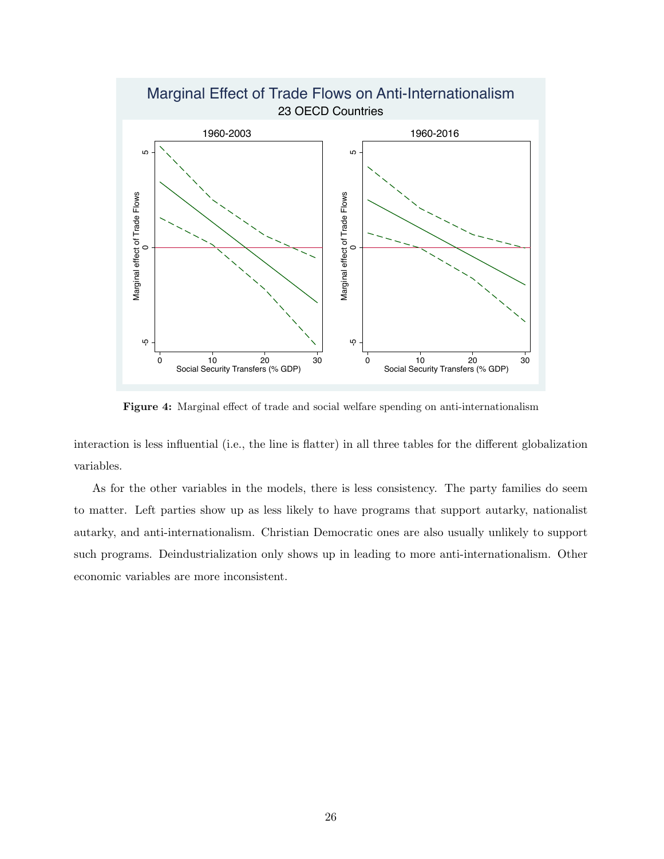<span id="page-26-0"></span>

Figure 4: Marginal effect of trade and social welfare spending on anti-internationalism

interaction is less influential (i.e., the line is flatter) in all three tables for the different globalization variables.

As for the other variables in the models, there is less consistency. The party families do seem to matter. Left parties show up as less likely to have programs that support autarky, nationalist autarky, and anti-internationalism. Christian Democratic ones are also usually unlikely to support such programs. Deindustrialization only shows up in leading to more anti-internationalism. Other economic variables are more inconsistent.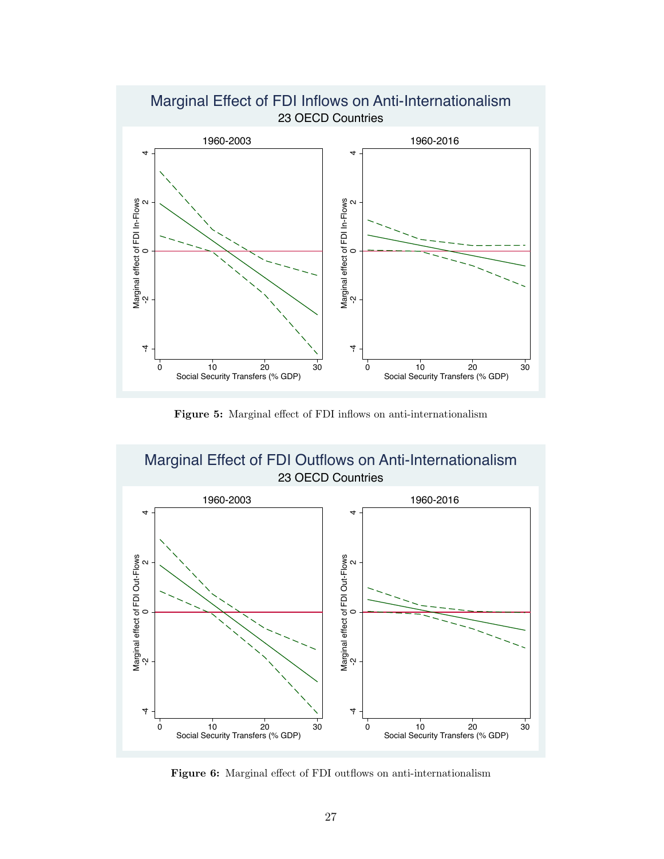<span id="page-27-0"></span>

Figure 5: Marginal effect of FDI inflows on anti-internationalism

<span id="page-27-1"></span>

Figure 6: Marginal effect of FDI outflows on anti-internationalism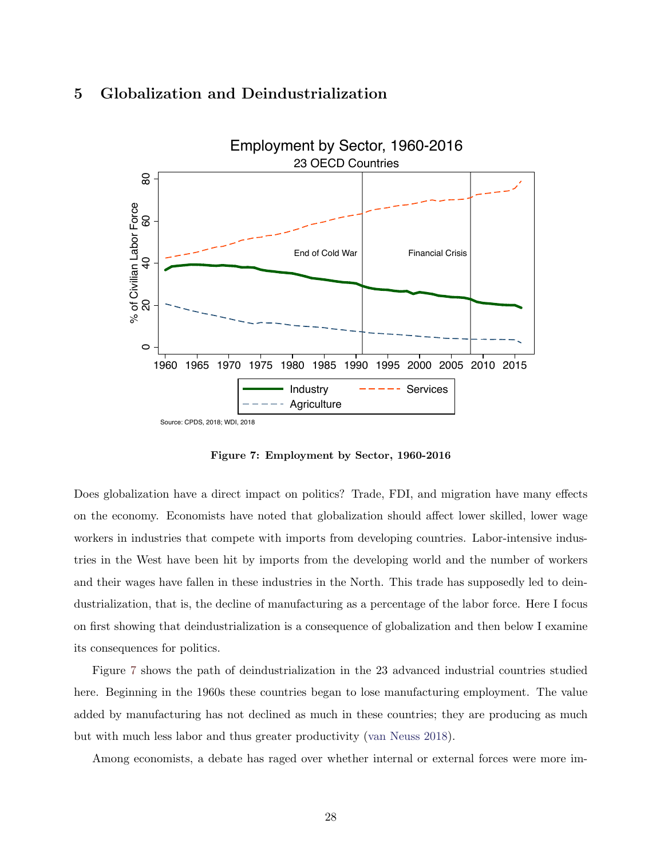

#### <span id="page-28-0"></span>5 Globalization and Deindustrialization

Figure 7: Employment by Sector, 1960-2016

Does globalization have a direct impact on politics? Trade, FDI, and migration have many effects on the economy. Economists have noted that globalization should affect lower skilled, lower wage workers in industries that compete with imports from developing countries. Labor-intensive industries in the West have been hit by imports from the developing world and the number of workers and their wages have fallen in these industries in the North. This trade has supposedly led to deindustrialization, that is, the decline of manufacturing as a percentage of the labor force. Here I focus on first showing that deindustrialization is a consequence of globalization and then below I examine its consequences for politics.

Figure [7](#page-28-0) shows the path of deindustrialization in the 23 advanced industrial countries studied here. Beginning in the 1960s these countries began to lose manufacturing employment. The value added by manufacturing has not declined as much in these countries; they are producing as much but with much less labor and thus greater productivity [\(van Neuss](#page-48-9) [2018\)](#page-48-9).

Among economists, a debate has raged over whether internal or external forces were more im-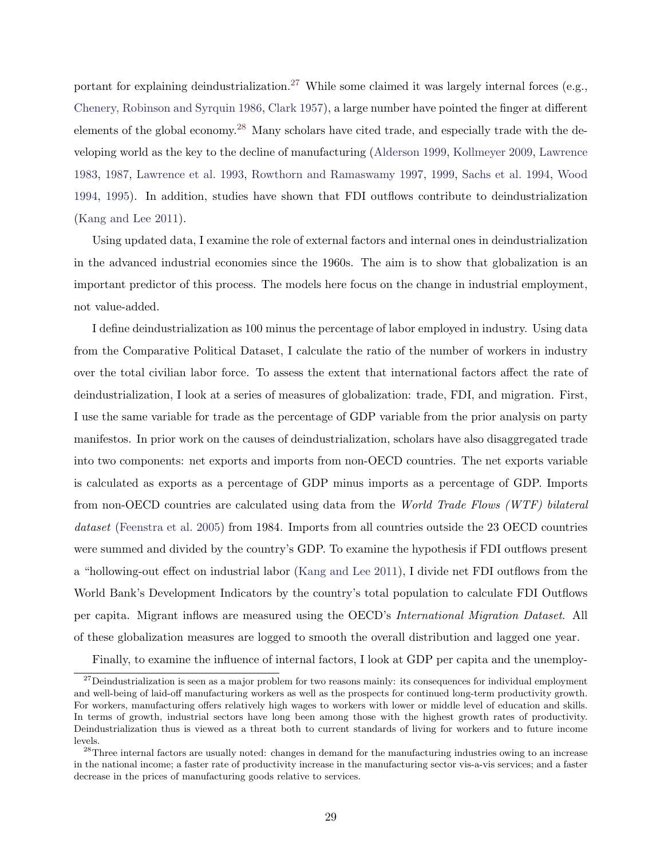portant for explaining deindustrialization.<sup>[27](#page-29-0)</sup> While some claimed it was largely internal forces (e.g., [Chenery, Robinson and Syrquin](#page-44-10) [1986,](#page-44-10) [Clark](#page-44-11) [1957\)](#page-44-11), a large number have pointed the finger at different elements of the global economy.<sup>[28](#page-29-1)</sup> Many scholars have cited trade, and especially trade with the developing world as the key to the decline of manufacturing [\(Alderson](#page-43-15) [1999,](#page-43-15) [Kollmeyer](#page-46-12) [2009,](#page-46-12) [Lawrence](#page-46-13) [1983,](#page-46-13) [1987,](#page-46-14) [Lawrence et al.](#page-46-15) [1993,](#page-46-15) [Rowthorn and Ramaswamy](#page-47-11) [1997,](#page-47-11) [1999,](#page-47-12) [Sachs et al.](#page-48-10) [1994,](#page-48-10) [Wood](#page-48-11) [1994,](#page-48-11) [1995\)](#page-48-12). In addition, studies have shown that FDI outflows contribute to deindustrialization [\(Kang and Lee](#page-45-13) [2011\)](#page-45-13).

Using updated data, I examine the role of external factors and internal ones in deindustrialization in the advanced industrial economies since the 1960s. The aim is to show that globalization is an important predictor of this process. The models here focus on the change in industrial employment, not value-added.

I define deindustrialization as 100 minus the percentage of labor employed in industry. Using data from the Comparative Political Dataset, I calculate the ratio of the number of workers in industry over the total civilian labor force. To assess the extent that international factors affect the rate of deindustrialization, I look at a series of measures of globalization: trade, FDI, and migration. First, I use the same variable for trade as the percentage of GDP variable from the prior analysis on party manifestos. In prior work on the causes of deindustrialization, scholars have also disaggregated trade into two components: net exports and imports from non-OECD countries. The net exports variable is calculated as exports as a percentage of GDP minus imports as a percentage of GDP. Imports from non-OECD countries are calculated using data from the World Trade Flows (WTF) bilateral dataset [\(Feenstra et al.](#page-44-12) [2005\)](#page-44-12) from 1984. Imports from all countries outside the 23 OECD countries were summed and divided by the country's GDP. To examine the hypothesis if FDI outflows present a "hollowing-out effect on industrial labor [\(Kang and Lee](#page-45-13) [2011\)](#page-45-13), I divide net FDI outflows from the World Bank's Development Indicators by the country's total population to calculate FDI Outflows per capita. Migrant inflows are measured using the OECD's International Migration Dataset. All of these globalization measures are logged to smooth the overall distribution and lagged one year.

<span id="page-29-0"></span>Finally, to examine the influence of internal factors, I look at GDP per capita and the unemploy-

 $27$ Deindustrialization is seen as a major problem for two reasons mainly: its consequences for individual employment and well-being of laid-off manufacturing workers as well as the prospects for continued long-term productivity growth. For workers, manufacturing offers relatively high wages to workers with lower or middle level of education and skills. In terms of growth, industrial sectors have long been among those with the highest growth rates of productivity. Deindustrialization thus is viewed as a threat both to current standards of living for workers and to future income levels.

<span id="page-29-1"></span> $^{28}$ Three internal factors are usually noted: changes in demand for the manufacturing industries owing to an increase in the national income; a faster rate of productivity increase in the manufacturing sector vis-a-vis services; and a faster decrease in the prices of manufacturing goods relative to services.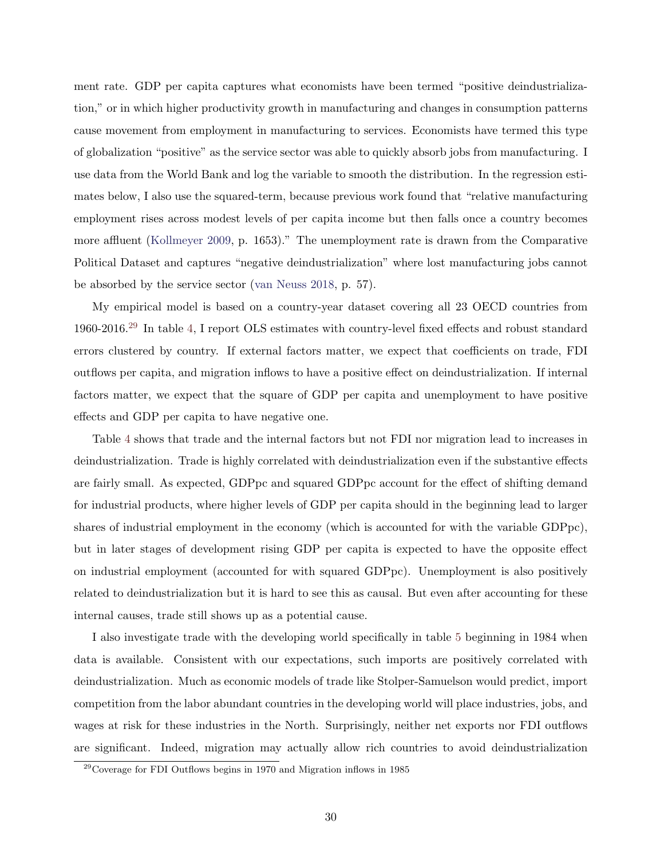ment rate. GDP per capita captures what economists have been termed "positive deindustrialization," or in which higher productivity growth in manufacturing and changes in consumption patterns cause movement from employment in manufacturing to services. Economists have termed this type of globalization "positive" as the service sector was able to quickly absorb jobs from manufacturing. I use data from the World Bank and log the variable to smooth the distribution. In the regression estimates below, I also use the squared-term, because previous work found that "relative manufacturing employment rises across modest levels of per capita income but then falls once a country becomes more affluent [\(Kollmeyer](#page-46-12) [2009,](#page-46-12) p. 1653)." The unemployment rate is drawn from the Comparative Political Dataset and captures "negative deindustrialization" where lost manufacturing jobs cannot be absorbed by the service sector [\(van Neuss](#page-48-9) [2018,](#page-48-9) p. 57).

My empirical model is based on a country-year dataset covering all 23 OECD countries from 1960-2016.[29](#page-30-0) In table [4,](#page-31-0) I report OLS estimates with country-level fixed effects and robust standard errors clustered by country. If external factors matter, we expect that coefficients on trade, FDI outflows per capita, and migration inflows to have a positive effect on deindustrialization. If internal factors matter, we expect that the square of GDP per capita and unemployment to have positive effects and GDP per capita to have negative one.

Table [4](#page-31-0) shows that trade and the internal factors but not FDI nor migration lead to increases in deindustrialization. Trade is highly correlated with deindustrialization even if the substantive effects are fairly small. As expected, GDPpc and squared GDPpc account for the effect of shifting demand for industrial products, where higher levels of GDP per capita should in the beginning lead to larger shares of industrial employment in the economy (which is accounted for with the variable GDPpc), but in later stages of development rising GDP per capita is expected to have the opposite effect on industrial employment (accounted for with squared GDPpc). Unemployment is also positively related to deindustrialization but it is hard to see this as causal. But even after accounting for these internal causes, trade still shows up as a potential cause.

I also investigate trade with the developing world specifically in table [5](#page-32-0) beginning in 1984 when data is available. Consistent with our expectations, such imports are positively correlated with deindustrialization. Much as economic models of trade like Stolper-Samuelson would predict, import competition from the labor abundant countries in the developing world will place industries, jobs, and wages at risk for these industries in the North. Surprisingly, neither net exports nor FDI outflows are significant. Indeed, migration may actually allow rich countries to avoid deindustrialization

<span id="page-30-0"></span><sup>29</sup>Coverage for FDI Outflows begins in 1970 and Migration inflows in 1985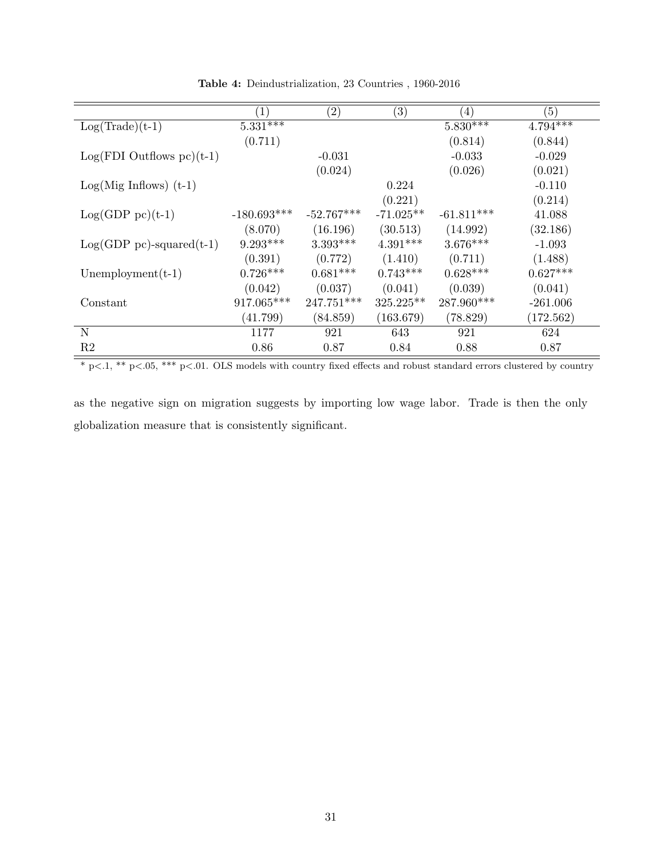<span id="page-31-0"></span>

|                                | $\left(1\right)$ | $\left( 2\right)$ | $\left( 3\right)$ | (4)          | (5)        |
|--------------------------------|------------------|-------------------|-------------------|--------------|------------|
| $Log(Trade)(t-1)$              | $5.331***$       |                   |                   | $5.830***$   | $4.794***$ |
|                                | (0.711)          |                   |                   | (0.814)      | (0.844)    |
| $Log(FDI$ Outflows $pc)(t-1)$  |                  | $-0.031$          |                   | $-0.033$     | $-0.029$   |
|                                |                  | (0.024)           |                   | (0.026)      | (0.021)    |
| $Log(Mig\ Inflows)$ (t-1)      |                  |                   | 0.224             |              | $-0.110$   |
|                                |                  |                   | (0.221)           |              | (0.214)    |
| $Log(GDP pc)(t-1)$             | $-180.693***$    | $-52.767***$      | $-71.025**$       | $-61.811***$ | 41.088     |
|                                | (8.070)          | (16.196)          | (30.513)          | (14.992)     | (32.186)   |
| $Log(GDP pc)$ -squared $(t-1)$ | $9.293***$       | $3.393***$        | $4.391***$        | $3.676***$   | $-1.093$   |
|                                | (0.391)          | (0.772)           | (1.410)           | (0.711)      | (1.488)    |
| $Unemplogment(t-1)$            | $0.726***$       | $0.681***$        | $0.743***$        | $0.628***$   | $0.627***$ |
|                                | (0.042)          | (0.037)           | (0.041)           | (0.039)      | (0.041)    |
| Constant                       | 917.065***       | 247.751***        | $325.225**$       | 287.960***   | $-261.006$ |
|                                | (41.799)         | (84.859)          | (163.679)         | (78.829)     | (172.562)  |
| N                              | 1177             | 921               | 643               | 921          | 624        |
| R <sub>2</sub>                 | 0.86             | 0.87              | 0.84              | 0.88         | 0.87       |

Table 4: Deindustrialization, 23 Countries , 1960-2016

 $\frac{1}{100}$  \* p<.1, \*\* p<.05, \*\*\* p<.01. OLS models with country fixed effects and robust standard errors clustered by country

as the negative sign on migration suggests by importing low wage labor. Trade is then the only globalization measure that is consistently significant.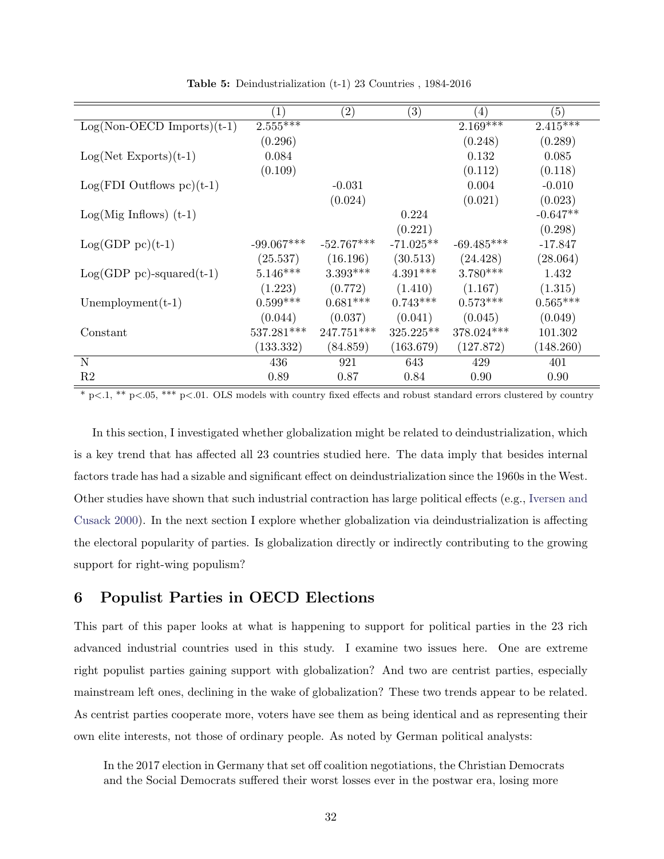<span id="page-32-0"></span>

|                                 | $\left( 1\right)$ | $\left( 2\right)$ | $\left( 3\right)$ | (4)          | (5)        |
|---------------------------------|-------------------|-------------------|-------------------|--------------|------------|
| $Log(Non-OECD$ Imports) $(t-1)$ | $2.555***$        |                   |                   | $2.169***$   | $2.415***$ |
|                                 | (0.296)           |                   |                   | (0.248)      | (0.289)    |
| $Log(Net\ Exports)(t-1)$        | 0.084             |                   |                   | 0.132        | 0.085      |
|                                 | (0.109)           |                   |                   | (0.112)      | (0.118)    |
| $Log(FDI$ Outflows $pc)(t-1)$   |                   | $-0.031$          |                   | 0.004        | $-0.010$   |
|                                 |                   | (0.024)           |                   | (0.021)      | (0.023)    |
| $Log(Mig\ Inflows)$ (t-1)       |                   |                   | 0.224             |              | $-0.647**$ |
|                                 |                   |                   | (0.221)           |              | (0.298)    |
| $Log(GDP pc)(t-1)$              | $-99.067***$      | $-52.767***$      | $-71.025**$       | $-69.485***$ | $-17.847$  |
|                                 | (25.537)          | (16.196)          | (30.513)          | (24.428)     | (28.064)   |
| $Log(GDP pc)$ -squared $(t-1)$  | $5.146***$        | $3.393***$        | $4.391***$        | $3.780***$   | 1.432      |
|                                 | (1.223)           | (0.772)           | (1.410)           | (1.167)      | (1.315)    |
| Unemployment $(t-1)$            | $0.599***$        | $0.681***$        | $0.743***$        | $0.573***$   | $0.565***$ |
|                                 | (0.044)           | (0.037)           | (0.041)           | (0.045)      | (0.049)    |
| Constant                        | $537.281***$      | 247.751***        | $325.225**$       | 378.024***   | 101.302    |
|                                 | (133.332)         | (84.859)          | (163.679)         | (127.872)    | (148.260)  |
| N                               | 436               | 921               | 643               | 429          | 401        |
| R <sub>2</sub>                  | 0.89              | 0.87              | 0.84              | 0.90         | 0.90       |

Table 5: Deindustrialization (t-1) 23 Countries , 1984-2016

 $*$  p $<.1$ ,  $**$  p $<.05$ ,  $***$  p $<.01$ . OLS models with country fixed effects and robust standard errors clustered by country

In this section, I investigated whether globalization might be related to deindustrialization, which is a key trend that has affected all 23 countries studied here. The data imply that besides internal factors trade has had a sizable and significant effect on deindustrialization since the 1960s in the West. Other studies have shown that such industrial contraction has large political effects (e.g., [Iversen and](#page-45-14) [Cusack](#page-45-14) [2000\)](#page-45-14). In the next section I explore whether globalization via deindustrialization is affecting the electoral popularity of parties. Is globalization directly or indirectly contributing to the growing support for right-wing populism?

### 6 Populist Parties in OECD Elections

This part of this paper looks at what is happening to support for political parties in the 23 rich advanced industrial countries used in this study. I examine two issues here. One are extreme right populist parties gaining support with globalization? And two are centrist parties, especially mainstream left ones, declining in the wake of globalization? These two trends appear to be related. As centrist parties cooperate more, voters have see them as being identical and as representing their own elite interests, not those of ordinary people. As noted by German political analysts:

In the 2017 election in Germany that set off coalition negotiations, the Christian Democrats and the Social Democrats suffered their worst losses ever in the postwar era, losing more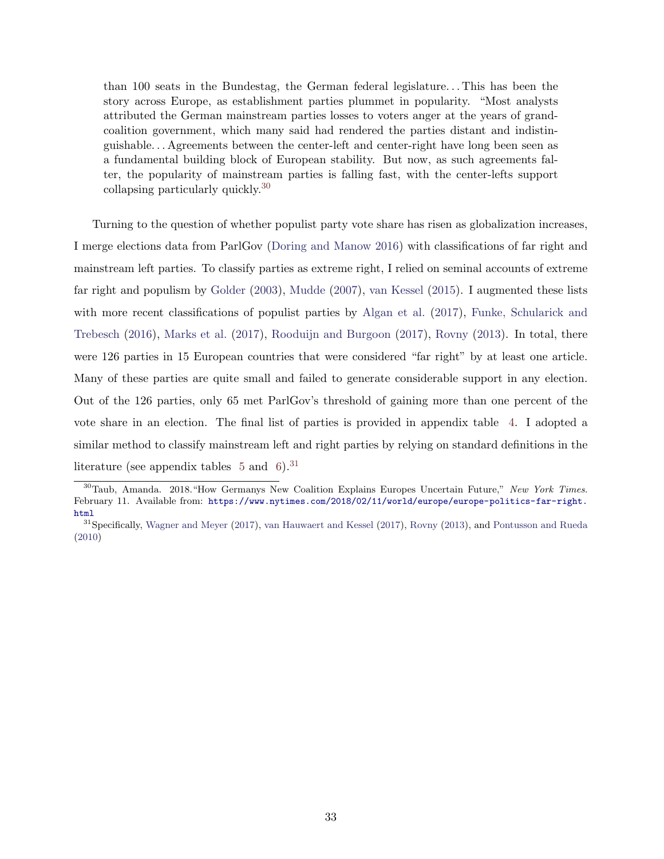than 100 seats in the Bundestag, the German federal legislature. . . This has been the story across Europe, as establishment parties plummet in popularity. "Most analysts attributed the German mainstream parties losses to voters anger at the years of grandcoalition government, which many said had rendered the parties distant and indistinguishable. . . Agreements between the center-left and center-right have long been seen as a fundamental building block of European stability. But now, as such agreements falter, the popularity of mainstream parties is falling fast, with the center-lefts support collapsing particularly quickly.[30](#page-33-0)

Turning to the question of whether populist party vote share has risen as globalization increases, I merge elections data from ParlGov [\(Doring and Manow](#page-44-13) [2016\)](#page-44-13) with classifications of far right and mainstream left parties. To classify parties as extreme right, I relied on seminal accounts of extreme far right and populism by [Golder](#page-45-15) [\(2003\)](#page-45-15), [Mudde](#page-47-4) [\(2007\)](#page-47-4), [van Kessel](#page-48-13) [\(2015\)](#page-48-13). I augmented these lists with more recent classifications of populist parties by [Algan et al.](#page-43-16) [\(2017\)](#page-43-16), [Funke, Schularick and](#page-45-16) [Trebesch](#page-45-16) [\(2016\)](#page-45-16), [Marks et al.](#page-46-16) [\(2017\)](#page-46-16), [Rooduijn and Burgoon](#page-47-9) [\(2017\)](#page-47-9), [Rovny](#page-47-13) [\(2013\)](#page-47-13). In total, there were 126 parties in 15 European countries that were considered "far right" by at least one article. Many of these parties are quite small and failed to generate considerable support in any election. Out of the 126 parties, only 65 met ParlGov's threshold of gaining more than one percent of the vote share in an election. The final list of parties is provided in appendix table [4.](#page-53-0) I adopted a similar method to classify mainstream left and right parties by relying on standard definitions in the literature (see appendix tables  $5$  and  $6$ ).<sup>[31](#page-33-1)</sup>

<span id="page-33-0"></span><sup>30</sup>Taub, Amanda. 2018."How Germanys New Coalition Explains Europes Uncertain Future," New York Times. February 11. Available from: [https://www.nytimes.com/2018/02/11/world/europe/europe-politics-far-right.](https://www.nytimes.com/2018/02/11/world/europe/europe-politics-far-right.html) [html](https://www.nytimes.com/2018/02/11/world/europe/europe-politics-far-right.html)

<span id="page-33-1"></span><sup>&</sup>lt;sup>31</sup>Specifically, [Wagner and Meyer](#page-48-14) [\(2017\)](#page-48-15), [van Hauwaert and Kessel](#page-48-15) (2017), [Rovny](#page-47-13) [\(2013\)](#page-47-13), and [Pontusson and Rueda](#page-47-14) [\(2010\)](#page-47-14)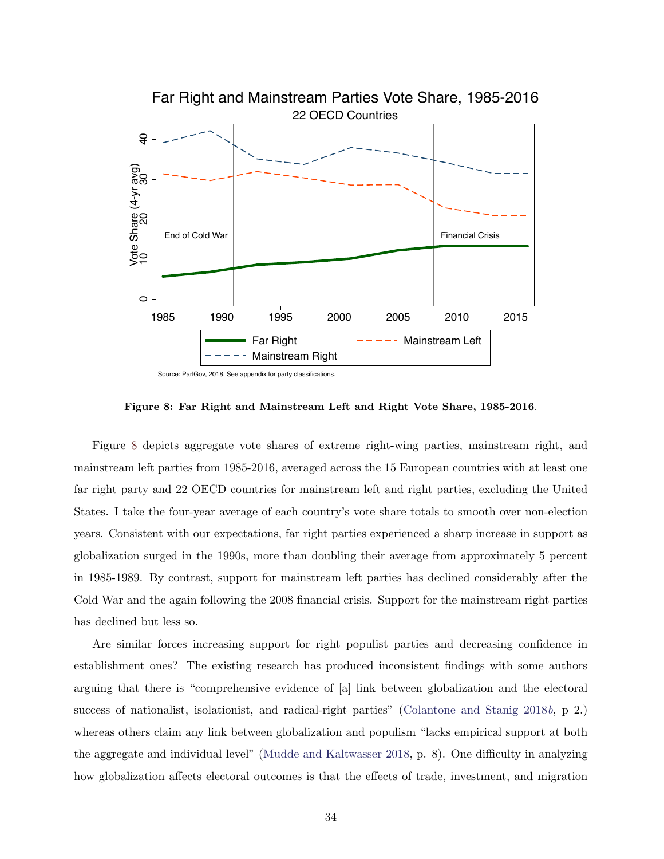<span id="page-34-0"></span>

Source: ParlGov, 2018. See appendix for party classifications.

Figure 8: Far Right and Mainstream Left and Right Vote Share, 1985-2016.

Figure [8](#page-34-0) depicts aggregate vote shares of extreme right-wing parties, mainstream right, and mainstream left parties from 1985-2016, averaged across the 15 European countries with at least one far right party and 22 OECD countries for mainstream left and right parties, excluding the United States. I take the four-year average of each country's vote share totals to smooth over non-election years. Consistent with our expectations, far right parties experienced a sharp increase in support as globalization surged in the 1990s, more than doubling their average from approximately 5 percent in 1985-1989. By contrast, support for mainstream left parties has declined considerably after the Cold War and the again following the 2008 financial crisis. Support for the mainstream right parties has declined but less so.

Are similar forces increasing support for right populist parties and decreasing confidence in establishment ones? The existing research has produced inconsistent findings with some authors arguing that there is "comprehensive evidence of [a] link between globalization and the electoral success of nationalist, isolationist, and radical-right parties" [\(Colantone and Stanig](#page-44-5) [2018](#page-44-5)b, p 2.) whereas others claim any link between globalization and populism "lacks empirical support at both the aggregate and individual level" [\(Mudde and Kaltwasser](#page-47-15) [2018,](#page-47-15) p. 8). One difficulty in analyzing how globalization affects electoral outcomes is that the effects of trade, investment, and migration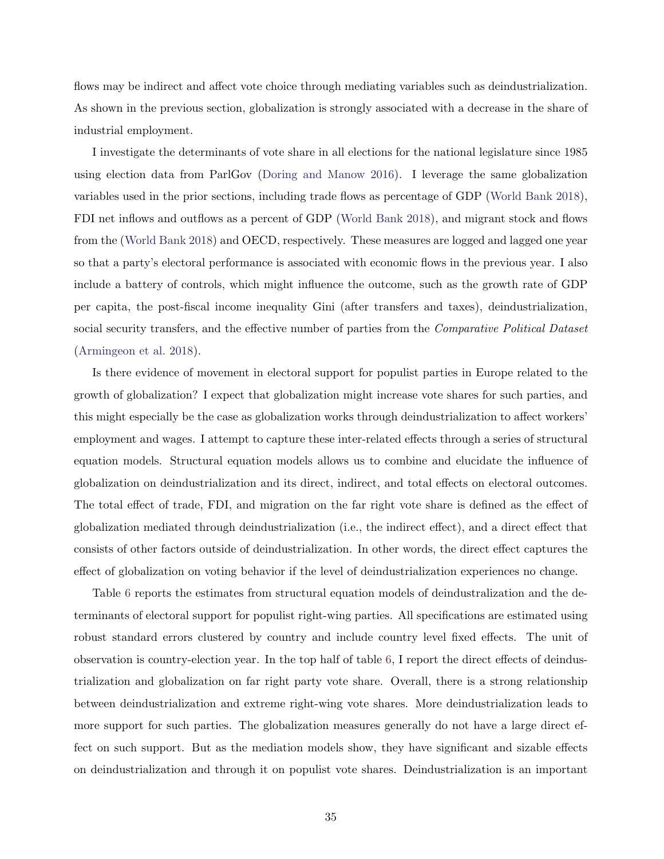flows may be indirect and affect vote choice through mediating variables such as deindustrialization. As shown in the previous section, globalization is strongly associated with a decrease in the share of industrial employment.

I investigate the determinants of vote share in all elections for the national legislature since 1985 using election data from ParlGov [\(Doring and Manow](#page-44-13) [2016\)](#page-44-13). I leverage the same globalization variables used in the prior sections, including trade flows as percentage of GDP [\(World Bank](#page-49-0) [2018\)](#page-49-0), FDI net inflows and outflows as a percent of GDP [\(World Bank](#page-49-0) [2018\)](#page-49-0), and migrant stock and flows from the [\(World Bank](#page-49-0) [2018\)](#page-49-0) and OECD, respectively. These measures are logged and lagged one year so that a party's electoral performance is associated with economic flows in the previous year. I also include a battery of controls, which might influence the outcome, such as the growth rate of GDP per capita, the post-fiscal income inequality Gini (after transfers and taxes), deindustrialization, social security transfers, and the effective number of parties from the *Comparative Political Dataset* [\(Armingeon et al.](#page-43-14) [2018\)](#page-43-14).

Is there evidence of movement in electoral support for populist parties in Europe related to the growth of globalization? I expect that globalization might increase vote shares for such parties, and this might especially be the case as globalization works through deindustrialization to affect workers' employment and wages. I attempt to capture these inter-related effects through a series of structural equation models. Structural equation models allows us to combine and elucidate the influence of globalization on deindustrialization and its direct, indirect, and total effects on electoral outcomes. The total effect of trade, FDI, and migration on the far right vote share is defined as the effect of globalization mediated through deindustrialization (i.e., the indirect effect), and a direct effect that consists of other factors outside of deindustrialization. In other words, the direct effect captures the effect of globalization on voting behavior if the level of deindustrialization experiences no change.

Table [6](#page-37-0) reports the estimates from structural equation models of deindustralization and the determinants of electoral support for populist right-wing parties. All specifications are estimated using robust standard errors clustered by country and include country level fixed effects. The unit of observation is country-election year. In the top half of table [6,](#page-37-0) I report the direct effects of deindustrialization and globalization on far right party vote share. Overall, there is a strong relationship between deindustrialization and extreme right-wing vote shares. More deindustrialization leads to more support for such parties. The globalization measures generally do not have a large direct effect on such support. But as the mediation models show, they have significant and sizable effects on deindustrialization and through it on populist vote shares. Deindustrialization is an important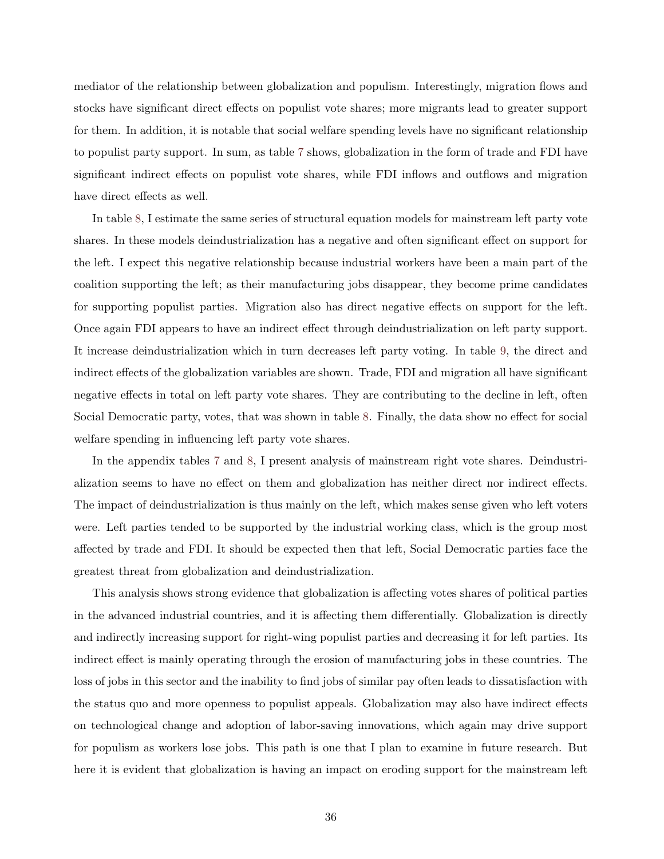mediator of the relationship between globalization and populism. Interestingly, migration flows and stocks have significant direct effects on populist vote shares; more migrants lead to greater support for them. In addition, it is notable that social welfare spending levels have no significant relationship to populist party support. In sum, as table [7](#page-38-0) shows, globalization in the form of trade and FDI have significant indirect effects on populist vote shares, while FDI inflows and outflows and migration have direct effects as well.

In table [8,](#page-39-0) I estimate the same series of structural equation models for mainstream left party vote shares. In these models deindustrialization has a negative and often significant effect on support for the left. I expect this negative relationship because industrial workers have been a main part of the coalition supporting the left; as their manufacturing jobs disappear, they become prime candidates for supporting populist parties. Migration also has direct negative effects on support for the left. Once again FDI appears to have an indirect effect through deindustrialization on left party support. It increase deindustrialization which in turn decreases left party voting. In table [9,](#page-40-0) the direct and indirect effects of the globalization variables are shown. Trade, FDI and migration all have significant negative effects in total on left party vote shares. They are contributing to the decline in left, often Social Democratic party, votes, that was shown in table [8.](#page-34-0) Finally, the data show no effect for social welfare spending in influencing left party vote shares.

In the appendix tables [7](#page-58-0) and [8,](#page-59-0) I present analysis of mainstream right vote shares. Deindustrialization seems to have no effect on them and globalization has neither direct nor indirect effects. The impact of deindustrialization is thus mainly on the left, which makes sense given who left voters were. Left parties tended to be supported by the industrial working class, which is the group most affected by trade and FDI. It should be expected then that left, Social Democratic parties face the greatest threat from globalization and deindustrialization.

This analysis shows strong evidence that globalization is affecting votes shares of political parties in the advanced industrial countries, and it is affecting them differentially. Globalization is directly and indirectly increasing support for right-wing populist parties and decreasing it for left parties. Its indirect effect is mainly operating through the erosion of manufacturing jobs in these countries. The loss of jobs in this sector and the inability to find jobs of similar pay often leads to dissatisfaction with the status quo and more openness to populist appeals. Globalization may also have indirect effects on technological change and adoption of labor-saving innovations, which again may drive support for populism as workers lose jobs. This path is one that I plan to examine in future research. But here it is evident that globalization is having an impact on eroding support for the mainstream left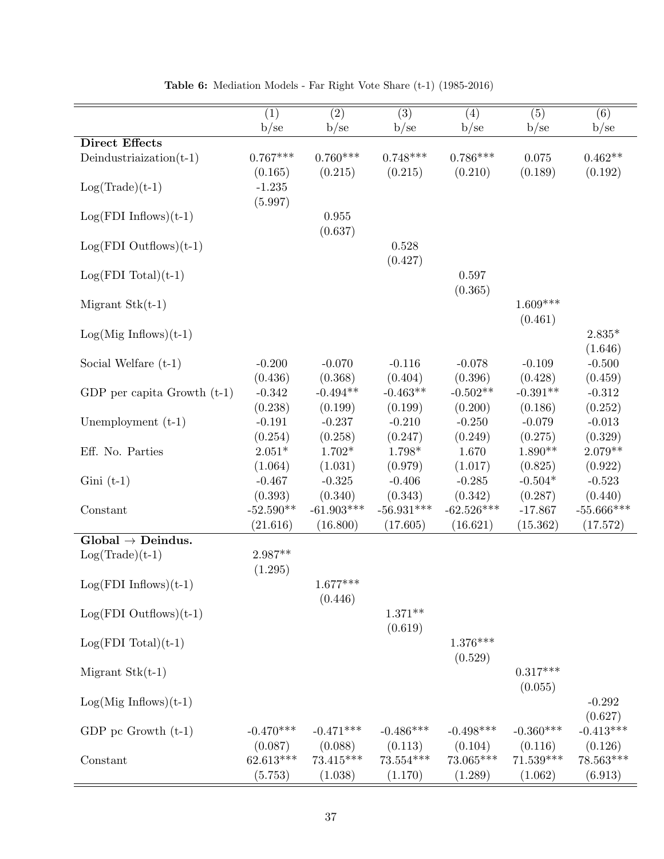<span id="page-37-0"></span>

|                               | (1)         | (2)          | (3)          | (4)          | (5)         | (6)          |
|-------------------------------|-------------|--------------|--------------|--------------|-------------|--------------|
|                               | b/se        | b/se         | b/se         | b/se         | b/se        | b/se         |
| <b>Direct Effects</b>         |             |              |              |              |             |              |
| Deindustriaization $(t-1)$    | $0.767***$  | $0.760***$   | $0.748***$   | $0.786***$   | 0.075       | $0.462**$    |
|                               | (0.165)     | (0.215)      | (0.215)      | (0.210)      | (0.189)     | (0.192)      |
|                               |             |              |              |              |             |              |
| $Log(Trade)(t-1)$             | $-1.235$    |              |              |              |             |              |
|                               | (5.997)     |              |              |              |             |              |
| $Log(FDI\ Inflows)(t-1)$      |             | $\,0.955\,$  |              |              |             |              |
|                               |             | (0.637)      |              |              |             |              |
| $Log(FDI$ Outflows) $(t-1)$   |             |              | 0.528        |              |             |              |
|                               |             |              |              |              |             |              |
|                               |             |              | (0.427)      |              |             |              |
| $Log(FDI Total)(t-1)$         |             |              |              | 0.597        |             |              |
|                               |             |              |              | (0.365)      |             |              |
| Migrant $Stk(t-1)$            |             |              |              |              | $1.609***$  |              |
|                               |             |              |              |              |             |              |
|                               |             |              |              |              | (0.461)     |              |
| $Log(Mig Inflows)(t-1)$       |             |              |              |              |             | $2.835*$     |
|                               |             |              |              |              |             | (1.646)      |
| Social Welfare $(t-1)$        | $-0.200$    | $-0.070$     | $-0.116$     | $-0.078$     | $-0.109$    | $-0.500$     |
|                               | (0.436)     | (0.368)      | (0.404)      | (0.396)      | (0.428)     | (0.459)      |
|                               |             |              |              |              |             |              |
| GDP per capita Growth $(t-1)$ | $-0.342$    | $-0.494**$   | $-0.463**$   | $-0.502**$   | $-0.391**$  | $-0.312$     |
|                               | (0.238)     | (0.199)      | (0.199)      | (0.200)      | (0.186)     | (0.252)      |
| Unemployment (t-1)            | $-0.191$    | $-0.237$     | $-0.210$     | $-0.250$     | $-0.079$    | $-0.013$     |
|                               | (0.254)     | (0.258)      | (0.247)      | (0.249)      | (0.275)     | (0.329)      |
| Eff. No. Parties              | $2.051*$    | $1.702*$     | 1.798*       | 1.670        | $1.890**$   | $2.079**$    |
|                               |             |              |              |              |             |              |
|                               | (1.064)     | (1.031)      | (0.979)      | (1.017)      | (0.825)     | (0.922)      |
| $Gini(t-1)$                   | $-0.467$    | $-0.325$     | $-0.406$     | $-0.285$     | $-0.504*$   | $-0.523$     |
|                               | (0.393)     | (0.340)      | (0.343)      | (0.342)      | (0.287)     | (0.440)      |
| Constant                      | $-52.590**$ | $-61.903***$ | $-56.931***$ | $-62.526***$ | $-17.867$   | $-55.666***$ |
|                               |             |              |              |              |             |              |
|                               | (21.616)    | (16.800)     | (17.605)     | (16.621)     | (15.362)    | (17.572)     |
| $Global \rightarrow Deindus.$ |             |              |              |              |             |              |
| $Log(Trade)(t-1)$             | $2.987**$   |              |              |              |             |              |
|                               | (1.295)     |              |              |              |             |              |
|                               |             | $1.677***$   |              |              |             |              |
| $Log(FDI\ Inflows)(t-1)$      |             |              |              |              |             |              |
|                               |             | (0.446)      |              |              |             |              |
| $Log(FDI$ Outflows) $(t-1)$   |             |              | $1.371**$    |              |             |              |
|                               |             |              | (0.619)      |              |             |              |
|                               |             |              |              | $1.376***$   |             |              |
| $Log(FDI Total)(t-1)$         |             |              |              |              |             |              |
|                               |             |              |              | (0.529)      |             |              |
| Migrant $Stk(t-1)$            |             |              |              |              | $0.317***$  |              |
|                               |             |              |              |              | (0.055)     |              |
|                               |             |              |              |              |             | $-0.292$     |
| $Log(Mig Inflows)(t-1)$       |             |              |              |              |             |              |
|                               |             |              |              |              |             | (0.627)      |
| GDP pc Growth $(t-1)$         | $-0.470***$ | $-0.471***$  | $-0.486***$  | $-0.498***$  | $-0.360***$ | $-0.413***$  |
|                               | (0.087)     | (0.088)      | (0.113)      | (0.104)      | (0.116)     | (0.126)      |
| Constant                      | $62.613***$ | $73.415***$  | $73.554***$  | 73.065***    | $71.539***$ | 78.563***    |
|                               |             |              |              |              |             |              |
|                               | (5.753)     | (1.038)      | (1.170)      | (1.289)      | (1.062)     | (6.913)      |

Table 6: Mediation Models - Far Right Vote Share (t-1) (1985-2016)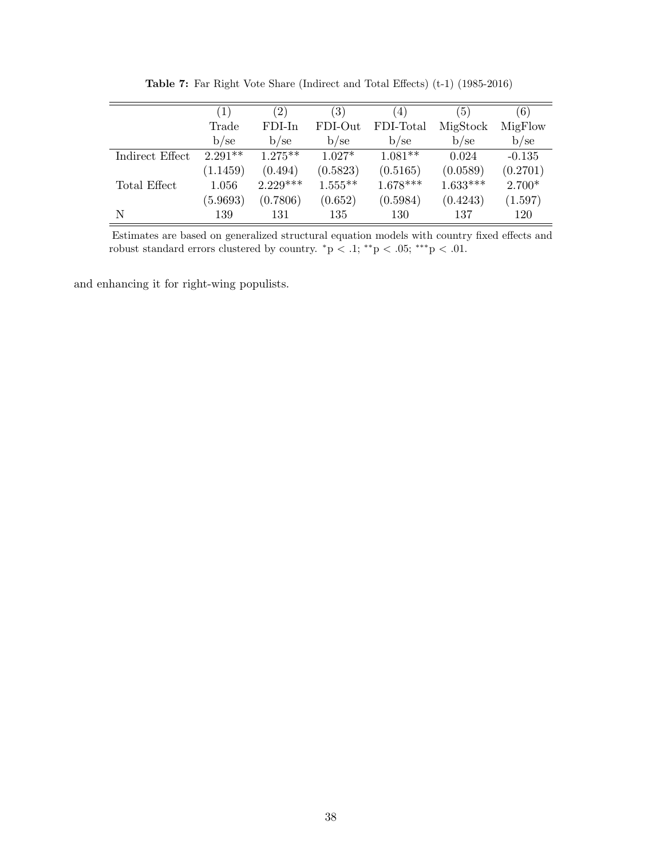<span id="page-38-0"></span>

|                 | (1)       | $\left( 2\right)$ | $\left( 3\right)$ | $\left(4\right)$ | (5)        | (6)      |
|-----------------|-----------|-------------------|-------------------|------------------|------------|----------|
|                 | Trade     | $FDI-In$          | FDI-Out           | FDI-Total        | MigStock   | MigFlow  |
|                 | $b$ /se   | b/sec             | $b$ /se           | b/sec            | b/sec      | $b$ /se  |
| Indirect Effect | $2.291**$ | $1.275**$         | $1.027*$          | $1.081**$        | 0.024      | $-0.135$ |
|                 | (1.1459)  | (0.494)           | (0.5823)          | (0.5165)         | (0.0589)   | (0.2701) |
| Total Effect    | 1.056     | $2.229***$        | $1.555**$         | $1.678***$       | $1.633***$ | $2.700*$ |
|                 | (5.9693)  | (0.7806)          | (0.652)           | (0.5984)         | (0.4243)   | (1.597)  |
| N               | 139       | 131               | 135               | 130              | 137        | 120      |

Table 7: Far Right Vote Share (Indirect and Total Effects) (t-1) (1985-2016)

Estimates are based on generalized structural equation models with country fixed effects and robust standard errors clustered by country. \*p < .1; \*\*p < .05; \*\*\*p < .01.

and enhancing it for right-wing populists.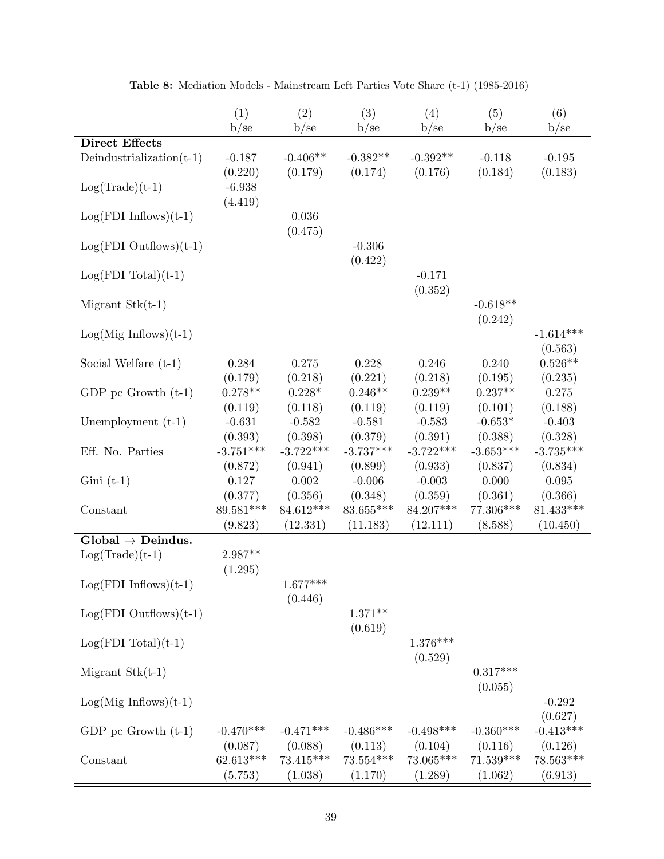<span id="page-39-0"></span>

|                               | $\overline{(1)}$ | $\overline{(2)}$ | $\overline{(3)}$ | (4)         | (5)         | (6)         |
|-------------------------------|------------------|------------------|------------------|-------------|-------------|-------------|
|                               | b/se             | b/se             | b/se             | b/se        | b/se        | b/se        |
| <b>Direct Effects</b>         |                  |                  |                  |             |             |             |
| Deindustrialization $(t-1)$   | $-0.187$         | $-0.406**$       | $-0.382**$       | $-0.392**$  | $-0.118$    | $-0.195$    |
|                               | (0.220)          | (0.179)          | (0.174)          | (0.176)     | (0.184)     | (0.183)     |
|                               | $-6.938$         |                  |                  |             |             |             |
| $Log(Trade)(t-1)$             |                  |                  |                  |             |             |             |
|                               | (4.419)          |                  |                  |             |             |             |
| $Log(FDI\ Inflows)(t-1)$      |                  | 0.036            |                  |             |             |             |
|                               |                  | (0.475)          |                  |             |             |             |
| $Log(FDI$ Outflows) $(t-1)$   |                  |                  | $-0.306$         |             |             |             |
|                               |                  |                  | (0.422)          |             |             |             |
|                               |                  |                  |                  |             |             |             |
| $Log(FDI Total)(t-1)$         |                  |                  |                  | $-0.171$    |             |             |
|                               |                  |                  |                  | (0.352)     |             |             |
| Migrant $Stk(t-1)$            |                  |                  |                  |             | $-0.618**$  |             |
|                               |                  |                  |                  |             | (0.242)     |             |
|                               |                  |                  |                  |             |             |             |
| $Log(Mig Inflows)(t-1)$       |                  |                  |                  |             |             | $-1.614***$ |
|                               |                  |                  |                  |             |             | (0.563)     |
| Social Welfare $(t-1)$        | 0.284            | 0.275            | 0.228            | 0.246       | 0.240       | $0.526**$   |
|                               | (0.179)          | (0.218)          | (0.221)          | (0.218)     | (0.195)     | (0.235)     |
| GDP pc Growth $(t-1)$         | $0.278**$        | $0.228*$         | $0.246**$        | $0.239**$   | $0.237**$   | 0.275       |
|                               |                  |                  |                  |             |             |             |
|                               | (0.119)          | (0.118)          | (0.119)          | (0.119)     | (0.101)     | (0.188)     |
| Unemployment $(t-1)$          | $-0.631$         | $-0.582$         | $-0.581$         | $-0.583$    | $-0.653*$   | $-0.403$    |
|                               | (0.393)          | (0.398)          | (0.379)          | (0.391)     | (0.388)     | (0.328)     |
| Eff. No. Parties              | $-3.751***$      | $-3.722***$      | $-3.737***$      | $-3.722***$ | $-3.653***$ | $-3.735***$ |
|                               | (0.872)          | (0.941)          | (0.899)          | (0.933)     | (0.837)     | (0.834)     |
|                               |                  |                  |                  |             |             |             |
| $Gini(t-1)$                   | 0.127            | 0.002            | $-0.006$         | $-0.003$    | 0.000       | 0.095       |
|                               | (0.377)          | (0.356)          | (0.348)          | (0.359)     | (0.361)     | (0.366)     |
| Constant                      | 89.581***        | 84.612***        | 83.655***        | 84.207***   | 77.306***   | $81.433***$ |
|                               | (9.823)          | (12.331)         | (11.183)         | (12.111)    | (8.588)     | (10.450)    |
| $Global \rightarrow Deindus.$ |                  |                  |                  |             |             |             |
|                               |                  |                  |                  |             |             |             |
| $Log(Trade)(t-1)$             | 2.987**          |                  |                  |             |             |             |
|                               | (1.295)          |                  |                  |             |             |             |
| $Log(FDI\ Inflows)(t-1)$      |                  | $1.677***$       |                  |             |             |             |
|                               |                  | (0.446)          |                  |             |             |             |
|                               |                  |                  | $1.371**$        |             |             |             |
| $Log(FDI$ Outflows) $(t-1)$   |                  |                  |                  |             |             |             |
|                               |                  |                  | (0.619)          |             |             |             |
| $Log(FDI Total)(t-1)$         |                  |                  |                  | $1.376***$  |             |             |
|                               |                  |                  |                  | (0.529)     |             |             |
| Migrant $Stk(t-1)$            |                  |                  |                  |             | $0.317***$  |             |
|                               |                  |                  |                  |             |             |             |
|                               |                  |                  |                  |             | (0.055)     |             |
| $Log(Mig Inflows)(t-1)$       |                  |                  |                  |             |             | $-0.292$    |
|                               |                  |                  |                  |             |             | (0.627)     |
| GDP pc Growth $(t-1)$         | $-0.470***$      | $-0.471***$      | $-0.486***$      | $-0.498***$ | $-0.360***$ | $-0.413***$ |
|                               | (0.087)          | (0.088)          | (0.113)          | (0.104)     | (0.116)     | (0.126)     |
|                               |                  |                  |                  |             |             |             |
| Constant                      | $62.613***$      | $73.415***$      | $73.554***$      | $73.065***$ | $71.539***$ | $78.563***$ |
|                               | (5.753)          | (1.038)          | (1.170)          | (1.289)     | (1.062)     | (6.913)     |

Table 8: Mediation Models - Mainstream Left Parties Vote Share (t-1) (1985-2016)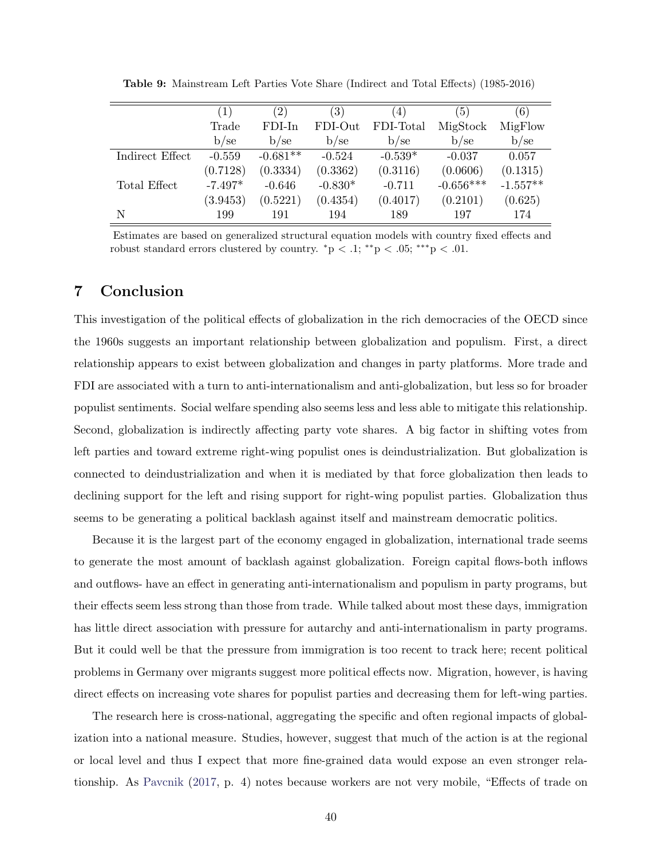<span id="page-40-0"></span>

|                 | $\left( 1\right)$ | (2)        | $\left( 3\right)$ | $\left(4\right)$ | $\left(5\right)$ | (6)        |
|-----------------|-------------------|------------|-------------------|------------------|------------------|------------|
|                 | Trade             | $FDI-In$   | FDI-Out           | FDI-Total        | MigStock         | MigFlow    |
|                 | b/sec             | b/sec      | b/se              | b/sec            | $b$ /se          | b/sec      |
| Indirect Effect | $-0.559$          | $-0.681**$ | $-0.524$          | $-0.539*$        | $-0.037$         | 0.057      |
|                 | (0.7128)          | (0.3334)   | (0.3362)          | (0.3116)         | (0.0606)         | (0.1315)   |
| Total Effect    | $-7.497*$         | $-0.646$   | $-0.830*$         | $-0.711$         | $-0.656***$      | $-1.557**$ |
|                 | (3.9453)          | (0.5221)   | (0.4354)          | (0.4017)         | (0.2101)         | (0.625)    |
| N               | 199               | 191        | 194               | 189              | 197              | 174        |

Table 9: Mainstream Left Parties Vote Share (Indirect and Total Effects) (1985-2016)

Estimates are based on generalized structural equation models with country fixed effects and robust standard errors clustered by country.  $\rm *p < .1; \rm **p < .05; \rm ***p < .01$ .

### 7 Conclusion

This investigation of the political effects of globalization in the rich democracies of the OECD since the 1960s suggests an important relationship between globalization and populism. First, a direct relationship appears to exist between globalization and changes in party platforms. More trade and FDI are associated with a turn to anti-internationalism and anti-globalization, but less so for broader populist sentiments. Social welfare spending also seems less and less able to mitigate this relationship. Second, globalization is indirectly affecting party vote shares. A big factor in shifting votes from left parties and toward extreme right-wing populist ones is deindustrialization. But globalization is connected to deindustrialization and when it is mediated by that force globalization then leads to declining support for the left and rising support for right-wing populist parties. Globalization thus seems to be generating a political backlash against itself and mainstream democratic politics.

Because it is the largest part of the economy engaged in globalization, international trade seems to generate the most amount of backlash against globalization. Foreign capital flows-both inflows and outflows- have an effect in generating anti-internationalism and populism in party programs, but their effects seem less strong than those from trade. While talked about most these days, immigration has little direct association with pressure for autarchy and anti-internationalism in party programs. But it could well be that the pressure from immigration is too recent to track here; recent political problems in Germany over migrants suggest more political effects now. Migration, however, is having direct effects on increasing vote shares for populist parties and decreasing them for left-wing parties.

The research here is cross-national, aggregating the specific and often regional impacts of globalization into a national measure. Studies, however, suggest that much of the action is at the regional or local level and thus I expect that more fine-grained data would expose an even stronger relationship. As [Pavcnik](#page-47-16) [\(2017,](#page-47-16) p. 4) notes because workers are not very mobile, "Effects of trade on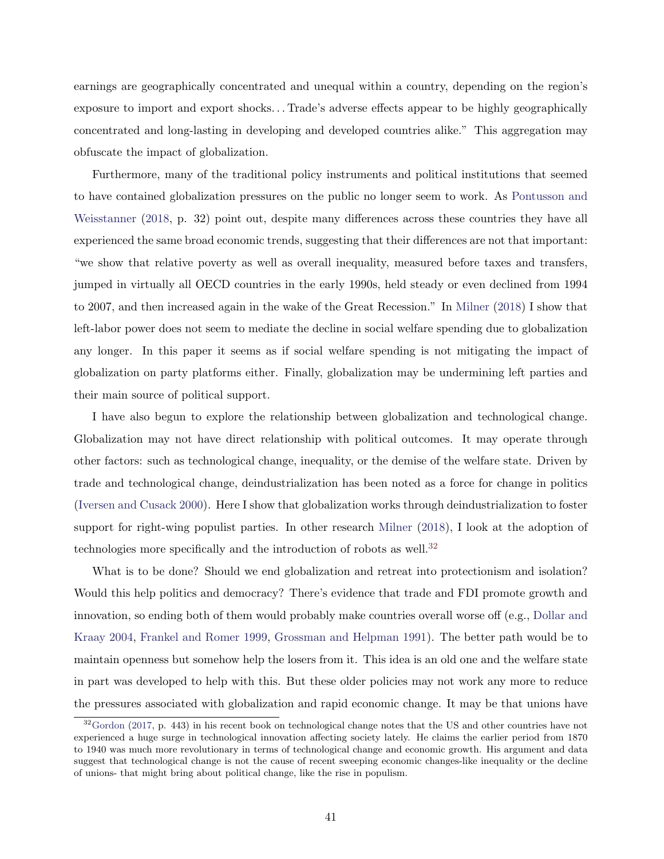earnings are geographically concentrated and unequal within a country, depending on the region's exposure to import and export shocks. . . Trade's adverse effects appear to be highly geographically concentrated and long-lasting in developing and developed countries alike." This aggregation may obfuscate the impact of globalization.

Furthermore, many of the traditional policy instruments and political institutions that seemed to have contained globalization pressures on the public no longer seem to work. As [Pontusson and](#page-47-17) [Weisstanner](#page-47-17) [\(2018,](#page-47-17) p. 32) point out, despite many differences across these countries they have all experienced the same broad economic trends, suggesting that their differences are not that important: "we show that relative poverty as well as overall inequality, measured before taxes and transfers, jumped in virtually all OECD countries in the early 1990s, held steady or even declined from 1994 to 2007, and then increased again in the wake of the Great Recession." In [Milner](#page-47-0) [\(2018\)](#page-47-0) I show that left-labor power does not seem to mediate the decline in social welfare spending due to globalization any longer. In this paper it seems as if social welfare spending is not mitigating the impact of globalization on party platforms either. Finally, globalization may be undermining left parties and their main source of political support.

I have also begun to explore the relationship between globalization and technological change. Globalization may not have direct relationship with political outcomes. It may operate through other factors: such as technological change, inequality, or the demise of the welfare state. Driven by trade and technological change, deindustrialization has been noted as a force for change in politics [\(Iversen and Cusack](#page-45-14) [2000\)](#page-45-14). Here I show that globalization works through deindustrialization to foster support for right-wing populist parties. In other research [Milner](#page-47-0) [\(2018\)](#page-47-0), I look at the adoption of technologies more specifically and the introduction of robots as well.<sup>[32](#page-41-0)</sup>

What is to be done? Should we end globalization and retreat into protectionism and isolation? Would this help politics and democracy? There's evidence that trade and FDI promote growth and innovation, so ending both of them would probably make countries overall worse off (e.g., [Dollar and](#page-44-14) [Kraay](#page-44-14) [2004,](#page-44-14) [Frankel and Romer](#page-44-15) [1999,](#page-44-15) [Grossman and Helpman](#page-45-17) [1991\)](#page-45-17). The better path would be to maintain openness but somehow help the losers from it. This idea is an old one and the welfare state in part was developed to help with this. But these older policies may not work any more to reduce the pressures associated with globalization and rapid economic change. It may be that unions have

<span id="page-41-0"></span> $32Gordon$  $32Gordon$  [\(2017,](#page-45-3) p. 443) in his recent book on technological change notes that the US and other countries have not experienced a huge surge in technological innovation affecting society lately. He claims the earlier period from 1870 to 1940 was much more revolutionary in terms of technological change and economic growth. His argument and data suggest that technological change is not the cause of recent sweeping economic changes-like inequality or the decline of unions- that might bring about political change, like the rise in populism.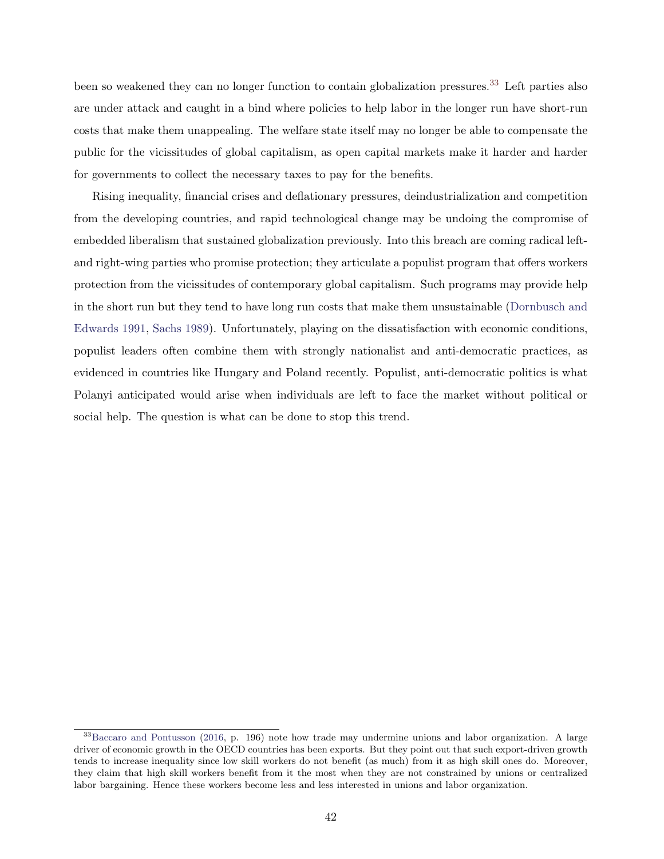been so weakened they can no longer function to contain globalization pressures.<sup>[33](#page-42-0)</sup> Left parties also are under attack and caught in a bind where policies to help labor in the longer run have short-run costs that make them unappealing. The welfare state itself may no longer be able to compensate the public for the vicissitudes of global capitalism, as open capital markets make it harder and harder for governments to collect the necessary taxes to pay for the benefits.

Rising inequality, financial crises and deflationary pressures, deindustrialization and competition from the developing countries, and rapid technological change may be undoing the compromise of embedded liberalism that sustained globalization previously. Into this breach are coming radical leftand right-wing parties who promise protection; they articulate a populist program that offers workers protection from the vicissitudes of contemporary global capitalism. Such programs may provide help in the short run but they tend to have long run costs that make them unsustainable [\(Dornbusch and](#page-44-16) [Edwards](#page-44-16) [1991,](#page-44-16) [Sachs](#page-48-16) [1989\)](#page-48-16). Unfortunately, playing on the dissatisfaction with economic conditions, populist leaders often combine them with strongly nationalist and anti-democratic practices, as evidenced in countries like Hungary and Poland recently. Populist, anti-democratic politics is what Polanyi anticipated would arise when individuals are left to face the market without political or social help. The question is what can be done to stop this trend.

<span id="page-42-0"></span><sup>33</sup>[Baccaro and Pontusson](#page-43-2) [\(2016,](#page-43-2) p. 196) note how trade may undermine unions and labor organization. A large driver of economic growth in the OECD countries has been exports. But they point out that such export-driven growth tends to increase inequality since low skill workers do not benefit (as much) from it as high skill ones do. Moreover, they claim that high skill workers benefit from it the most when they are not constrained by unions or centralized labor bargaining. Hence these workers become less and less interested in unions and labor organization.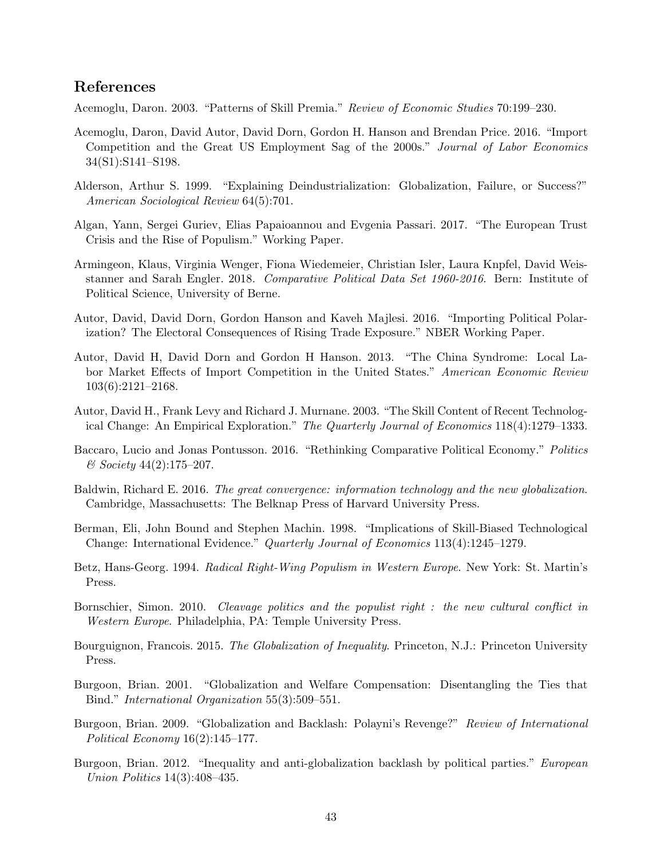#### References

<span id="page-43-12"></span>Acemoglu, Daron. 2003. "Patterns of Skill Premia." Review of Economic Studies 70:199–230.

- <span id="page-43-6"></span>Acemoglu, Daron, David Autor, David Dorn, Gordon H. Hanson and Brendan Price. 2016. "Import Competition and the Great US Employment Sag of the 2000s." Journal of Labor Economics 34(S1):S141–S198.
- <span id="page-43-15"></span>Alderson, Arthur S. 1999. "Explaining Deindustrialization: Globalization, Failure, or Success?" American Sociological Review 64(5):701.
- <span id="page-43-16"></span>Algan, Yann, Sergei Guriev, Elias Papaioannou and Evgenia Passari. 2017. "The European Trust Crisis and the Rise of Populism." Working Paper.
- <span id="page-43-14"></span>Armingeon, Klaus, Virginia Wenger, Fiona Wiedemeier, Christian Isler, Laura Knpfel, David Weisstanner and Sarah Engler. 2018. Comparative Political Data Set 1960-2016. Bern: Institute of Political Science, University of Berne.
- <span id="page-43-7"></span>Autor, David, David Dorn, Gordon Hanson and Kaveh Majlesi. 2016. "Importing Political Polarization? The Electoral Consequences of Rising Trade Exposure." NBER Working Paper.
- <span id="page-43-8"></span>Autor, David H, David Dorn and Gordon H Hanson. 2013. "The China Syndrome: Local Labor Market Effects of Import Competition in the United States." American Economic Review 103(6):2121–2168.
- <span id="page-43-10"></span>Autor, David H., Frank Levy and Richard J. Murnane. 2003. "The Skill Content of Recent Technological Change: An Empirical Exploration." The Quarterly Journal of Economics 118(4):1279–1333.
- <span id="page-43-2"></span>Baccaro, Lucio and Jonas Pontusson. 2016. "Rethinking Comparative Political Economy." Politics & Society 44(2):175–207.
- <span id="page-43-9"></span>Baldwin, Richard E. 2016. The great convergence: information technology and the new globalization. Cambridge, Massachusetts: The Belknap Press of Harvard University Press.
- <span id="page-43-11"></span>Berman, Eli, John Bound and Stephen Machin. 1998. "Implications of Skill-Biased Technological Change: International Evidence." Quarterly Journal of Economics 113(4):1245–1279.
- <span id="page-43-4"></span>Betz, Hans-Georg. 1994. Radical Right-Wing Populism in Western Europe. New York: St. Martin's Press.
- <span id="page-43-5"></span>Bornschier, Simon. 2010. Cleavage politics and the populist right : the new cultural conflict in Western Europe. Philadelphia, PA: Temple University Press.
- <span id="page-43-1"></span>Bourguignon, Francois. 2015. The Globalization of Inequality. Princeton, N.J.: Princeton University Press.
- <span id="page-43-3"></span>Burgoon, Brian. 2001. "Globalization and Welfare Compensation: Disentangling the Ties that Bind." International Organization 55(3):509–551.
- <span id="page-43-0"></span>Burgoon, Brian. 2009. "Globalization and Backlash: Polayni's Revenge?" Review of International Political Economy 16(2):145–177.
- <span id="page-43-13"></span>Burgoon, Brian. 2012. "Inequality and anti-globalization backlash by political parties." *European* Union Politics 14(3):408–435.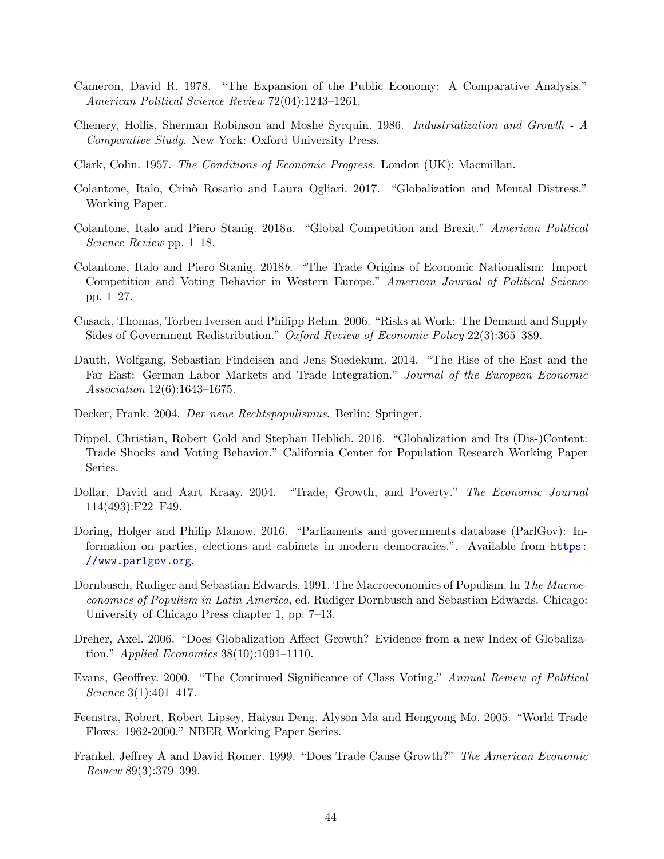- <span id="page-44-0"></span>Cameron, David R. 1978. "The Expansion of the Public Economy: A Comparative Analysis." American Political Science Review 72(04):1243–1261.
- <span id="page-44-10"></span>Chenery, Hollis, Sherman Robinson and Moshe Syrquin. 1986. Industrialization and Growth - A Comparative Study. New York: Oxford University Press.
- <span id="page-44-11"></span>Clark, Colin. 1957. The Conditions of Economic Progress. London (UK): Macmillan.
- <span id="page-44-3"></span>Colantone, Italo, Crinò Rosario and Laura Ogliari. 2017. "Globalization and Mental Distress." Working Paper.
- <span id="page-44-6"></span>Colantone, Italo and Piero Stanig. 2018a. "Global Competition and Brexit." American Political Science Review pp. 1–18.
- <span id="page-44-5"></span>Colantone, Italo and Piero Stanig. 2018b. "The Trade Origins of Economic Nationalism: Import Competition and Voting Behavior in Western Europe." American Journal of Political Science pp. 1–27.
- <span id="page-44-4"></span>Cusack, Thomas, Torben Iversen and Philipp Rehm. 2006. "Risks at Work: The Demand and Supply Sides of Government Redistribution." Oxford Review of Economic Policy 22(3):365–389.
- <span id="page-44-2"></span>Dauth, Wolfgang, Sebastian Findeisen and Jens Suedekum. 2014. "The Rise of the East and the Far East: German Labor Markets and Trade Integration." Journal of the European Economic Association 12(6):1643–1675.
- <span id="page-44-1"></span>Decker, Frank. 2004. Der neue Rechtspopulismus. Berlin: Springer.
- <span id="page-44-7"></span>Dippel, Christian, Robert Gold and Stephan Heblich. 2016. "Globalization and Its (Dis-)Content: Trade Shocks and Voting Behavior." California Center for Population Research Working Paper Series.
- <span id="page-44-14"></span>Dollar, David and Aart Kraay. 2004. "Trade, Growth, and Poverty." The Economic Journal 114(493):F22–F49.
- <span id="page-44-13"></span>Doring, Holger and Philip Manow. 2016. "Parliaments and governments database (ParlGov): Information on parties, elections and cabinets in modern democracies.". Available from [https:](https://www.parlgov.org) [//www.parlgov.org](https://www.parlgov.org).
- <span id="page-44-16"></span>Dornbusch, Rudiger and Sebastian Edwards. 1991. The Macroeconomics of Populism. In The Macroeconomics of Populism in Latin America, ed. Rudiger Dornbusch and Sebastian Edwards. Chicago: University of Chicago Press chapter 1, pp. 7–13.
- <span id="page-44-9"></span>Dreher, Axel. 2006. "Does Globalization Affect Growth? Evidence from a new Index of Globalization." Applied Economics  $38(10):1091-1110$ .
- <span id="page-44-8"></span>Evans, Geoffrey. 2000. "The Continued Significance of Class Voting." Annual Review of Political Science 3(1):401–417.
- <span id="page-44-12"></span>Feenstra, Robert, Robert Lipsey, Haiyan Deng, Alyson Ma and Hengyong Mo. 2005. "World Trade Flows: 1962-2000." NBER Working Paper Series.
- <span id="page-44-15"></span>Frankel, Jeffrey A and David Romer. 1999. "Does Trade Cause Growth?" The American Economic Review 89(3):379–399.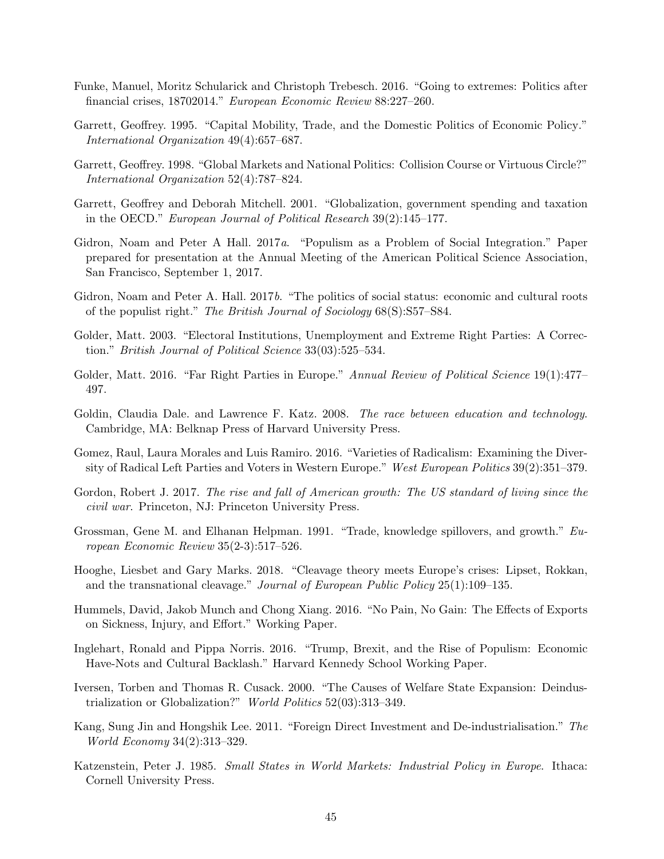- <span id="page-45-16"></span>Funke, Manuel, Moritz Schularick and Christoph Trebesch. 2016. "Going to extremes: Politics after financial crises, 18702014." European Economic Review 88:227–260.
- <span id="page-45-0"></span>Garrett, Geoffrey. 1995. "Capital Mobility, Trade, and the Domestic Politics of Economic Policy." International Organization 49(4):657–687.
- <span id="page-45-1"></span>Garrett, Geoffrey. 1998. "Global Markets and National Politics: Collision Course or Virtuous Circle?" International Organization 52(4):787–824.
- <span id="page-45-2"></span>Garrett, Geoffrey and Deborah Mitchell. 2001. "Globalization, government spending and taxation in the OECD." European Journal of Political Research 39(2):145–177.
- <span id="page-45-8"></span>Gidron, Noam and Peter A Hall. 2017a. "Populism as a Problem of Social Integration." Paper prepared for presentation at the Annual Meeting of the American Political Science Association, San Francisco, September 1, 2017.
- <span id="page-45-9"></span>Gidron, Noam and Peter A. Hall. 2017b. "The politics of social status: economic and cultural roots of the populist right." The British Journal of Sociology 68(S):S57–S84.
- <span id="page-45-15"></span>Golder, Matt. 2003. "Electoral Institutions, Unemployment and Extreme Right Parties: A Correction." British Journal of Political Science 33(03):525–534.
- <span id="page-45-6"></span>Golder, Matt. 2016. "Far Right Parties in Europe." Annual Review of Political Science 19(1):477– 497.
- <span id="page-45-11"></span>Goldin, Claudia Dale. and Lawrence F. Katz. 2008. *The race between education and technology*. Cambridge, MA: Belknap Press of Harvard University Press.
- <span id="page-45-12"></span>Gomez, Raul, Laura Morales and Luis Ramiro. 2016. "Varieties of Radicalism: Examining the Diversity of Radical Left Parties and Voters in Western Europe." West European Politics 39(2):351–379.
- <span id="page-45-3"></span>Gordon, Robert J. 2017. The rise and fall of American growth: The US standard of living since the civil war. Princeton, NJ: Princeton University Press.
- <span id="page-45-17"></span>Grossman, Gene M. and Elhanan Helpman. 1991. "Trade, knowledge spillovers, and growth." European Economic Review 35(2-3):517–526.
- <span id="page-45-7"></span>Hooghe, Liesbet and Gary Marks. 2018. "Cleavage theory meets Europe's crises: Lipset, Rokkan, and the transnational cleavage." Journal of European Public Policy 25(1):109–135.
- <span id="page-45-10"></span>Hummels, David, Jakob Munch and Chong Xiang. 2016. "No Pain, No Gain: The Effects of Exports on Sickness, Injury, and Effort." Working Paper.
- <span id="page-45-5"></span>Inglehart, Ronald and Pippa Norris. 2016. "Trump, Brexit, and the Rise of Populism: Economic Have-Nots and Cultural Backlash." Harvard Kennedy School Working Paper.
- <span id="page-45-14"></span>Iversen, Torben and Thomas R. Cusack. 2000. "The Causes of Welfare State Expansion: Deindustrialization or Globalization?" World Politics 52(03):313–349.
- <span id="page-45-13"></span>Kang, Sung Jin and Hongshik Lee. 2011. "Foreign Direct Investment and De-industrialisation." The World Economy 34(2):313–329.
- <span id="page-45-4"></span>Katzenstein, Peter J. 1985. Small States in World Markets: Industrial Policy in Europe. Ithaca: Cornell University Press.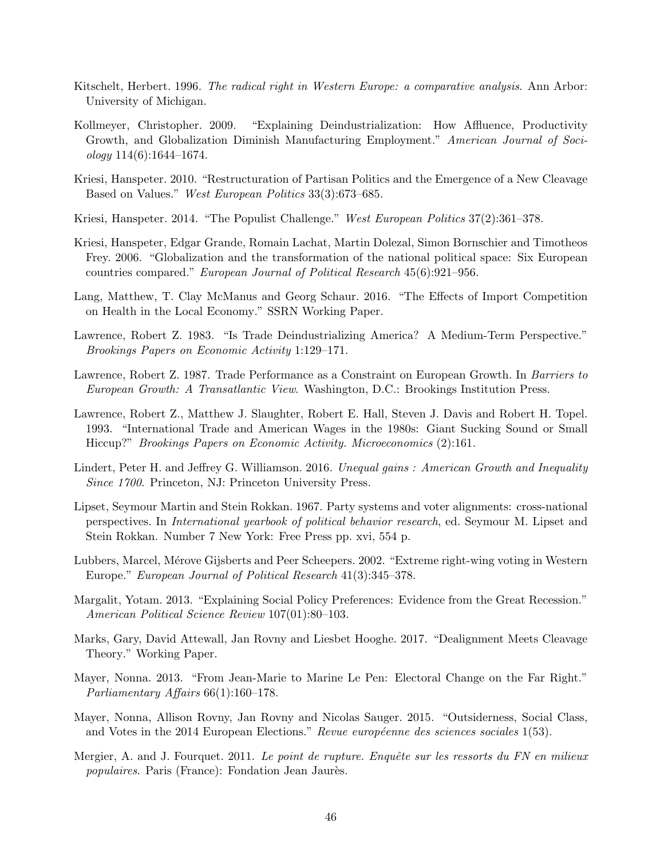- <span id="page-46-0"></span>Kitschelt, Herbert. 1996. *The radical right in Western Europe: a comparative analysis*. Ann Arbor: University of Michigan.
- <span id="page-46-12"></span>Kollmeyer, Christopher. 2009. "Explaining Deindustrialization: How Affluence, Productivity Growth, and Globalization Diminish Manufacturing Employment." American Journal of Soci $ology 114(6):1644-1674.$
- <span id="page-46-1"></span>Kriesi, Hanspeter. 2010. "Restructuration of Partisan Politics and the Emergence of a New Cleavage Based on Values." West European Politics 33(3):673–685.
- <span id="page-46-4"></span>Kriesi, Hanspeter. 2014. "The Populist Challenge." West European Politics 37(2):361–378.
- <span id="page-46-3"></span>Kriesi, Hanspeter, Edgar Grande, Romain Lachat, Martin Dolezal, Simon Bornschier and Timotheos Frey. 2006. "Globalization and the transformation of the national political space: Six European countries compared." European Journal of Political Research 45(6):921–956.
- <span id="page-46-8"></span>Lang, Matthew, T. Clay McManus and Georg Schaur. 2016. "The Effects of Import Competition on Health in the Local Economy." SSRN Working Paper.
- <span id="page-46-13"></span>Lawrence, Robert Z. 1983. "Is Trade Deindustrializing America? A Medium-Term Perspective." Brookings Papers on Economic Activity 1:129–171.
- <span id="page-46-14"></span>Lawrence, Robert Z. 1987. Trade Performance as a Constraint on European Growth. In Barriers to European Growth: A Transatlantic View. Washington, D.C.: Brookings Institution Press.
- <span id="page-46-15"></span>Lawrence, Robert Z., Matthew J. Slaughter, Robert E. Hall, Steven J. Davis and Robert H. Topel. 1993. "International Trade and American Wages in the 1980s: Giant Sucking Sound or Small Hiccup?" Brookings Papers on Economic Activity. Microeconomics (2):161.
- <span id="page-46-10"></span>Lindert, Peter H. and Jeffrey G. Williamson. 2016. Unequal gains: American Growth and Inequality Since 1700. Princeton, NJ: Princeton University Press.
- <span id="page-46-5"></span>Lipset, Seymour Martin and Stein Rokkan. 1967. Party systems and voter alignments: cross-national perspectives. In International yearbook of political behavior research, ed. Seymour M. Lipset and Stein Rokkan. Number 7 New York: Free Press pp. xvi, 554 p.
- <span id="page-46-11"></span>Lubbers, Marcel, Mérove Gijsberts and Peer Scheepers. 2002. "Extreme right-wing voting in Western Europe." European Journal of Political Research 41(3):345–378.
- <span id="page-46-9"></span>Margalit, Yotam. 2013. "Explaining Social Policy Preferences: Evidence from the Great Recession." American Political Science Review 107(01):80–103.
- <span id="page-46-16"></span>Marks, Gary, David Attewall, Jan Rovny and Liesbet Hooghe. 2017. "Dealignment Meets Cleavage Theory." Working Paper.
- <span id="page-46-2"></span>Mayer, Nonna. 2013. "From Jean-Marie to Marine Le Pen: Electoral Change on the Far Right." Parliamentary Affairs 66(1):160–178.
- <span id="page-46-6"></span>Mayer, Nonna, Allison Rovny, Jan Rovny and Nicolas Sauger. 2015. "Outsiderness, Social Class, and Votes in the 2014 European Elections." Revue européenne des sciences sociales  $1(53)$ .
- <span id="page-46-7"></span>Mergier, A. and J. Fourquet. 2011. Le point de rupture. Enquête sur les ressorts du FN en milieux populaires. Paris (France): Fondation Jean Jaurès.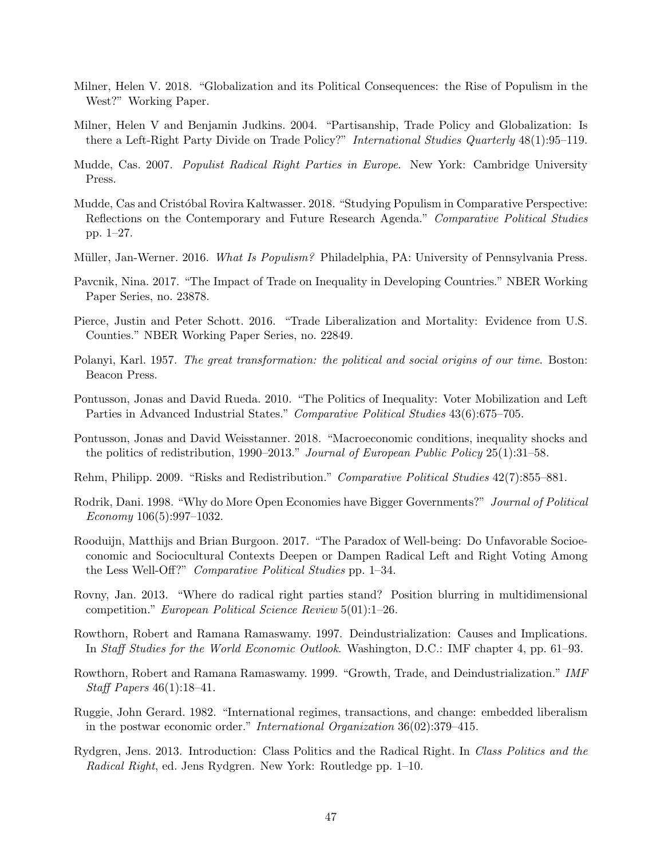- <span id="page-47-0"></span>Milner, Helen V. 2018. "Globalization and its Political Consequences: the Rise of Populism in the West?" Working Paper.
- <span id="page-47-8"></span>Milner, Helen V and Benjamin Judkins. 2004. "Partisanship, Trade Policy and Globalization: Is there a Left-Right Party Divide on Trade Policy?" International Studies Quarterly 48(1):95–119.
- <span id="page-47-4"></span>Mudde, Cas. 2007. Populist Radical Right Parties in Europe. New York: Cambridge University Press.
- <span id="page-47-15"></span>Mudde, Cas and Cristóbal Rovira Kaltwasser. 2018. "Studying Populism in Comparative Perspective: Reflections on the Contemporary and Future Research Agenda." Comparative Political Studies pp. 1–27.
- <span id="page-47-5"></span>Müller, Jan-Werner. 2016. *What Is Populism?* Philadelphia, PA: University of Pennsylvania Press.
- <span id="page-47-16"></span>Pavcnik, Nina. 2017. "The Impact of Trade on Inequality in Developing Countries." NBER Working Paper Series, no. 23878.
- <span id="page-47-6"></span>Pierce, Justin and Peter Schott. 2016. "Trade Liberalization and Mortality: Evidence from U.S. Counties." NBER Working Paper Series, no. 22849.
- <span id="page-47-1"></span>Polanyi, Karl. 1957. The great transformation: the political and social origins of our time. Boston: Beacon Press.
- <span id="page-47-14"></span>Pontusson, Jonas and David Rueda. 2010. "The Politics of Inequality: Voter Mobilization and Left Parties in Advanced Industrial States." Comparative Political Studies 43(6):675–705.
- <span id="page-47-17"></span>Pontusson, Jonas and David Weisstanner. 2018. "Macroeconomic conditions, inequality shocks and the politics of redistribution, 1990–2013." Journal of European Public Policy 25(1):31–58.
- <span id="page-47-7"></span>Rehm, Philipp. 2009. "Risks and Redistribution." Comparative Political Studies 42(7):855–881.
- <span id="page-47-3"></span>Rodrik, Dani. 1998. "Why do More Open Economies have Bigger Governments?" Journal of Political  $Economy 106(5):997-1032.$
- <span id="page-47-9"></span>Rooduijn, Matthijs and Brian Burgoon. 2017. "The Paradox of Well-being: Do Unfavorable Socioeconomic and Sociocultural Contexts Deepen or Dampen Radical Left and Right Voting Among the Less Well-Off?" Comparative Political Studies pp. 1–34.
- <span id="page-47-13"></span>Rovny, Jan. 2013. "Where do radical right parties stand? Position blurring in multidimensional competition." European Political Science Review 5(01):1–26.
- <span id="page-47-11"></span>Rowthorn, Robert and Ramana Ramaswamy. 1997. Deindustrialization: Causes and Implications. In Staff Studies for the World Economic Outlook. Washington, D.C.: IMF chapter 4, pp. 61–93.
- <span id="page-47-12"></span>Rowthorn, Robert and Ramana Ramaswamy. 1999. "Growth, Trade, and Deindustrialization." IMF Staff Papers 46(1):18–41.
- <span id="page-47-2"></span>Ruggie, John Gerard. 1982. "International regimes, transactions, and change: embedded liberalism in the postwar economic order." International Organization 36(02):379–415.
- <span id="page-47-10"></span>Rydgren, Jens. 2013. Introduction: Class Politics and the Radical Right. In Class Politics and the Radical Right, ed. Jens Rydgren. New York: Routledge pp. 1–10.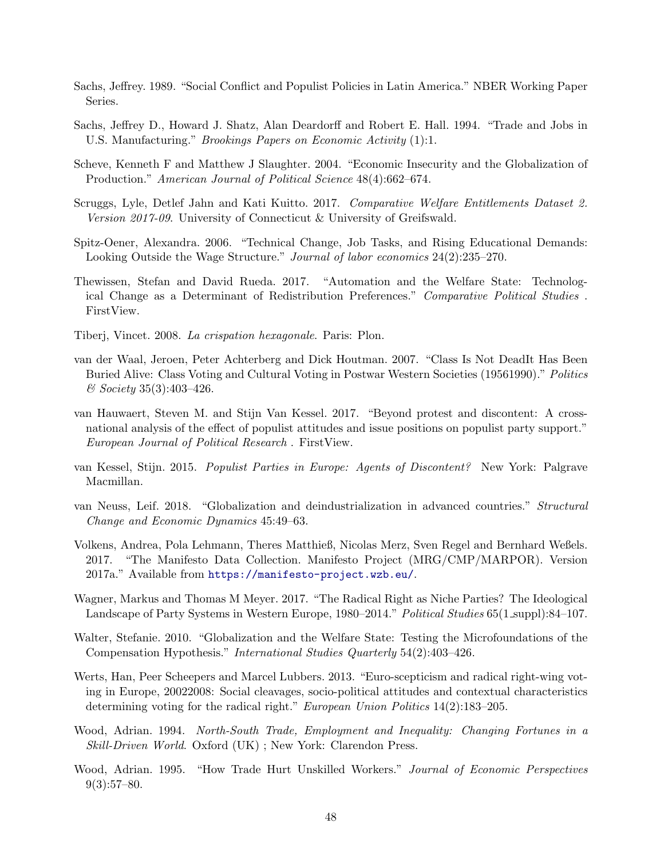- <span id="page-48-16"></span>Sachs, Jeffrey. 1989. "Social Conflict and Populist Policies in Latin America." NBER Working Paper Series.
- <span id="page-48-10"></span>Sachs, Jeffrey D., Howard J. Shatz, Alan Deardorff and Robert E. Hall. 1994. "Trade and Jobs in U.S. Manufacturing." Brookings Papers on Economic Activity (1):1.
- <span id="page-48-3"></span>Scheve, Kenneth F and Matthew J Slaughter. 2004. "Economic Insecurity and the Globalization of Production." American Journal of Political Science 48(4):662–674.
- <span id="page-48-8"></span>Scruggs, Lyle, Detlef Jahn and Kati Kuitto. 2017. Comparative Welfare Entitlements Dataset 2. Version 2017-09. University of Connecticut & University of Greifswald.
- <span id="page-48-4"></span>Spitz-Oener, Alexandra. 2006. "Technical Change, Job Tasks, and Rising Educational Demands: Looking Outside the Wage Structure." Journal of labor economics 24(2):235–270.
- <span id="page-48-5"></span>Thewissen, Stefan and David Rueda. 2017. "Automation and the Welfare State: Technological Change as a Determinant of Redistribution Preferences." Comparative Political Studies . FirstView.
- <span id="page-48-0"></span>Tiberj, Vincet. 2008. La crispation hexagonale. Paris: Plon.
- <span id="page-48-1"></span>van der Waal, Jeroen, Peter Achterberg and Dick Houtman. 2007. "Class Is Not DeadIt Has Been Buried Alive: Class Voting and Cultural Voting in Postwar Western Societies (19561990)." Politics  $&$  Society 35(3):403-426.
- <span id="page-48-15"></span>van Hauwaert, Steven M. and Stijn Van Kessel. 2017. "Beyond protest and discontent: A crossnational analysis of the effect of populist attitudes and issue positions on populist party support." European Journal of Political Research . FirstView.
- <span id="page-48-13"></span>van Kessel, Stijn. 2015. Populist Parties in Europe: Agents of Discontent? New York: Palgrave Macmillan.
- <span id="page-48-9"></span>van Neuss, Leif. 2018. "Globalization and deindustrialization in advanced countries." Structural Change and Economic Dynamics 45:49–63.
- <span id="page-48-7"></span>Volkens, Andrea, Pola Lehmann, Theres Matthieß, Nicolas Merz, Sven Regel and Bernhard Weßels. 2017. "The Manifesto Data Collection. Manifesto Project (MRG/CMP/MARPOR). Version 2017a." Available from <https://manifesto-project.wzb.eu/>.
- <span id="page-48-14"></span>Wagner, Markus and Thomas M Meyer. 2017. "The Radical Right as Niche Parties? The Ideological Landscape of Party Systems in Western Europe, 1980–2014." Political Studies 65(1\_suppl):84–107.
- <span id="page-48-2"></span>Walter, Stefanie. 2010. "Globalization and the Welfare State: Testing the Microfoundations of the Compensation Hypothesis." International Studies Quarterly 54(2):403–426.
- <span id="page-48-6"></span>Werts, Han, Peer Scheepers and Marcel Lubbers. 2013. "Euro-scepticism and radical right-wing voting in Europe, 20022008: Social cleavages, socio-political attitudes and contextual characteristics determining voting for the radical right." *European Union Politics* 14(2):183–205.
- <span id="page-48-11"></span>Wood, Adrian. 1994. North-South Trade, Employment and Inequality: Changing Fortunes in a Skill-Driven World. Oxford (UK) ; New York: Clarendon Press.
- <span id="page-48-12"></span>Wood, Adrian. 1995. "How Trade Hurt Unskilled Workers." Journal of Economic Perspectives  $9(3):57-80.$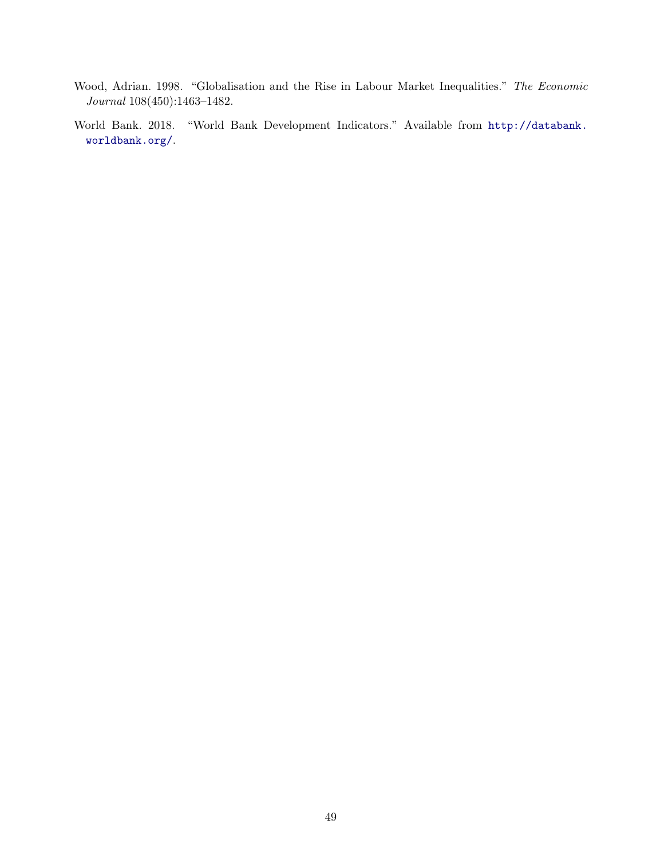- <span id="page-49-1"></span>Wood, Adrian. 1998. "Globalisation and the Rise in Labour Market Inequalities." The Economic Journal 108(450):1463–1482.
- <span id="page-49-0"></span>World Bank. 2018. "World Bank Development Indicators." Available from [http://databank.](http://databank.worldbank.org/) [worldbank.org/](http://databank.worldbank.org/).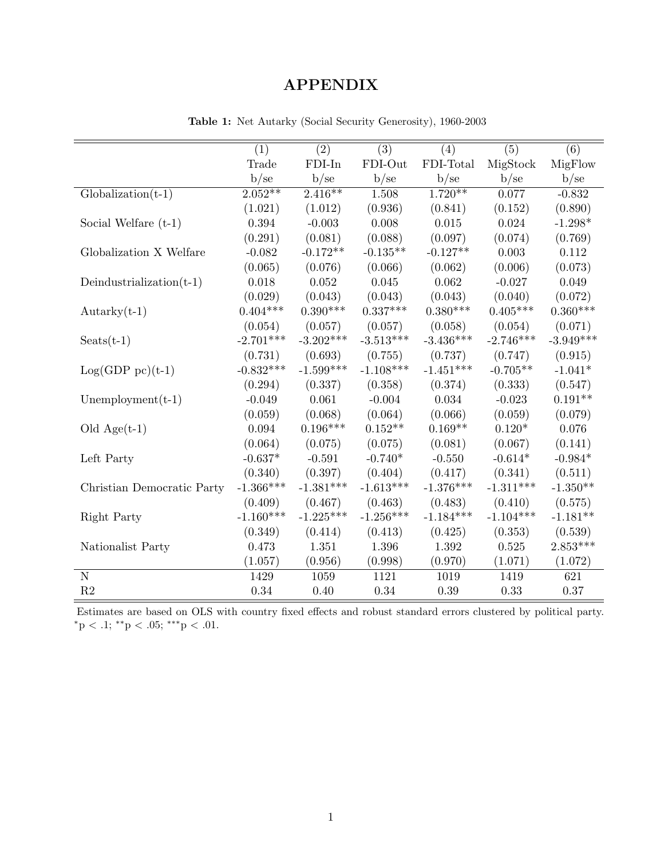## APPENDIX

|                             | (1)         | $\overline{(2)}$ | $\overline{(3)}$ | (4)         | $\overline{(5)}$ | $\overline{(6)}$ |
|-----------------------------|-------------|------------------|------------------|-------------|------------------|------------------|
|                             | Trade       | $FDI-In$         | FDI-Out          | FDI-Total   | MigStock         | MigFlow          |
|                             | b/se        | b/se             | b/sec            | b/sec       | b/se             | b/se             |
| $Globalization(t-1)$        | $2.052**$   | $2.416**$        | 1.508            | $1.720**$   | 0.077            | $-0.832$         |
|                             | (1.021)     | (1.012)          | (0.936)          | (0.841)     | (0.152)          | (0.890)          |
| Social Welfare $(t-1)$      | 0.394       | $-0.003$         | 0.008            | 0.015       | 0.024            | $-1.298*$        |
|                             | (0.291)     | (0.081)          | (0.088)          | (0.097)     | (0.074)          | (0.769)          |
| Globalization X Welfare     | $-0.082$    | $-0.172**$       | $-0.135**$       | $-0.127**$  | 0.003            | 0.112            |
|                             | (0.065)     | (0.076)          | (0.066)          | (0.062)     | (0.006)          | (0.073)          |
| Deindustrialization $(t-1)$ | 0.018       | 0.052            | 0.045            | 0.062       | $-0.027$         | 0.049            |
|                             | (0.029)     | (0.043)          | (0.043)          | (0.043)     | (0.040)          | (0.072)          |
| $Autarky(t-1)$              | $0.404***$  | $0.390***$       | $0.337***$       | $0.380***$  | $0.405***$       | $0.360***$       |
|                             | (0.054)     | (0.057)          | (0.057)          | (0.058)     | (0.054)          | (0.071)          |
| $S\text{eats}(t-1)$         | $-2.701***$ | $-3.202***$      | $-3.513***$      | $-3.436***$ | $-2.746***$      | $-3.949***$      |
|                             | (0.731)     | (0.693)          | (0.755)          | (0.737)     | (0.747)          | (0.915)          |
| $Log(GDP pc)(t-1)$          | $-0.832***$ | $-1.599***$      | $-1.108***$      | $-1.451***$ | $-0.705**$       | $-1.041*$        |
|                             | (0.294)     | (0.337)          | (0.358)          | (0.374)     | (0.333)          | (0.547)          |
| $Unemplogment(t-1)$         | $-0.049$    | 0.061            | $-0.004$         | 0.034       | $-0.023$         | $0.191**$        |
|                             | (0.059)     | (0.068)          | (0.064)          | (0.066)     | (0.059)          | (0.079)          |
| Old $Age(t-1)$              | 0.094       | $0.196***$       | $0.152**$        | $0.169**$   | $0.120*$         | 0.076            |
|                             | (0.064)     | (0.075)          | (0.075)          | (0.081)     | (0.067)          | (0.141)          |
| Left Party                  | $-0.637*$   | $-0.591$         | $-0.740*$        | $-0.550$    | $-0.614*$        | $-0.984*$        |
|                             | (0.340)     | (0.397)          | (0.404)          | (0.417)     | (0.341)          | (0.511)          |
| Christian Democratic Party  | $-1.366***$ | $-1.381***$      | $-1.613***$      | $-1.376***$ | $-1.311***$      | $-1.350**$       |
|                             | (0.409)     | (0.467)          | (0.463)          | (0.483)     | (0.410)          | (0.575)          |
| Right Party                 | $-1.160***$ | $-1.225***$      | $-1.256***$      | $-1.184***$ | $-1.104***$      | $-1.181**$       |
|                             | (0.349)     | (0.414)          | (0.413)          | (0.425)     | (0.353)          | (0.539)          |
| Nationalist Party           | 0.473       | 1.351            | 1.396            | 1.392       | 0.525            | $2.853***$       |
|                             | (1.057)     | (0.956)          | (0.998)          | (0.970)     | (1.071)          | (1.072)          |
| $\overline{N}$              | 1429        | 1059             | 1121             | 1019        | 1419             | 621              |
| R2                          | 0.34        | 0.40             | $0.34\,$         | 0.39        | 0.33             | 0.37             |

Table 1: Net Autarky (Social Security Generosity), 1960-2003

Estimates are based on OLS with country fixed effects and robust standard errors clustered by political party.  $^*{\rm p}$   $<$  .1;  $^{**}{\rm p}$   $<$  .05;  $^{***}{\rm p}$   $<$  .01.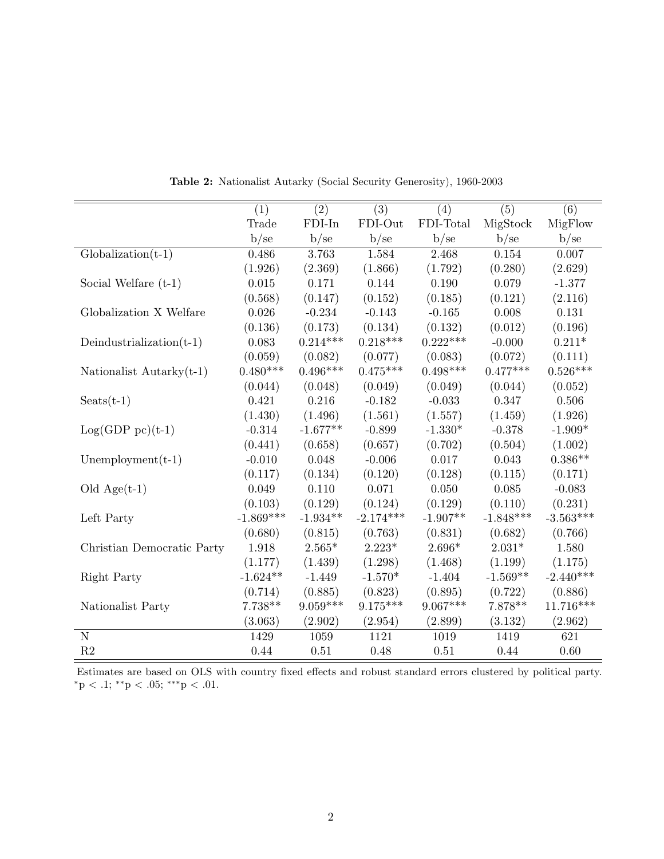|                             | (1)         | (2)        | (3)         | (4)        | (5)         | (6)         |
|-----------------------------|-------------|------------|-------------|------------|-------------|-------------|
|                             | Trade       | $FDI-In$   | FDI-Out     | FDI-Total  | MigStock    | MigFlow     |
|                             | b/se        | b/se       | b/se        | b/se       | b/se        | b/se        |
| $Globalization(t-1)$        | 0.486       | 3.763      | 1.584       | 2.468      | 0.154       | 0.007       |
|                             | (1.926)     | (2.369)    | (1.866)     | (1.792)    | (0.280)     | (2.629)     |
| Social Welfare $(t-1)$      | $0.015\,$   | 0.171      | 0.144       | 0.190      | 0.079       | $-1.377$    |
|                             | (0.568)     | (0.147)    | (0.152)     | (0.185)    | (0.121)     | (2.116)     |
| Globalization X Welfare     | 0.026       | $-0.234$   | $-0.143$    | $-0.165$   | 0.008       | 0.131       |
|                             | (0.136)     | (0.173)    | (0.134)     | (0.132)    | (0.012)     | (0.196)     |
| Deindustrialization $(t-1)$ | 0.083       | $0.214***$ | $0.218***$  | $0.222***$ | $-0.000$    | $0.211*$    |
|                             | (0.059)     | (0.082)    | (0.077)     | (0.083)    | (0.072)     | (0.111)     |
| Nationalist Autarky $(t-1)$ | $0.480***$  | $0.496***$ | $0.475***$  | $0.498***$ | $0.477***$  | $0.526***$  |
|                             | (0.044)     | (0.048)    | (0.049)     | (0.049)    | (0.044)     | (0.052)     |
| $S\text{eats}(t-1)$         | 0.421       | 0.216      | $-0.182$    | $-0.033$   | 0.347       | 0.506       |
|                             | (1.430)     | (1.496)    | (1.561)     | (1.557)    | (1.459)     | (1.926)     |
| $Log(GDP pc)(t-1)$          | $-0.314$    | $-1.677**$ | $-0.899$    | $-1.330*$  | $-0.378$    | $-1.909*$   |
|                             | (0.441)     | (0.658)    | (0.657)     | (0.702)    | (0.504)     | (1.002)     |
| Unemployment $(t-1)$        | $-0.010$    | 0.048      | $-0.006$    | 0.017      | 0.043       | $0.386**$   |
|                             | (0.117)     | (0.134)    | (0.120)     | (0.128)    | (0.115)     | (0.171)     |
| Old $Age(t-1)$              | 0.049       | 0.110      | 0.071       | 0.050      | 0.085       | $-0.083$    |
|                             | (0.103)     | (0.129)    | (0.124)     | (0.129)    | (0.110)     | (0.231)     |
| Left Party                  | $-1.869***$ | $-1.934**$ | $-2.174***$ | $-1.907**$ | $-1.848***$ | $-3.563***$ |
|                             | (0.680)     | (0.815)    | (0.763)     | (0.831)    | (0.682)     | (0.766)     |
| Christian Democratic Party  | 1.918       | $2.565*$   | $2.223*$    | $2.696*$   | $2.031*$    | 1.580       |
|                             | (1.177)     | (1.439)    | (1.298)     | (1.468)    | (1.199)     | (1.175)     |
| Right Party                 | $-1.624**$  | $-1.449$   | $-1.570*$   | $-1.404$   | $-1.569**$  | $-2.440***$ |
|                             | (0.714)     | (0.885)    | (0.823)     | (0.895)    | (0.722)     | (0.886)     |
| Nationalist Party           | $7.738**$   | $9.059***$ | $9.175***$  | $9.067***$ | $7.878**$   | $11.716***$ |
|                             | (3.063)     | (2.902)    | (2.954)     | (2.899)    | (3.132)     | (2.962)     |
| $\overline{\text{N}}$       | 1429        | 1059       | 1121        | 1019       | 1419        | 621         |
| R2                          | 0.44        | 0.51       | 0.48        | 0.51       | 0.44        | 0.60        |

Table 2: Nationalist Autarky (Social Security Generosity), 1960-2003

Estimates are based on OLS with country fixed effects and robust standard errors clustered by political party. \*p < .1; \*\*p < .05; \*\*\*p < .01.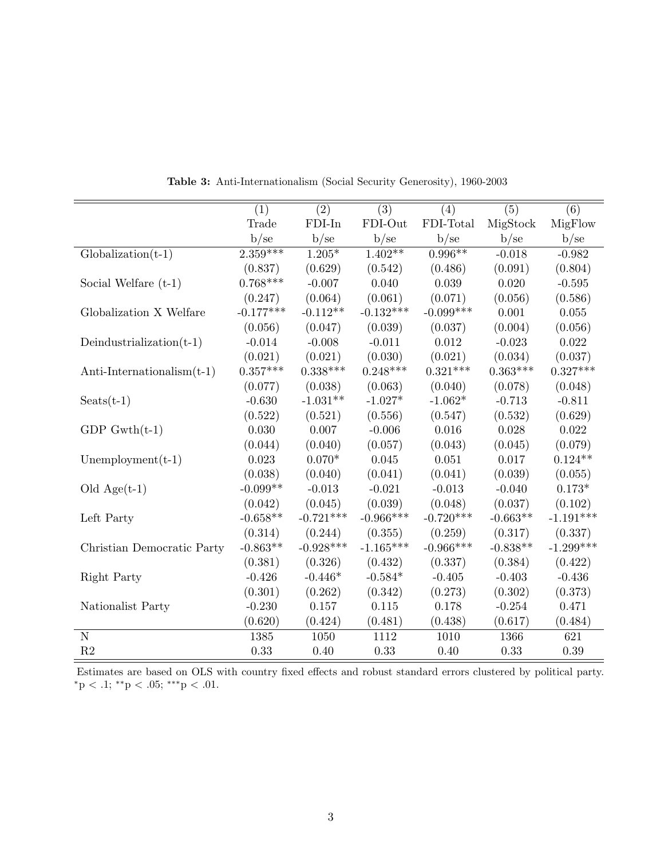|                               | (1)         | (2)         | (3)         | (4)         | (5)        | (6)         |
|-------------------------------|-------------|-------------|-------------|-------------|------------|-------------|
|                               | Trade       | FDI-In      | FDI-Out     | FDI-Total   | MigStock   | MigFlow     |
|                               | b/se        | b/se        | b/se        | b/se        | b/se       | b/sec       |
| $Globalization(t-1)$          | $2.359***$  | $1.205*$    | $1.402**$   | $0.996**$   | $-0.018$   | $-0.982$    |
|                               | (0.837)     | (0.629)     | (0.542)     | (0.486)     | (0.091)    | (0.804)     |
| Social Welfare $(t-1)$        | $0.768***$  | $-0.007$    | 0.040       | 0.039       | 0.020      | $-0.595$    |
|                               | (0.247)     | (0.064)     | (0.061)     | (0.071)     | (0.056)    | (0.586)     |
| Globalization X Welfare       | $-0.177***$ | $-0.112**$  | $-0.132***$ | $-0.099***$ | 0.001      | 0.055       |
|                               | (0.056)     | (0.047)     | (0.039)     | (0.037)     | (0.004)    | (0.056)     |
| Deindustrialization $(t-1)$   | $-0.014$    | $-0.008$    | $-0.011$    | 0.012       | $-0.023$   | 0.022       |
|                               | (0.021)     | (0.021)     | (0.030)     | (0.021)     | (0.034)    | (0.037)     |
| Anti-Internationalism $(t-1)$ | $0.357***$  | $0.338***$  | $0.248***$  | $0.321***$  | $0.363***$ | $0.327***$  |
|                               | (0.077)     | (0.038)     | (0.063)     | (0.040)     | (0.078)    | (0.048)     |
| $S$ eats $(t-1)$              | $-0.630$    | $-1.031**$  | $-1.027*$   | $-1.062*$   | $-0.713$   | $-0.811$    |
|                               | (0.522)     | (0.521)     | (0.556)     | (0.547)     | (0.532)    | (0.629)     |
| $GDP$ Gwth $(t-1)$            | 0.030       | 0.007       | $-0.006$    | 0.016       | 0.028      | 0.022       |
|                               | (0.044)     | (0.040)     | (0.057)     | (0.043)     | (0.045)    | (0.079)     |
| Unemployment $(t-1)$          | 0.023       | $0.070*$    | 0.045       | 0.051       | 0.017      | $0.124**$   |
|                               | (0.038)     | (0.040)     | (0.041)     | (0.041)     | (0.039)    | (0.055)     |
| Old $Age(t-1)$                | $-0.099**$  | $-0.013$    | $-0.021$    | $-0.013$    | $-0.040$   | $0.173*$    |
|                               | (0.042)     | (0.045)     | (0.039)     | (0.048)     | (0.037)    | (0.102)     |
| Left Party                    | $-0.658**$  | $-0.721***$ | $-0.966***$ | $-0.720***$ | $-0.663**$ | $-1.191***$ |
|                               | (0.314)     | (0.244)     | (0.355)     | (0.259)     | (0.317)    | (0.337)     |
| Christian Democratic Party    | $-0.863**$  | $-0.928***$ | $-1.165***$ | $-0.966***$ | $-0.838**$ | $-1.299***$ |
|                               | (0.381)     | (0.326)     | (0.432)     | (0.337)     | (0.384)    | (0.422)     |
| Right Party                   | $-0.426$    | $-0.446*$   | $-0.584*$   | $-0.405$    | $-0.403$   | $-0.436$    |
|                               | (0.301)     | (0.262)     | (0.342)     | (0.273)     | (0.302)    | (0.373)     |
| Nationalist Party             | $-0.230$    | $0.157\,$   | 0.115       | 0.178       | $-0.254$   | 0.471       |
|                               | (0.620)     | (0.424)     | (0.481)     | (0.438)     | (0.617)    | (0.484)     |
| $\mathbf N$                   | 1385        | 1050        | 1112        | 1010        | 1366       | 621         |
| R2                            | 0.33        | 0.40        | 0.33        | 0.40        | 0.33       | 0.39        |

Table 3: Anti-Internationalism (Social Security Generosity), 1960-2003

Estimates are based on OLS with country fixed effects and robust standard errors clustered by political party. \*p < .1; \*\*p < .05; \*\*\*p < .01.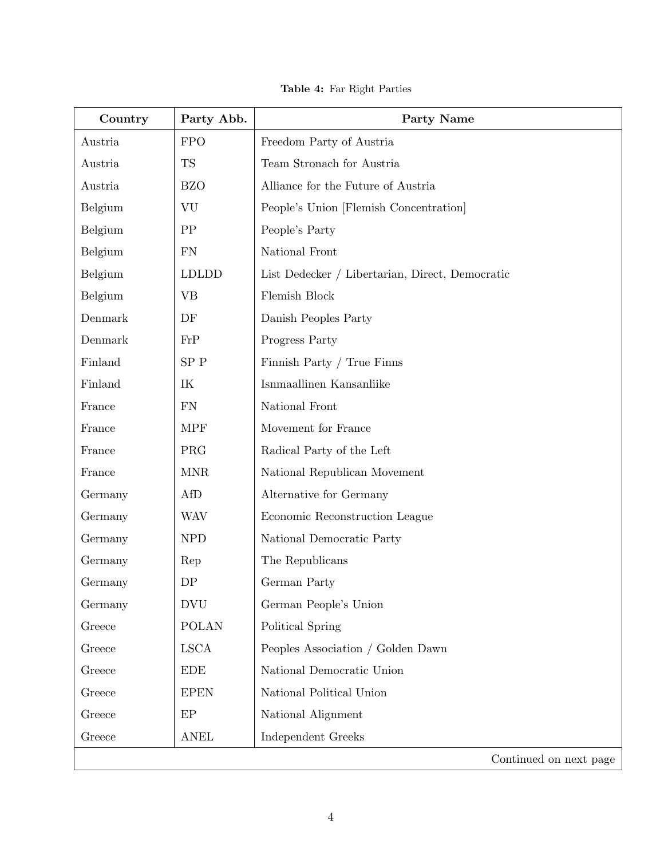Table 4: Far Right Parties

<span id="page-53-0"></span>

| Country | Party Abb.   | Party Name                                      |  |  |
|---------|--------------|-------------------------------------------------|--|--|
| Austria | <b>FPO</b>   | Freedom Party of Austria                        |  |  |
| Austria | <b>TS</b>    | Team Stronach for Austria                       |  |  |
| Austria | <b>BZO</b>   | Alliance for the Future of Austria              |  |  |
| Belgium | VU           | People's Union [Flemish Concentration]          |  |  |
| Belgium | PP           | People's Party                                  |  |  |
| Belgium | FN           | National Front                                  |  |  |
| Belgium | <b>LDLDD</b> | List Dedecker / Libertarian, Direct, Democratic |  |  |
| Belgium | <b>VB</b>    | Flemish Block                                   |  |  |
| Denmark | DF           | Danish Peoples Party                            |  |  |
| Denmark | FrP          | Progress Party                                  |  |  |
| Finland | SPP          | Finnish Party / True Finns                      |  |  |
| Finland | IK           | Isnmaallinen Kansanliike                        |  |  |
| France  | <b>FN</b>    | National Front                                  |  |  |
| France  | <b>MPF</b>   | Movement for France                             |  |  |
| France  | PRG          | Radical Party of the Left                       |  |  |
| France  | <b>MNR</b>   | National Republican Movement                    |  |  |
| Germany | AfD          | Alternative for Germany                         |  |  |
| Germany | <b>WAV</b>   | Economic Reconstruction League                  |  |  |
| Germany | <b>NPD</b>   | National Democratic Party                       |  |  |
| Germany | Rep          | The Republicans                                 |  |  |
| Germany | DP           | German Party                                    |  |  |
| Germany | <b>DVU</b>   | German People's Union                           |  |  |
| Greece  | <b>POLAN</b> | Political Spring                                |  |  |
| Greece  | <b>LSCA</b>  | Peoples Association / Golden Dawn               |  |  |
| Greece  | <b>EDE</b>   | National Democratic Union                       |  |  |
| Greece  | <b>EPEN</b>  | National Political Union                        |  |  |
| Greece  | EP           | National Alignment                              |  |  |
| Greece  | <b>ANEL</b>  | Independent Greeks                              |  |  |
|         |              | Continued on next page                          |  |  |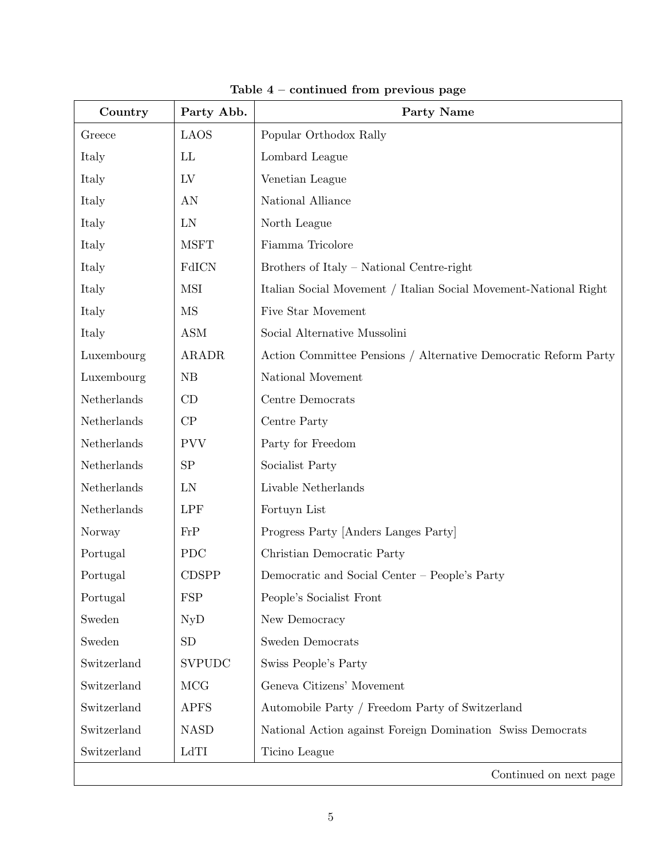| Country     | Party Abb.          | <b>Party Name</b>                                                |  |  |
|-------------|---------------------|------------------------------------------------------------------|--|--|
| Greece      | <b>LAOS</b>         | Popular Orthodox Rally                                           |  |  |
| Italy       | LL                  | Lombard League                                                   |  |  |
| Italy       | LV                  | Venetian League                                                  |  |  |
| Italy       | AN                  | National Alliance                                                |  |  |
| Italy       | LN                  | North League                                                     |  |  |
| Italy       | <b>MSFT</b>         | Fiamma Tricolore                                                 |  |  |
| Italy       | FdICN               | Brothers of Italy - National Centre-right                        |  |  |
| Italy       | <b>MSI</b>          | Italian Social Movement / Italian Social Movement-National Right |  |  |
| Italy       | $\overline{\rm MS}$ | Five Star Movement                                               |  |  |
| Italy       | <b>ASM</b>          | Social Alternative Mussolini                                     |  |  |
| Luxembourg  | <b>ARADR</b>        | Action Committee Pensions / Alternative Democratic Reform Party  |  |  |
| Luxembourg  | NB                  | National Movement                                                |  |  |
| Netherlands | CD                  | Centre Democrats                                                 |  |  |
| Netherlands | CP                  | Centre Party                                                     |  |  |
| Netherlands | <b>PVV</b>          | Party for Freedom                                                |  |  |
| Netherlands | SP                  | Socialist Party                                                  |  |  |
| Netherlands | LN                  | Livable Netherlands                                              |  |  |
| Netherlands | <b>LPF</b>          | Fortuyn List                                                     |  |  |
| Norway      | FrP                 | Progress Party [Anders Langes Party]                             |  |  |
| Portugal    | <b>PDC</b>          | Christian Democratic Party                                       |  |  |
| Portugal    | <b>CDSPP</b>        | Democratic and Social Center - People's Party                    |  |  |
| Portugal    | <b>FSP</b>          | People's Socialist Front                                         |  |  |
| Sweden      | <b>NyD</b>          | New Democracy                                                    |  |  |
| Sweden      | <b>SD</b>           | <b>Sweden Democrats</b>                                          |  |  |
| Switzerland | <b>SVPUDC</b>       | Swiss People's Party                                             |  |  |
| Switzerland | <b>MCG</b>          | Geneva Citizens' Movement                                        |  |  |
| Switzerland | <b>APFS</b>         | Automobile Party / Freedom Party of Switzerland                  |  |  |
| Switzerland | <b>NASD</b>         | National Action against Foreign Domination Swiss Democrats       |  |  |
| Switzerland | LdTI                | Ticino League                                                    |  |  |
|             |                     | Continued on next page                                           |  |  |

Table 4 – continued from previous page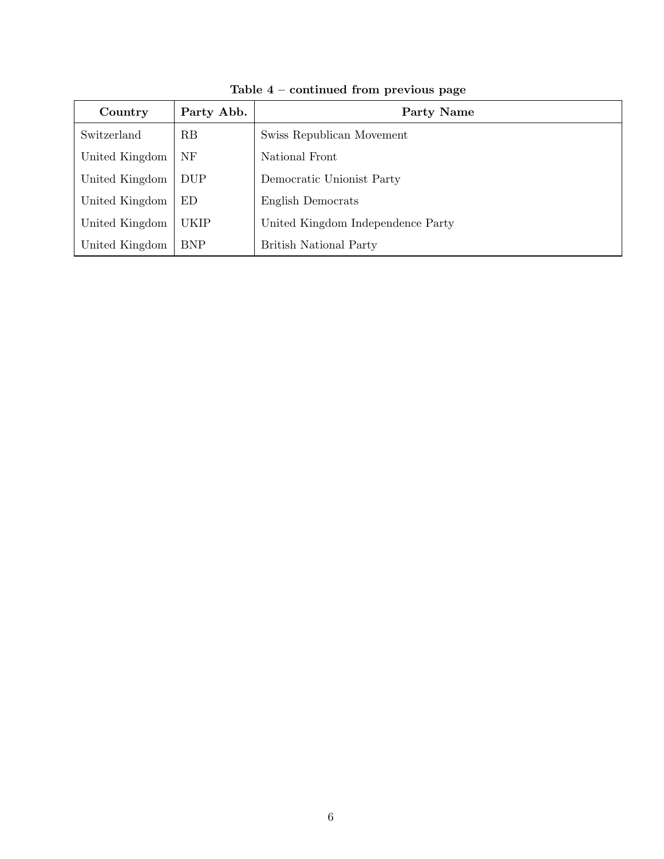| Country        | Party Abb.  | Party Name                        |  |  |  |
|----------------|-------------|-----------------------------------|--|--|--|
| Switzerland    | RB          | Swiss Republican Movement         |  |  |  |
| United Kingdom | NF          | National Front                    |  |  |  |
| United Kingdom | <b>DUP</b>  | Democratic Unionist Party         |  |  |  |
| United Kingdom | ED          | English Democrats                 |  |  |  |
| United Kingdom | <b>UKIP</b> | United Kingdom Independence Party |  |  |  |
| United Kingdom | <b>BNP</b>  | <b>British National Party</b>     |  |  |  |

Table 4 – continued from previous page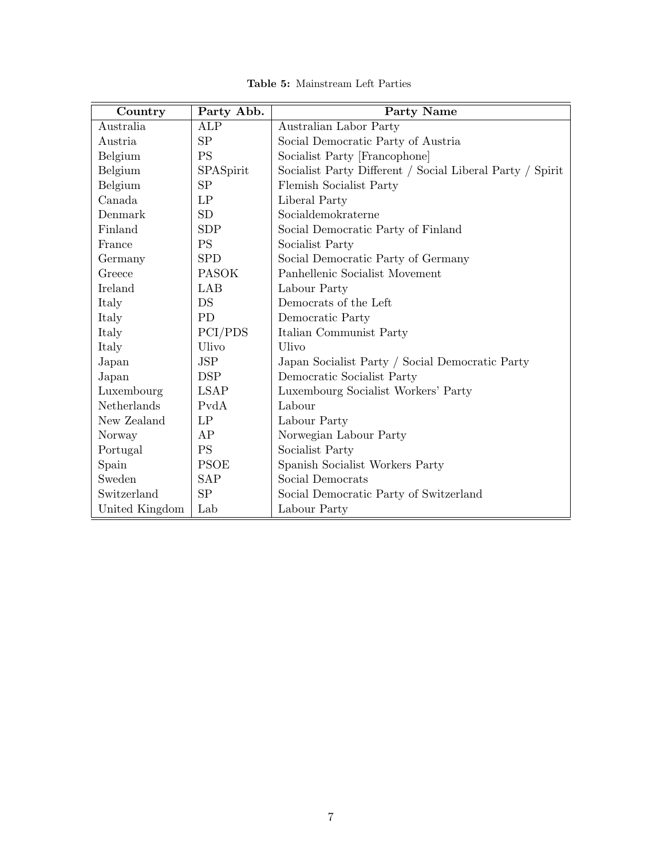<span id="page-56-0"></span>

| Country        | Party Abb.   | <b>Party Name</b>                                         |  |  |  |  |
|----------------|--------------|-----------------------------------------------------------|--|--|--|--|
| Australia      | <b>ALP</b>   | Australian Labor Party                                    |  |  |  |  |
| Austria        | SP           | Social Democratic Party of Austria                        |  |  |  |  |
| Belgium        | <b>PS</b>    | Socialist Party [Francophone]                             |  |  |  |  |
| Belgium        | SPASpirit    | Socialist Party Different / Social Liberal Party / Spirit |  |  |  |  |
| Belgium        | SP           | Flemish Socialist Party                                   |  |  |  |  |
| Canada         | LP           | Liberal Party                                             |  |  |  |  |
| Denmark        | <b>SD</b>    | Socialdemokraterne                                        |  |  |  |  |
| Finland        | <b>SDP</b>   | Social Democratic Party of Finland                        |  |  |  |  |
| France         | <b>PS</b>    | Socialist Party                                           |  |  |  |  |
| Germany        | <b>SPD</b>   | Social Democratic Party of Germany                        |  |  |  |  |
| Greece         | <b>PASOK</b> | Panhellenic Socialist Movement                            |  |  |  |  |
| Ireland        | LAB          | Labour Party                                              |  |  |  |  |
| Italy          | DS           | Democrats of the Left                                     |  |  |  |  |
| Italy          | <b>PD</b>    | Democratic Party                                          |  |  |  |  |
| Italy          | PCI/PDS      | Italian Communist Party                                   |  |  |  |  |
| Italy          | Ulivo        | Ulivo                                                     |  |  |  |  |
| Japan          | <b>JSP</b>   | Japan Socialist Party / Social Democratic Party           |  |  |  |  |
| Japan          | <b>DSP</b>   | Democratic Socialist Party                                |  |  |  |  |
| Luxembourg     | <b>LSAP</b>  | Luxembourg Socialist Workers' Party                       |  |  |  |  |
| Netherlands    | PvdA         | Labour                                                    |  |  |  |  |
| New Zealand    | LP           | Labour Party                                              |  |  |  |  |
| Norway         | AP           | Norwegian Labour Party                                    |  |  |  |  |
| Portugal       | <b>PS</b>    | Socialist Party                                           |  |  |  |  |
| Spain          | <b>PSOE</b>  | Spanish Socialist Workers Party                           |  |  |  |  |
| Sweden         | <b>SAP</b>   | Social Democrats                                          |  |  |  |  |
| Switzerland    | SP           | Social Democratic Party of Switzerland                    |  |  |  |  |
| United Kingdom | Lab          | Labour Party                                              |  |  |  |  |

Table 5: Mainstream Left Parties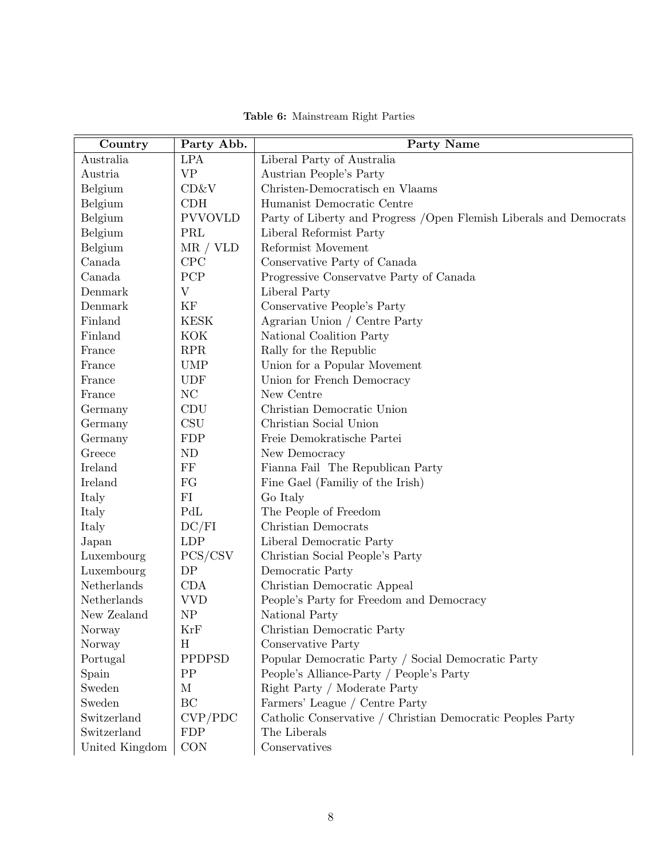<span id="page-57-0"></span>

| Country        | Party Abb.                | <b>Party Name</b>                                                   |  |  |  |  |
|----------------|---------------------------|---------------------------------------------------------------------|--|--|--|--|
| Australia      | <b>LPA</b>                | Liberal Party of Australia                                          |  |  |  |  |
| Austria        | <b>VP</b>                 | Austrian People's Party                                             |  |  |  |  |
| Belgium        | CD&V                      | Christen-Democratisch en Vlaams                                     |  |  |  |  |
| Belgium        | CDH                       | Humanist Democratic Centre                                          |  |  |  |  |
| Belgium        | <b>PVVOVLD</b>            | Party of Liberty and Progress / Open Flemish Liberals and Democrats |  |  |  |  |
| Belgium        | PRL                       | Liberal Reformist Party                                             |  |  |  |  |
| Belgium        | MR / VLD                  | Reformist Movement                                                  |  |  |  |  |
| Canada         | CPC                       | Conservative Party of Canada                                        |  |  |  |  |
| Canada         | PCP                       | Progressive Conservative Party of Canada                            |  |  |  |  |
| Denmark        | $\boldsymbol{\mathrm{V}}$ | Liberal Party                                                       |  |  |  |  |
| Denmark        | ΚF                        | Conservative People's Party                                         |  |  |  |  |
| Finland        | <b>KESK</b>               | Agrarian Union / Centre Party                                       |  |  |  |  |
| Finland        | KOK                       | National Coalition Party                                            |  |  |  |  |
| France         | <b>RPR</b>                | Rally for the Republic                                              |  |  |  |  |
| France         | <b>UMP</b>                | Union for a Popular Movement                                        |  |  |  |  |
| France         | <b>UDF</b>                | Union for French Democracy                                          |  |  |  |  |
| France         | NC                        | New Centre                                                          |  |  |  |  |
| Germany        | CDU                       | Christian Democratic Union                                          |  |  |  |  |
| Germany        | $\mathrm{CSU}$            | Christian Social Union                                              |  |  |  |  |
| Germany        | <b>FDP</b>                | Freie Demokratische Partei                                          |  |  |  |  |
| Greece         | ND                        | New Democracy                                                       |  |  |  |  |
| Ireland        | FF                        | Fianna Fail The Republican Party                                    |  |  |  |  |
| Ireland        | FG                        | Fine Gael (Familiy of the Irish)                                    |  |  |  |  |
| Italy          | FI                        | Go Italy                                                            |  |  |  |  |
| Italy          | PdL                       | The People of Freedom                                               |  |  |  |  |
| Italy          | DC/FI                     | Christian Democrats                                                 |  |  |  |  |
| Japan          | <b>LDP</b>                | Liberal Democratic Party                                            |  |  |  |  |
| Luxembourg     | PCS/CSV                   | Christian Social People's Party                                     |  |  |  |  |
| Luxembourg     | DP                        | Democratic Party                                                    |  |  |  |  |
| Netherlands    | CDA                       | Christian Democratic Appeal                                         |  |  |  |  |
| Netherlands    | <b>VVD</b>                | People's Party for Freedom and Democracy                            |  |  |  |  |
| New Zealand    | <b>NP</b>                 | National Party                                                      |  |  |  |  |
| Norway         | KrF                       | Christian Democratic Party                                          |  |  |  |  |
| Norway         | H                         | Conservative Party                                                  |  |  |  |  |
| Portugal       | PPDPSD                    | Popular Democratic Party / Social Democratic Party                  |  |  |  |  |
| Spain          | PP                        | People's Alliance-Party / People's Party                            |  |  |  |  |
| Sweden         | М                         | Right Party / Moderate Party                                        |  |  |  |  |
| Sweden         | BC                        | Farmers' League / Centre Party                                      |  |  |  |  |
| Switzerland    | CVP/PDC                   | Catholic Conservative / Christian Democratic Peoples Party          |  |  |  |  |
| Switzerland    | <b>FDP</b>                | The Liberals                                                        |  |  |  |  |
| United Kingdom | <b>CON</b>                | Conservatives                                                       |  |  |  |  |

Table 6: Mainstream Right Parties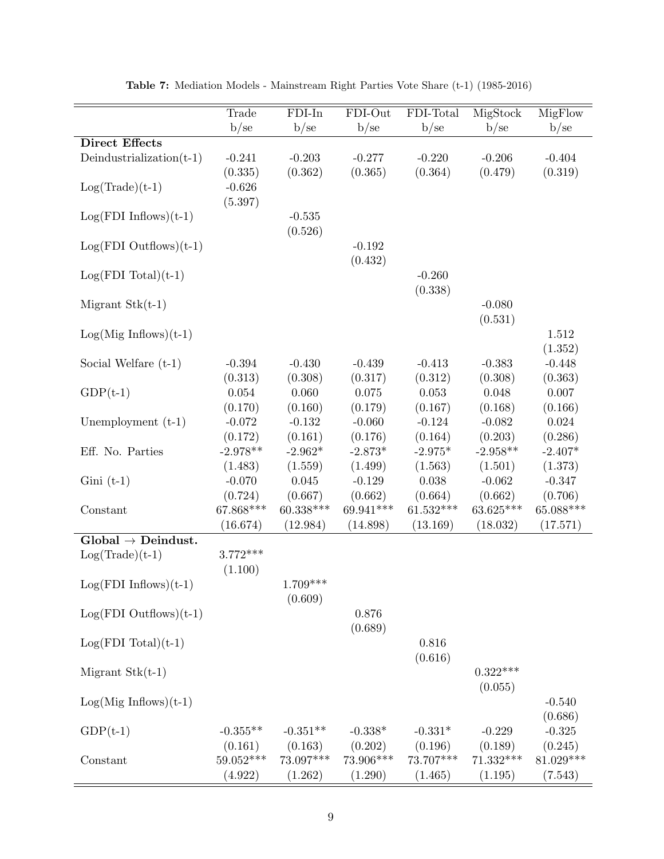<span id="page-58-0"></span>

|                                | Trade<br>b/sec                 | $FDI-In$<br>b/se      | FDI-Out<br>b/se       | FDI-Total<br>b/sec      | MigStock<br>b/se        | MigFlow<br>b/sec       |
|--------------------------------|--------------------------------|-----------------------|-----------------------|-------------------------|-------------------------|------------------------|
| <b>Direct Effects</b>          |                                |                       |                       |                         |                         |                        |
| Deindustrialization $(t-1)$    | $-0.241$                       | $-0.203$              | $-0.277$              | $-0.220$                | $-0.206$                | $-0.404$               |
| $Log(Trade)(t-1)$              | (0.335)<br>$-0.626$<br>(5.397) | (0.362)               | (0.365)               | (0.364)                 | (0.479)                 | (0.319)                |
| $Log(FDI\ Inflows)(t-1)$       |                                | $-0.535$<br>(0.526)   |                       |                         |                         |                        |
| $Log(FDI$ Outflows) $(t-1)$    |                                |                       | $-0.192$<br>(0.432)   |                         |                         |                        |
| $Log(FDI Total)(t-1)$          |                                |                       |                       | $-0.260$<br>(0.338)     |                         |                        |
| Migrant $Stk(t-1)$             |                                |                       |                       |                         | $-0.080$<br>(0.531)     |                        |
| $Log(Mig Inflows)(t-1)$        |                                |                       |                       |                         |                         | 1.512<br>(1.352)       |
| Social Welfare $(t-1)$         | $-0.394$<br>(0.313)            | $-0.430$<br>(0.308)   | $-0.439$<br>(0.317)   | $-0.413$<br>(0.312)     | $-0.383$<br>(0.308)     | $-0.448$<br>(0.363)    |
| $GDP(t-1)$                     | 0.054<br>(0.170)               | 0.060<br>(0.160)      | $0.075\,$<br>(0.179)  | 0.053<br>(0.167)        | 0.048<br>(0.168)        | $0.007\,$<br>(0.166)   |
| Unemployment $(t-1)$           | $-0.072$<br>(0.172)            | $-0.132$<br>(0.161)   | $-0.060$<br>(0.176)   | $-0.124$<br>(0.164)     | $-0.082$<br>(0.203)     | 0.024<br>(0.286)       |
| Eff. No. Parties               | $-2.978**$<br>(1.483)          | $-2.962*$<br>(1.559)  | $-2.873*$<br>(1.499)  | $-2.975*$<br>(1.563)    | $-2.958**$<br>(1.501)   | $-2.407*$<br>(1.373)   |
| $Gini(t-1)$                    | $-0.070$<br>(0.724)            | 0.045<br>(0.667)      | $-0.129$<br>(0.662)   | 0.038<br>(0.664)        | $-0.062$<br>(0.662)     | $-0.347$<br>(0.706)    |
| Constant                       | $67.868***$<br>(16.674)        | 60.338***<br>(12.984) | 69.941***<br>(14.898) | $61.532***$<br>(13.169) | $63.625***$<br>(18.032) | 65.088***<br>(17.571)  |
| $Global \rightarrow Deindust.$ |                                |                       |                       |                         |                         |                        |
| $Log(Trade)(t-1)$              | $3.772***$<br>(1.100)          |                       |                       |                         |                         |                        |
| $Log(FDI\ Inflows)(t-1)$       |                                | $1.709***$<br>(0.609) |                       |                         |                         |                        |
| $Log(FDI$ Outflows) $(t-1)$    |                                |                       | 0.876<br>(0.689)      |                         |                         |                        |
| $Log(FDI Total)(t-1)$          |                                |                       |                       | 0.816<br>(0.616)        |                         |                        |
| Migrant $Stk(t-1)$             |                                |                       |                       |                         | $0.322***$<br>(0.055)   |                        |
| $Log(Mig Inflows)(t-1)$        |                                |                       |                       |                         |                         | $-0.540$<br>(0.686)    |
| $GDP(t-1)$                     | $-0.355**$<br>(0.161)          | $-0.351**$<br>(0.163) | $-0.338*$<br>(0.202)  | $-0.331*$<br>(0.196)    | $-0.229$<br>(0.189)     | $-0.325$<br>(0.245)    |
| Constant                       | 59.052***<br>(4.922)           | 73.097***<br>(1.262)  | 73.906***<br>(1.290)  | 73.707***<br>(1.465)    | $71.332***$<br>(1.195)  | $81.029***$<br>(7.543) |

Table 7: Mediation Models - Mainstream Right Parties Vote Share (t-1) (1985-2016)